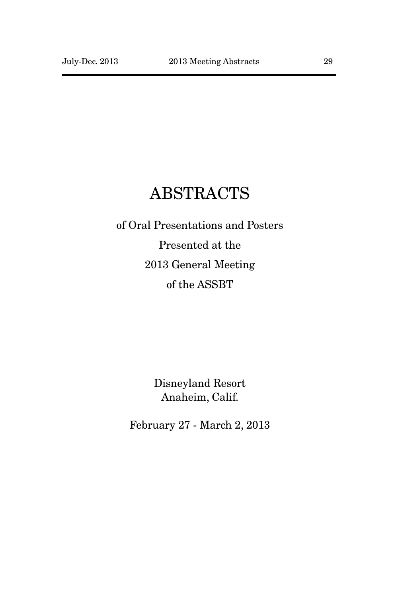# ABSTRACTS

of Oral Presentations and Posters Presented at the 2013 General Meeting of the ASSBT

> Disneyland Resort Anaheim, Calif.

February 27 - March 2, 2013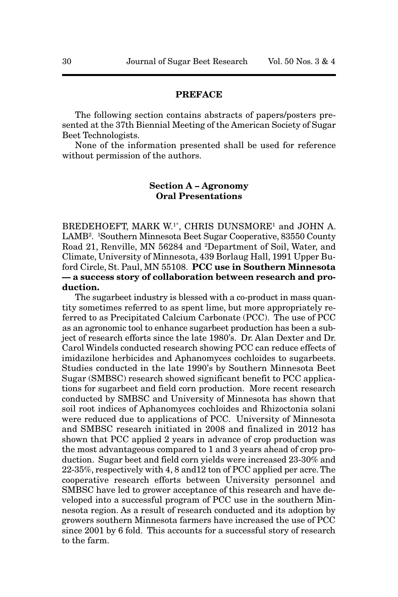#### **PREFACE**

The following section contains abstracts of papers/posters presented at the 37th Biennial Meeting of the American Society of Sugar Beet Technologists.

None of the information presented shall be used for reference without permission of the authors.

#### **Section A – Agronomy Oral Presentations**

BREDEHOEFT, MARK W.<sup>1\*</sup>, CHRIS DUNSMORE<sup>1</sup> and JOHN A. LAMB2 . 1 Southern Minnesota Beet Sugar Cooperative, 83550 County Road 21, Renville, MN 56284 and 2Department of Soil, Water, and Climate, University of Minnesota, 439 Borlaug Hall, 1991 Upper Buford Circle, St. Paul, MN 55108. **PCC use in Southern Minnesota — a success story of collaboration between research and production.** 

The sugarbeet industry is blessed with a co-product in mass quantity sometimes referred to as spent lime, but more appropriately referred to as Precipitated Calcium Carbonate (PCC). The use of PCC as an agronomic tool to enhance sugarbeet production has been a subject of research efforts since the late 1980's. Dr. Alan Dexter and Dr. Carol Windels conducted research showing PCC can reduce effects of imidazilone herbicides and Aphanomyces cochloides to sugarbeets. Studies conducted in the late 1990's by Southern Minnesota Beet Sugar (SMBSC) research showed significant benefit to PCC applications for sugarbeet and field corn production. More recent research conducted by SMBSC and University of Minnesota has shown that soil root indices of Aphanomyces cochloides and Rhizoctonia solani were reduced due to applications of PCC. University of Minnesota and SMBSC research initiated in 2008 and finalized in 2012 has shown that PCC applied 2 years in advance of crop production was the most advantageous compared to 1 and 3 years ahead of crop production. Sugar beet and field corn yields were increased 23-30% and 22-35%, respectively with 4, 8 and12 ton of PCC applied per acre. The cooperative research efforts between University personnel and SMBSC have led to grower acceptance of this research and have developed into a successful program of PCC use in the southern Minnesota region. As a result of research conducted and its adoption by growers southern Minnesota farmers have increased the use of PCC since 2001 by 6 fold. This accounts for a successful story of research to the farm.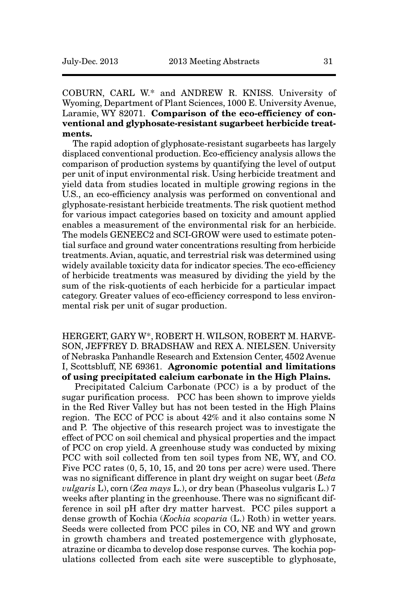COBURN, CARL W.\* and ANDREW R. KNISS. University of Wyoming, Department of Plant Sciences, 1000 E. University Avenue, Laramie, WY 82071. **Comparison of the eco-efficiency of conventional and glyphosate-resistant sugarbeet herbicide treatments.**

The rapid adoption of glyphosate-resistant sugarbeets has largely displaced conventional production. Eco-efficiency analysis allows the comparison of production systems by quantifying the level of output per unit of input environmental risk. Using herbicide treatment and yield data from studies located in multiple growing regions in the U.S., an eco-efficiency analysis was performed on conventional and glyphosate-resistant herbicide treatments. The risk quotient method for various impact categories based on toxicity and amount applied enables a measurement of the environmental risk for an herbicide. The models GENEEC2 and SCI-GROW were used to estimate potential surface and ground water concentrations resulting from herbicide treatments. Avian, aquatic, and terrestrial risk was determined using widely available toxicity data for indicator species. The eco-efficiency of herbicide treatments was measured by dividing the yield by the sum of the risk-quotients of each herbicide for a particular impact category. Greater values of eco-efficiency correspond to less environmental risk per unit of sugar production.

HERGERT, GARY W\*, ROBERT H. WILSON, ROBERT M. HARVE-SON, JEFFREY D. BRADSHAW and REX A. NIELSEN. University of Nebraska Panhandle Research and Extension Center, 4502 Avenue I, Scottsbluff, NE 69361. **Agronomic potential and limitations of using precipitated calcium carbonate in the High Plains.**

Precipitated Calcium Carbonate (PCC) is a by product of the sugar purification process. PCC has been shown to improve yields in the Red River Valley but has not been tested in the High Plains region. The ECC of PCC is about 42% and it also contains some N and P. The objective of this research project was to investigate the effect of PCC on soil chemical and physical properties and the impact of PCC on crop yield. A greenhouse study was conducted by mixing PCC with soil collected from ten soil types from NE, WY, and CO. Five PCC rates (0, 5, 10, 15, and 20 tons per acre) were used. There was no significant difference in plant dry weight on sugar beet (*Beta vulgaris* L), corn (*Zea mays* L.), or dry bean (Phaseolus vulgaris L.) 7 weeks after planting in the greenhouse. There was no significant difference in soil pH after dry matter harvest. PCC piles support a dense growth of Kochia (*Kochia scoparia* (L.) Roth) in wetter years. Seeds were collected from PCC piles in CO, NE and WY and grown in growth chambers and treated postemergence with glyphosate, atrazine or dicamba to develop dose response curves. The kochia populations collected from each site were susceptible to glyphosate,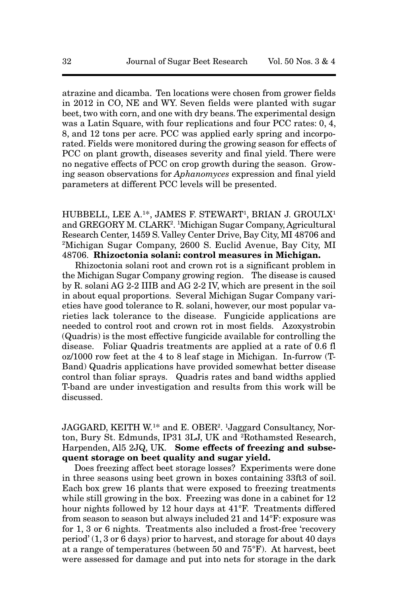atrazine and dicamba. Ten locations were chosen from grower fields in 2012 in CO, NE and WY. Seven fields were planted with sugar beet, two with corn, and one with dry beans. The experimental design was a Latin Square, with four replications and four PCC rates: 0, 4, 8, and 12 tons per acre. PCC was applied early spring and incorporated. Fields were monitored during the growing season for effects of PCC on plant growth, diseases severity and final yield. There were no negative effects of PCC on crop growth during the season. Growing season observations for *Aphanomyces* expression and final yield parameters at different PCC levels will be presented.

HUBBELL, LEE A.<sup>1\*</sup>, JAMES F. STEWART<sup>1</sup>, BRIAN J. GROULX<sup>1</sup> and GREGORY M. CLARK<sup>2</sup>. <sup>1</sup>Michigan Sugar Company, Agricultural Research Center, 1459 S. Valley Center Drive, Bay City, MI 48706 and 2Michigan Sugar Company, 2600 S. Euclid Avenue, Bay City, MI 48706. **Rhizoctonia solani: control measures in Michigan.**

Rhizoctonia solani root and crown rot is a significant problem in the Michigan Sugar Company growing region. The disease is caused by R. solani AG 2-2 IIIB and AG 2-2 IV, which are present in the soil in about equal proportions. Several Michigan Sugar Company varieties have good tolerance to R. solani, however, our most popular varieties lack tolerance to the disease. Fungicide applications are needed to control root and crown rot in most fields. Azoxystrobin (Quadris) is the most effective fungicide available for controlling the disease. Foliar Quadris treatments are applied at a rate of 0.6 fl oz/1000 row feet at the 4 to 8 leaf stage in Michigan. In-furrow (T-Band) Quadris applications have provided somewhat better disease control than foliar sprays. Quadris rates and band widths applied T-band are under investigation and results from this work will be discussed.

JAGGARD, KEITH W.1\* and E. OBER2. 1Jaggard Consultancy, Norton, Bury St. Edmunds, IP31 3LJ, UK and 2Rothamsted Research, Harpenden, Al5 2JQ, UK. **Some effects of freezing and subsequent storage on beet quality and sugar yield.**

Does freezing affect beet storage losses? Experiments were done in three seasons using beet grown in boxes containing 33ft3 of soil. Each box grew 16 plants that were exposed to freezing treatments while still growing in the box. Freezing was done in a cabinet for 12 hour nights followed by 12 hour days at 41°F. Treatments differed from season to season but always included 21 and 14°F: exposure was for 1, 3 or 6 nights. Treatments also included a frost-free 'recovery period' (1, 3 or 6 days) prior to harvest, and storage for about 40 days at a range of temperatures (between 50 and 75°F). At harvest, beet were assessed for damage and put into nets for storage in the dark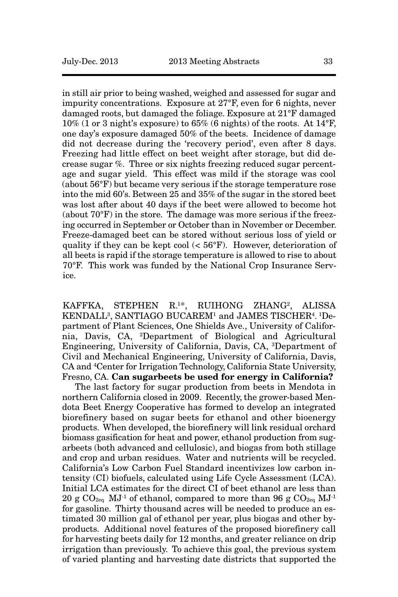in still air prior to being washed, weighed and assessed for sugar and impurity concentrations. Exposure at 27°F, even for 6 nights, never damaged roots, but damaged the foliage. Exposure at 21°F damaged  $10\%$  (1 or 3 night's exposure) to 65% (6 nights) of the roots. At  $14^{\circ}$ F, one day's exposure damaged 50% of the beets. Incidence of damage did not decrease during the 'recovery period', even after 8 days. Freezing had little effect on beet weight after storage, but did decrease sugar %. Three or six nights freezing reduced sugar percentage and sugar yield. This effect was mild if the storage was cool (about 56°F) but became very serious if the storage temperature rose into the mid 60's. Between 25 and 35% of the sugar in the stored beet was lost after about 40 days if the beet were allowed to become hot (about 70°F) in the store. The damage was more serious if the freezing occurred in September or October than in November or December. Freeze-damaged beet can be stored without serious loss of yield or quality if they can be kept cool  $( $56^{\circ}$ F). However, deterioration of$ all beets is rapid if the storage temperature is allowed to rise to about 70°F. This work was funded by the National Crop Insurance Service.

KAFFKA, STEPHEN R.1\*, RUIHONG ZHANG2, ALISSA KENDALL3, SANTIAGO BUCAREM1 and JAMES TISCHER4. 1Department of Plant Sciences, One Shields Ave., University of California, Davis, CA, 2Department of Biological and Agricultural Engineering, University of California, Davis, CA, 3Department of Civil and Mechanical Engineering, University of California, Davis, CA and 4 Center for Irrigation Technology, California State University, Fresno, CA. **Can sugarbeets be used for energy in California?** 

The last factory for sugar production from beets in Mendota in northern California closed in 2009. Recently, the grower-based Mendota Beet Energy Cooperative has formed to develop an integrated biorefinery based on sugar beets for ethanol and other bioenergy products. When developed, the biorefinery will link residual orchard biomass gasification for heat and power, ethanol production from sugarbeets (both advanced and cellulosic), and biogas from both stillage and crop and urban residues. Water and nutrients will be recycled. California's Low Carbon Fuel Standard incentivizes low carbon intensity (CI) biofuels, calculated using Life Cycle Assessment (LCA). Initial LCA estimates for the direct CI of beet ethanol are less than 20 g  $CO_{2eq}$  MJ<sup>-1</sup> of ethanol, compared to more than 96 g  $CO_{2eq}$  MJ<sup>-1</sup> for gasoline. Thirty thousand acres will be needed to produce an estimated 30 million gal of ethanol per year, plus biogas and other byproducts. Additional novel features of the proposed biorefinery call for harvesting beets daily for 12 months, and greater reliance on drip irrigation than previously. To achieve this goal, the previous system of varied planting and harvesting date districts that supported the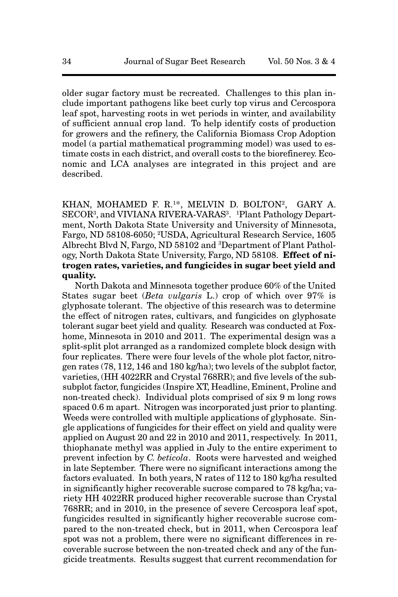older sugar factory must be recreated. Challenges to this plan include important pathogens like beet curly top virus and Cercospora leaf spot, harvesting roots in wet periods in winter, and availability of sufficient annual crop land. To help identify costs of production for growers and the refinery, the California Biomass Crop Adoption model (a partial mathematical programming model) was used to estimate costs in each district, and overall costs to the biorefinerey. Economic and LCA analyses are integrated in this project and are described.

KHAN, MOHAMED F. R.<sup>1\*</sup>, MELVIN D. BOLTON<sup>2</sup>, GARY A. SECOR<sup>3</sup>, and VIVIANA RIVERA-VARAS<sup>3</sup>. <sup>1</sup>Plant Pathology Department, North Dakota State University and University of Minnesota, Fargo, ND 58108-6050; 2USDA, Agricultural Research Service, 1605 Albrecht Blvd N, Fargo, ND 58102 and 3Department of Plant Pathology, North Dakota State University, Fargo, ND 58108. **Effect of nitrogen rates, varieties, and fungicides in sugar beet yield and quality.**

North Dakota and Minnesota together produce 60% of the United States sugar beet (*Beta vulgaris* L.) crop of which over 97% is glyphosate tolerant. The objective of this research was to determine the effect of nitrogen rates, cultivars, and fungicides on glyphosate tolerant sugar beet yield and quality. Research was conducted at Foxhome, Minnesota in 2010 and 2011. The experimental design was a split-split plot arranged as a randomized complete block design with four replicates. There were four levels of the whole plot factor, nitrogen rates (78, 112, 146 and 180 kg/ha); two levels of the subplot factor, varieties, (HH 4022RR and Crystal 768RR); and five levels of the subsubplot factor, fungicides (Inspire XT, Headline, Eminent, Proline and non-treated check). Individual plots comprised of six 9 m long rows spaced 0.6 m apart. Nitrogen was incorporated just prior to planting. Weeds were controlled with multiple applications of glyphosate. Single applications of fungicides for their effect on yield and quality were applied on August 20 and 22 in 2010 and 2011, respectively. In 2011, thiophanate methyl was applied in July to the entire experiment to prevent infection by *C. beticola*. Roots were harvested and weighed in late September. There were no significant interactions among the factors evaluated. In both years, N rates of 112 to 180 kg/ha resulted in significantly higher recoverable sucrose compared to 78 kg/ha; variety HH 4022RR produced higher recoverable sucrose than Crystal 768RR; and in 2010, in the presence of severe Cercospora leaf spot, fungicides resulted in significantly higher recoverable sucrose compared to the non-treated check, but in 2011, when Cercospora leaf spot was not a problem, there were no significant differences in recoverable sucrose between the non-treated check and any of the fungicide treatments. Results suggest that current recommendation for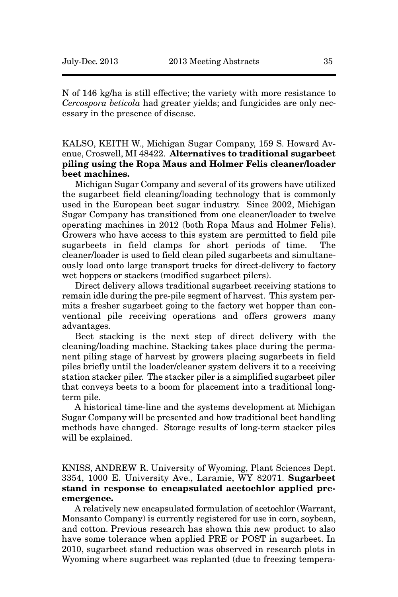N of 146 kg/ha is still effective; the variety with more resistance to *Cercospora beticola* had greater yields; and fungicides are only necessary in the presence of disease.

KALSO, KEITH W., Michigan Sugar Company, 159 S. Howard Avenue, Croswell, MI 48422. **Alternatives to traditional sugarbeet piling using the Ropa Maus and Holmer Felis cleaner/loader beet machines.**

Michigan Sugar Company and several of its growers have utilized the sugarbeet field cleaning/loading technology that is commonly used in the European beet sugar industry. Since 2002, Michigan Sugar Company has transitioned from one cleaner/loader to twelve operating machines in 2012 (both Ropa Maus and Holmer Felis). Growers who have access to this system are permitted to field pile sugarbeets in field clamps for short periods of time. The cleaner/loader is used to field clean piled sugarbeets and simultaneously load onto large transport trucks for direct-delivery to factory wet hoppers or stackers (modified sugarbeet pilers).

Direct delivery allows traditional sugarbeet receiving stations to remain idle during the pre-pile segment of harvest. This system permits a fresher sugarbeet going to the factory wet hopper than conventional pile receiving operations and offers growers many advantages.

Beet stacking is the next step of direct delivery with the cleaning/loading machine. Stacking takes place during the permanent piling stage of harvest by growers placing sugarbeets in field piles briefly until the loader/cleaner system delivers it to a receiving station stacker piler. The stacker piler is a simplified sugarbeet piler that conveys beets to a boom for placement into a traditional longterm pile.

A historical time-line and the systems development at Michigan Sugar Company will be presented and how traditional beet handling methods have changed. Storage results of long-term stacker piles will be explained.

KNISS, ANDREW R. University of Wyoming, Plant Sciences Dept. 3354, 1000 E. University Ave., Laramie, WY 82071. **Sugarbeet stand in response to encapsulated acetochlor applied preemergence.** 

A relatively new encapsulated formulation of acetochlor (Warrant, Monsanto Company) is currently registered for use in corn, soybean, and cotton. Previous research has shown this new product to also have some tolerance when applied PRE or POST in sugarbeet. In 2010, sugarbeet stand reduction was observed in research plots in Wyoming where sugarbeet was replanted (due to freezing tempera-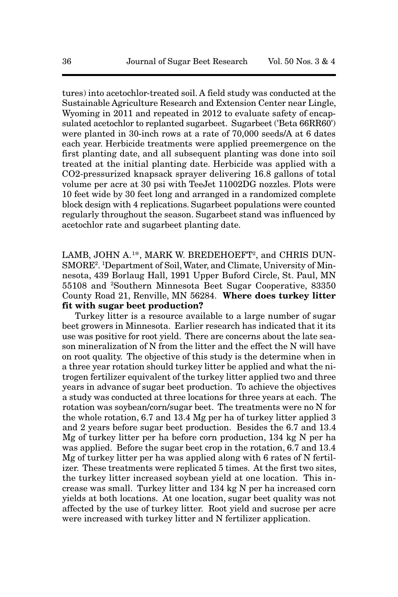tures) into acetochlor-treated soil. A field study was conducted at the Sustainable Agriculture Research and Extension Center near Lingle, Wyoming in 2011 and repeated in 2012 to evaluate safety of encapsulated acetochlor to replanted sugarbeet. Sugarbeet ('Beta 66RR60') were planted in 30-inch rows at a rate of 70,000 seeds/A at 6 dates each year. Herbicide treatments were applied preemergence on the first planting date, and all subsequent planting was done into soil treated at the initial planting date. Herbicide was applied with a CO2-pressurized knapsack sprayer delivering 16.8 gallons of total volume per acre at 30 psi with TeeJet 11002DG nozzles. Plots were 10 feet wide by 30 feet long and arranged in a randomized complete block design with 4 replications. Sugarbeet populations were counted regularly throughout the season. Sugarbeet stand was influenced by acetochlor rate and sugarbeet planting date.

LAMB, JOHN A.<sup>1\*</sup>, MARK W. BREDEHOEFT<sup>2</sup>, and CHRIS DUN-SMORE<sup>2</sup>. <sup>1</sup>Department of Soil, Water, and Climate, University of Minnesota, 439 Borlaug Hall, 1991 Upper Buford Circle, St. Paul, MN 55108 and 2Southern Minnesota Beet Sugar Cooperative, 83350 County Road 21, Renville, MN 56284. **Where does turkey litter fit with sugar beet production?**

Turkey litter is a resource available to a large number of sugar beet growers in Minnesota. Earlier research has indicated that it its use was positive for root yield. There are concerns about the late season mineralization of N from the litter and the effect the N will have on root quality. The objective of this study is the determine when in a three year rotation should turkey litter be applied and what the nitrogen fertilizer equivalent of the turkey litter applied two and three years in advance of sugar beet production. To achieve the objectives a study was conducted at three locations for three years at each. The rotation was soybean/corn/sugar beet. The treatments were no N for the whole rotation, 6.7 and 13.4 Mg per ha of turkey litter applied 3 and 2 years before sugar beet production. Besides the 6.7 and 13.4 Mg of turkey litter per ha before corn production, 134 kg N per ha was applied. Before the sugar beet crop in the rotation, 6.7 and 13.4 Mg of turkey litter per ha was applied along with 6 rates of N fertilizer. These treatments were replicated 5 times. At the first two sites, the turkey litter increased soybean yield at one location. This increase was small. Turkey litter and 134 kg N per ha increased corn yields at both locations. At one location, sugar beet quality was not affected by the use of turkey litter. Root yield and sucrose per acre were increased with turkey litter and N fertilizer application.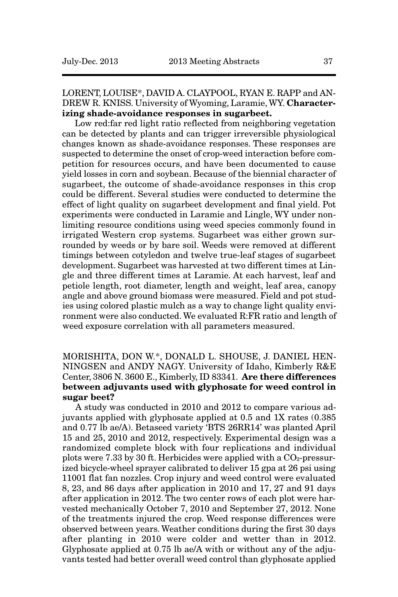LORENT, LOUISE\*, DAVID A. CLAYPOOL, RYAN E. RAPP and AN-DREW R. KNISS. University of Wyoming, Laramie, WY. **Characterizing shade-avoidance responses in sugarbeet.** 

Low red:far red light ratio reflected from neighboring vegetation can be detected by plants and can trigger irreversible physiological changes known as shade-avoidance responses. These responses are suspected to determine the onset of crop-weed interaction before competition for resources occurs, and have been documented to cause yield losses in corn and soybean. Because of the biennial character of sugarbeet, the outcome of shade-avoidance responses in this crop could be different. Several studies were conducted to determine the effect of light quality on sugarbeet development and final yield. Pot experiments were conducted in Laramie and Lingle, WY under nonlimiting resource conditions using weed species commonly found in irrigated Western crop systems. Sugarbeet was either grown surrounded by weeds or by bare soil. Weeds were removed at different timings between cotyledon and twelve true-leaf stages of sugarbeet development. Sugarbeet was harvested at two different times at Lingle and three different times at Laramie. At each harvest, leaf and petiole length, root diameter, length and weight, leaf area, canopy angle and above ground biomass were measured. Field and pot studies using colored plastic mulch as a way to change light quality environment were also conducted. We evaluated R:FR ratio and length of weed exposure correlation with all parameters measured.

# MORISHITA, DON W.\*, DONALD L. SHOUSE, J. DANIEL HEN-NINGSEN and ANDY NAGY. University of Idaho, Kimberly R&E Center, 3806 N. 3600 E., Kimberly, ID 83341. **Are there differences between adjuvants used with glyphosate for weed control in sugar beet?**

A study was conducted in 2010 and 2012 to compare various adjuvants applied with glyphosate applied at 0.5 and 1X rates (0.385 and 0.77 lb ae/A). Betaseed variety 'BTS 26RR14' was planted April 15 and 25, 2010 and 2012, respectively. Experimental design was a randomized complete block with four replications and individual plots were 7.33 by 30 ft. Herbicides were applied with a  $CO<sub>2</sub>$ -pressurized bicycle-wheel sprayer calibrated to deliver 15 gpa at 26 psi using 11001 flat fan nozzles. Crop injury and weed control were evaluated 8, 23, and 86 days after application in 2010 and 17, 27 and 91 days after application in 2012. The two center rows of each plot were harvested mechanically October 7, 2010 and September 27, 2012. None of the treatments injured the crop. Weed response differences were observed between years. Weather conditions during the first 30 days after planting in 2010 were colder and wetter than in 2012. Glyphosate applied at 0.75 lb ae/A with or without any of the adjuvants tested had better overall weed control than glyphosate applied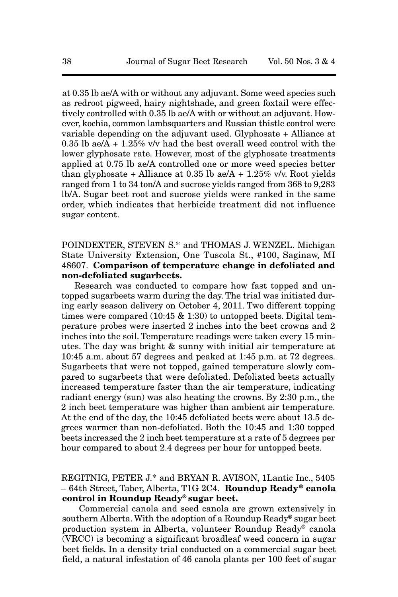at 0.35 lb ae/A with or without any adjuvant. Some weed species such as redroot pigweed, hairy nightshade, and green foxtail were effectively controlled with 0.35 lb ae/A with or without an adjuvant. However, kochia, common lambsquarters and Russian thistle control were variable depending on the adjuvant used. Glyphosate + Alliance at 0.35 lb ae/ $A + 1.25\%$  v/v had the best overall weed control with the lower glyphosate rate. However, most of the glyphosate treatments applied at 0.75 lb ae/A controlled one or more weed species better than glyphosate + Alliance at  $0.35$  lb ae/A +  $1.25\%$  v/v. Root yields ranged from 1 to 34 ton/A and sucrose yields ranged from 368 to 9,283 lb/A. Sugar beet root and sucrose yields were ranked in the same order, which indicates that herbicide treatment did not influence sugar content.

POINDEXTER, STEVEN S.\* and THOMAS J. WENZEL. Michigan State University Extension, One Tuscola St., #100, Saginaw, MI 48607. **Comparison of temperature change in defoliated and non-defoliated sugarbeets.**

Research was conducted to compare how fast topped and untopped sugarbeets warm during the day. The trial was initiated during early season delivery on October 4, 2011. Two different topping times were compared  $(10:45 \& 1:30)$  to untopped beets. Digital temperature probes were inserted 2 inches into the beet crowns and 2 inches into the soil. Temperature readings were taken every 15 minutes. The day was bright & sunny with initial air temperature at 10:45 a.m. about 57 degrees and peaked at 1:45 p.m. at 72 degrees. Sugarbeets that were not topped, gained temperature slowly compared to sugarbeets that were defoliated. Defoliated beets actually increased temperature faster than the air temperature, indicating radiant energy (sun) was also heating the crowns. By 2:30 p.m., the 2 inch beet temperature was higher than ambient air temperature. At the end of the day, the 10:45 defoliated beets were about 13.5 degrees warmer than non-defoliated. Both the 10:45 and 1:30 topped beets increased the 2 inch beet temperature at a rate of 5 degrees per hour compared to about 2.4 degrees per hour for untopped beets.

# REGITNIG, PETER J.\* and BRYAN R. AVISON, 1Lantic Inc., 5405 – 64th Street, Taber, Alberta, T1G 2C4. **Roundup Ready ® canola control in Roundup Ready® sugar beet.**

Commercial canola and seed canola are grown extensively in southern Alberta. With the adoption of a Roundup Ready® sugar beet production system in Alberta, volunteer Roundup Ready® canola (VRCC) is becoming a significant broadleaf weed concern in sugar beet fields. In a density trial conducted on a commercial sugar beet field, a natural infestation of 46 canola plants per 100 feet of sugar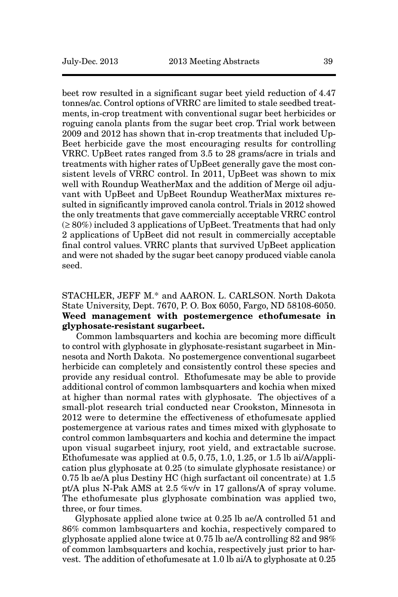beet row resulted in a significant sugar beet yield reduction of 4.47 tonnes/ac. Control options of VRRC are limited to stale seedbed treatments, in-crop treatment with conventional sugar beet herbicides or roguing canola plants from the sugar beet crop. Trial work between 2009 and 2012 has shown that in-crop treatments that included Up-Beet herbicide gave the most encouraging results for controlling VRRC. UpBeet rates ranged from 3.5 to 28 grams/acre in trials and treatments with higher rates of UpBeet generally gave the most consistent levels of VRRC control. In 2011, UpBeet was shown to mix well with Roundup WeatherMax and the addition of Merge oil adjuvant with UpBeet and UpBeet Roundup WeatherMax mixtures resulted in significantly improved canola control. Trials in 2012 showed the only treatments that gave commercially acceptable VRRC control  $(≥ 80%)$  included 3 applications of UpBeet. Treatments that had only 2 applications of UpBeet did not result in commercially acceptable final control values. VRRC plants that survived UpBeet application and were not shaded by the sugar beet canopy produced viable canola seed.

# STACHLER, JEFF M.\* and AARON. L. CARLSON. North Dakota State University, Dept. 7670, P. O. Box 6050, Fargo, ND 58108-6050. **Weed management with postemergence ethofumesate in glyphosate-resistant sugarbeet.**

Common lambsquarters and kochia are becoming more difficult to control with glyphosate in glyphosate-resistant sugarbeet in Minnesota and North Dakota. No postemergence conventional sugarbeet herbicide can completely and consistently control these species and provide any residual control. Ethofumesate may be able to provide additional control of common lambsquarters and kochia when mixed at higher than normal rates with glyphosate. The objectives of a small-plot research trial conducted near Crookston, Minnesota in 2012 were to determine the effectiveness of ethofumesate applied postemergence at various rates and times mixed with glyphosate to control common lambsquarters and kochia and determine the impact upon visual sugarbeet injury, root yield, and extractable sucrose. Ethofumesate was applied at  $0.5, 0.75, 1.0, 1.25$ , or  $1.5$  lb ai/A/application plus glyphosate at 0.25 (to simulate glyphosate resistance) or 0.75 lb ae/A plus Destiny HC (high surfactant oil concentrate) at 1.5 pt/A plus N-Pak AMS at 2.5 %v/v in 17 gallons/A of spray volume. The ethofumesate plus glyphosate combination was applied two, three, or four times.

Glyphosate applied alone twice at 0.25 lb ae/A controlled 51 and 86% common lambsquarters and kochia, respectively compared to glyphosate applied alone twice at 0.75 lb ae/A controlling 82 and 98% of common lambsquarters and kochia, respectively just prior to harvest. The addition of ethofumesate at 1.0 lb ai/A to glyphosate at 0.25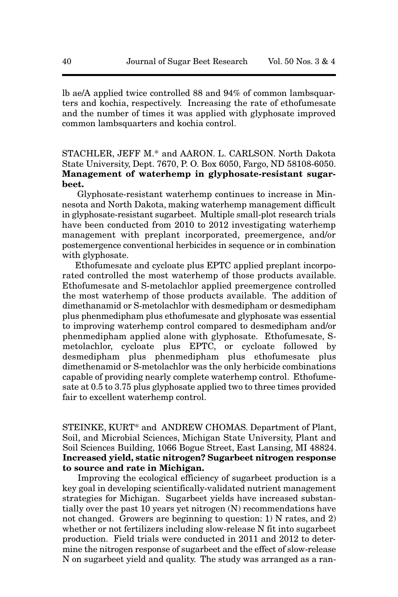lb ae/A applied twice controlled 88 and 94% of common lambsquarters and kochia, respectively. Increasing the rate of ethofumesate and the number of times it was applied with glyphosate improved common lambsquarters and kochia control.

# STACHLER, JEFF M.\* and AARON. L. CARLSON. North Dakota State University, Dept. 7670, P. O. Box 6050, Fargo, ND 58108-6050. **Management of waterhemp in glyphosate-resistant sugarbeet.**

Glyphosate-resistant waterhemp continues to increase in Minnesota and North Dakota, making waterhemp management difficult in glyphosate-resistant sugarbeet. Multiple small-plot research trials have been conducted from 2010 to 2012 investigating waterhemp management with preplant incorporated, preemergence, and/or postemergence conventional herbicides in sequence or in combination with glyphosate.

Ethofumesate and cycloate plus EPTC applied preplant incorporated controlled the most waterhemp of those products available. Ethofumesate and S-metolachlor applied preemergence controlled the most waterhemp of those products available. The addition of dimethanamid or S-metolachlor with desmedipham or desmedipham plus phenmedipham plus ethofumesate and glyphosate was essential to improving waterhemp control compared to desmedipham and/or phenmedipham applied alone with glyphosate. Ethofumesate, Smetolachlor, cycloate plus EPTC, or cycloate followed by desmedipham plus phenmedipham plus ethofumesate plus dimethenamid or S-metolachlor was the only herbicide combinations capable of providing nearly complete waterhemp control. Ethofumesate at 0.5 to 3.75 plus glyphosate applied two to three times provided fair to excellent waterhemp control.

STEINKE, KURT\* and ANDREW CHOMAS. Department of Plant, Soil, and Microbial Sciences, Michigan State University, Plant and Soil Sciences Building, 1066 Bogue Street, East Lansing, MI 48824. **Increased yield, static nitrogen? Sugarbeet nitrogen response to source and rate in Michigan.** 

Improving the ecological efficiency of sugarbeet production is a key goal in developing scientifically-validated nutrient management strategies for Michigan. Sugarbeet yields have increased substantially over the past 10 years yet nitrogen (N) recommendations have not changed. Growers are beginning to question: 1) N rates, and 2) whether or not fertilizers including slow-release N fit into sugarbeet production. Field trials were conducted in 2011 and 2012 to determine the nitrogen response of sugarbeet and the effect of slow-release N on sugarbeet yield and quality. The study was arranged as a ran-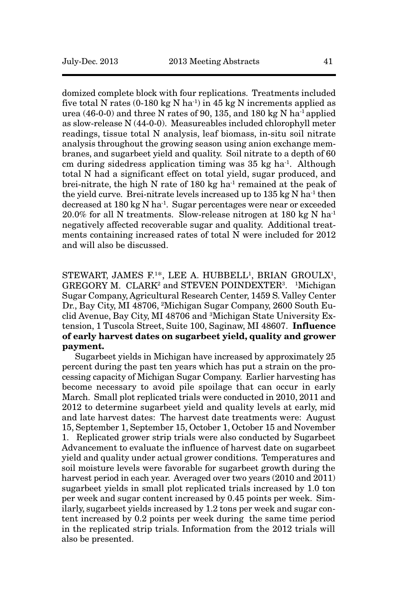domized complete block with four replications. Treatments included five total N rates (0-180 kg N ha<sup>-1</sup>) in 45 kg N increments applied as urea  $(46-0-0)$  and three N rates of 90, 135, and 180 kg N ha<sup>-1</sup> applied as slow-release N (44-0-0). Measureables included chlorophyll meter readings, tissue total N analysis, leaf biomass, in-situ soil nitrate analysis throughout the growing season using anion exchange membranes, and sugarbeet yield and quality. Soil nitrate to a depth of 60 cm during sidedress application timing was 35 kg ha-1. Although total N had a significant effect on total yield, sugar produced, and brei-nitrate, the high N rate of 180 kg ha<sup>-1</sup> remained at the peak of the yield curve. Brei-nitrate levels increased up to 135 kg N ha-1 then decreased at 180 kg N ha-1. Sugar percentages were near or exceeded  $20.0\%$  for all N treatments. Slow-release nitrogen at 180 kg N ha<sup>-1</sup> negatively affected recoverable sugar and quality. Additional treatments containing increased rates of total N were included for 2012 and will also be discussed.

STEWART, JAMES F.<sup>1\*</sup>, LEE A. HUBBELL<sup>1</sup>, BRIAN GROULX<sup>1</sup>, GREGORY M. CLARK<sup>2</sup> and STEVEN POINDEXTER<sup>3</sup>. <sup>1</sup>Michigan Sugar Company, Agricultural Research Center, 1459 S. Valley Center Dr., Bay City, MI 48706, 2Michigan Sugar Company, 2600 South Euclid Avenue, Bay City, MI 48706 and 3Michigan State University Extension, 1 Tuscola Street, Suite 100, Saginaw, MI 48607. **Influence of early harvest dates on sugarbeet yield, quality and grower payment.**

Sugarbeet yields in Michigan have increased by approximately 25 percent during the past ten years which has put a strain on the processing capacity of Michigan Sugar Company. Earlier harvesting has become necessary to avoid pile spoilage that can occur in early March. Small plot replicated trials were conducted in 2010, 2011 and 2012 to determine sugarbeet yield and quality levels at early, mid and late harvest dates: The harvest date treatments were: August 15, September 1, September 15, October 1, October 15 and November 1. Replicated grower strip trials were also conducted by Sugarbeet Advancement to evaluate the influence of harvest date on sugarbeet yield and quality under actual grower conditions. Temperatures and soil moisture levels were favorable for sugarbeet growth during the harvest period in each year. Averaged over two years (2010 and 2011) sugarbeet yields in small plot replicated trials increased by 1.0 ton per week and sugar content increased by 0.45 points per week. Similarly, sugarbeet yields increased by 1.2 tons per week and sugar content increased by 0.2 points per week during the same time period in the replicated strip trials. Information from the 2012 trials will also be presented.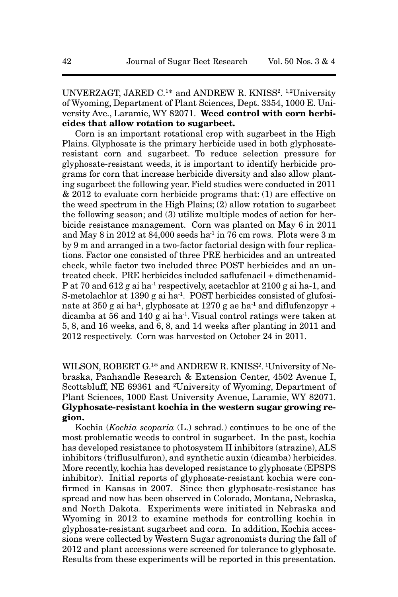UNVERZAGT, JARED C.<sup>1\*</sup> and ANDREW R. KNISS<sup>2</sup>. <sup>1,2</sup>University of Wyoming, Department of Plant Sciences, Dept. 3354, 1000 E. University Ave., Laramie, WY 82071. **Weed control with corn herbicides that allow rotation to sugarbeet.**

Corn is an important rotational crop with sugarbeet in the High Plains. Glyphosate is the primary herbicide used in both glyphosateresistant corn and sugarbeet. To reduce selection pressure for glyphosate-resistant weeds, it is important to identify herbicide programs for corn that increase herbicide diversity and also allow planting sugarbeet the following year. Field studies were conducted in 2011 & 2012 to evaluate corn herbicide programs that: (1) are effective on the weed spectrum in the High Plains; (2) allow rotation to sugarbeet the following season; and (3) utilize multiple modes of action for herbicide resistance management. Corn was planted on May 6 in 2011 and May 8 in 2012 at 84,000 seeds ha<sup>-1</sup> in 76 cm rows. Plots were 3 m by 9 m and arranged in a two-factor factorial design with four replications. Factor one consisted of three PRE herbicides and an untreated check, while factor two included three POST herbicides and an untreated check. PRE herbicides included saflufenacil + dimethenamid-P at 70 and 612 g ai ha-1 respectively, acetachlor at 2100 g ai ha-1, and S-metolachlor at  $1390 g$  ai ha<sup>-1</sup>. POST herbicides consisted of glufosinate at  $350$  g ai ha<sup>-1</sup>, glyphosate at  $1270$  g ae ha<sup>-1</sup> and diflufenzopyr + dicamba at 56 and 140 g ai ha-1. Visual control ratings were taken at 5, 8, and 16 weeks, and 6, 8, and 14 weeks after planting in 2011 and 2012 respectively. Corn was harvested on October 24 in 2011.

WILSON, ROBERT G.<sup>1\*</sup> and ANDREW R. KNISS<sup>2</sup>. <sup>1</sup>University of Nebraska, Panhandle Research & Extension Center, 4502 Avenue I, Scottsbluff, NE 69361 and 2University of Wyoming, Department of Plant Sciences, 1000 East University Avenue, Laramie, WY 82071. **Glyphosate-resistant kochia in the western sugar growing region.**

Kochia (*Kochia scoparia* (L.) schrad.) continues to be one of the most problematic weeds to control in sugarbeet. In the past, kochia has developed resistance to photosystem II inhibitors (atrazine), ALS inhibitors (triflusulfuron), and synthetic auxin (dicamba) herbicides. More recently, kochia has developed resistance to glyphosate (EPSPS inhibitor). Initial reports of glyphosate-resistant kochia were confirmed in Kansas in 2007. Since then glyphosate-resistance has spread and now has been observed in Colorado, Montana, Nebraska, and North Dakota. Experiments were initiated in Nebraska and Wyoming in 2012 to examine methods for controlling kochia in glyphosate-resistant sugarbeet and corn. In addition, Kochia accessions were collected by Western Sugar agronomists during the fall of 2012 and plant accessions were screened for tolerance to glyphosate. Results from these experiments will be reported in this presentation.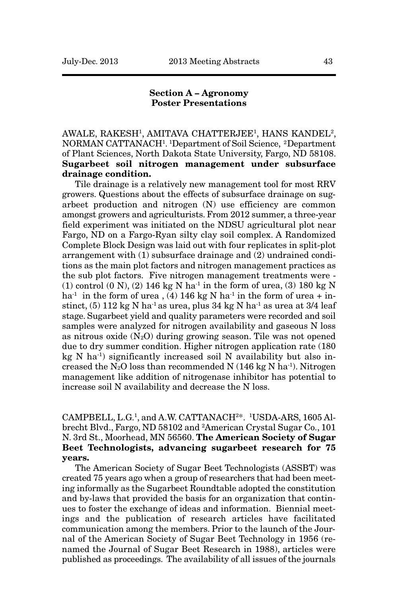#### **Section A – Agronomy Poster Presentations**

AWALE, RAKESH1, AMITAVA CHATTERJEE1, HANS KANDEL2, NORMAN CATTANACH<sup>1</sup>. <sup>1</sup>Department of Soil Science, <sup>2</sup>Department of Plant Sciences, North Dakota State University, Fargo, ND 58108. **Sugarbeet soil nitrogen management under subsurface drainage condition.**

Tile drainage is a relatively new management tool for most RRV growers. Questions about the effects of subsurface drainage on sugarbeet production and nitrogen (N) use efficiency are common amongst growers and agriculturists. From 2012 summer, a three-year field experiment was initiated on the NDSU agricultural plot near Fargo, ND on a Fargo-Ryan silty clay soil complex. A Randomized Complete Block Design was laid out with four replicates in split-plot arrangement with (1) subsurface drainage and (2) undrained conditions as the main plot factors and nitrogen management practices as the sub plot factors. Five nitrogen management treatments were - (1) control (0 N), (2) 146 kg N ha<sup>-1</sup> in the form of urea, (3) 180 kg N ha<sup>-1</sup> in the form of urea , (4) 146 kg N ha<sup>-1</sup> in the form of urea + instinct,  $(5)$  112 kg N ha<sup>-1</sup> as urea, plus 34 kg N ha<sup>-1</sup> as urea at 3/4 leaf stage. Sugarbeet yield and quality parameters were recorded and soil samples were analyzed for nitrogen availability and gaseous N loss as nitrous oxide  $(N_2O)$  during growing season. Tile was not opened due to dry summer condition. Higher nitrogen application rate (180  $kg \text{ N}$  ha<sup>-1</sup>) significantly increased soil N availability but also increased the  $N_2O$  loss than recommended N (146 kg N ha<sup>-1</sup>). Nitrogen management like addition of nitrogenase inhibitor has potential to increase soil N availability and decrease the N loss.

CAMPBELL, L.G.<sup>1</sup>, and A.W. CATTANACH<sup>2\*</sup>. <sup>1</sup>USDA-ARS, 1605 Albrecht Blvd., Fargo, ND 58102 and 2American Crystal Sugar Co., 101 N. 3rd St., Moorhead, MN 56560. **The American Society of Sugar Beet Technologists, advancing sugarbeet research for 75 years.**

The American Society of Sugar Beet Technologists (ASSBT) was created 75 years ago when a group of researchers that had been meeting informally as the Sugarbeet Roundtable adopted the constitution and by-laws that provided the basis for an organization that continues to foster the exchange of ideas and information. Biennial meetings and the publication of research articles have facilitated communication among the members. Prior to the launch of the Journal of the American Society of Sugar Beet Technology in 1956 (renamed the Journal of Sugar Beet Research in 1988), articles were published as proceedings. The availability of all issues of the journals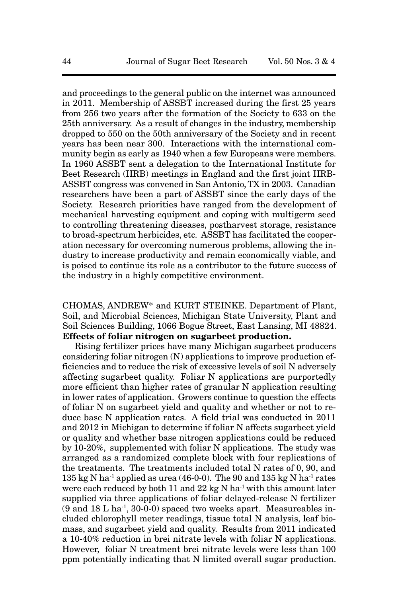and proceedings to the general public on the internet was announced in 2011. Membership of ASSBT increased during the first 25 years from 256 two years after the formation of the Society to 633 on the 25th anniversary. As a result of changes in the industry, membership dropped to 550 on the 50th anniversary of the Society and in recent years has been near 300. Interactions with the international community begin as early as 1940 when a few Europeans were members. In 1960 ASSBT sent a delegation to the International Institute for Beet Research (IIRB) meetings in England and the first joint IIRB-ASSBT congress was convened in San Antonio, TX in 2003. Canadian researchers have been a part of ASSBT since the early days of the Society. Research priorities have ranged from the development of mechanical harvesting equipment and coping with multigerm seed to controlling threatening diseases, postharvest storage, resistance to broad-spectrum herbicides, etc. ASSBT has facilitated the cooperation necessary for overcoming numerous problems, allowing the industry to increase productivity and remain economically viable, and is poised to continue its role as a contributor to the future success of the industry in a highly competitive environment.

CHOMAS, ANDREW\* and KURT STEINKE. Department of Plant, Soil, and Microbial Sciences, Michigan State University, Plant and Soil Sciences Building, 1066 Bogue Street, East Lansing, MI 48824. **Effects of foliar nitrogen on sugarbeet production.**

Rising fertilizer prices have many Michigan sugarbeet producers considering foliar nitrogen (N) applications to improve production efficiencies and to reduce the risk of excessive levels of soil N adversely affecting sugarbeet quality. Foliar N applications are purportedly more efficient than higher rates of granular N application resulting in lower rates of application. Growers continue to question the effects of foliar N on sugarbeet yield and quality and whether or not to reduce base N application rates. A field trial was conducted in 2011 and 2012 in Michigan to determine if foliar N affects sugarbeet yield or quality and whether base nitrogen applications could be reduced by 10-20%, supplemented with foliar N applications. The study was arranged as a randomized complete block with four replications of the treatments. The treatments included total N rates of 0, 90, and 135 kg N ha<sup>-1</sup> applied as urea (46-0-0). The 90 and 135 kg N ha<sup>-1</sup> rates were each reduced by both 11 and  $22 \text{ kg N}$  ha<sup>-1</sup> with this amount later supplied via three applications of foliar delayed-release N fertilizer  $(9 \text{ and } 18 \text{ L} \text{ ha}^{-1}, 30 \text{ - } 0)$  spaced two weeks apart. Measureables included chlorophyll meter readings, tissue total N analysis, leaf biomass, and sugarbeet yield and quality. Results from 2011 indicated a 10-40% reduction in brei nitrate levels with foliar N applications. However, foliar N treatment brei nitrate levels were less than 100 ppm potentially indicating that N limited overall sugar production.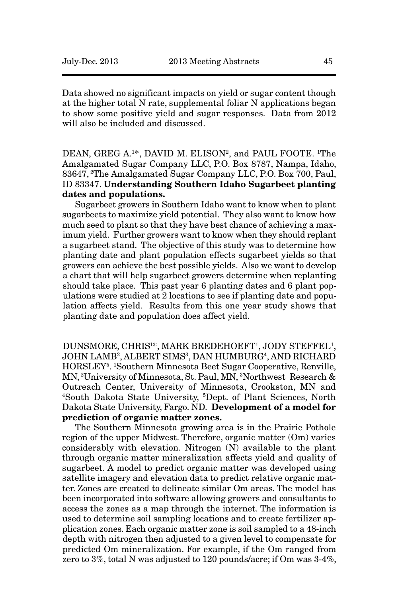Data showed no significant impacts on yield or sugar content though at the higher total N rate, supplemental foliar N applications began to show some positive yield and sugar responses. Data from 2012 will also be included and discussed.

DEAN, GREG A.<sup>1\*</sup>, DAVID M. ELISON<sup>2</sup>, and PAUL FOOTE. <sup>1</sup>The Amalgamated Sugar Company LLC, P.O. Box 8787, Nampa, Idaho, 83647, 2The Amalgamated Sugar Company LLC, P.O. Box 700, Paul, ID 83347. **Understanding Southern Idaho Sugarbeet planting dates and populations.** 

Sugarbeet growers in Southern Idaho want to know when to plant sugarbeets to maximize yield potential. They also want to know how much seed to plant so that they have best chance of achieving a maximum yield. Further growers want to know when they should replant a sugarbeet stand. The objective of this study was to determine how planting date and plant population effects sugarbeet yields so that growers can achieve the best possible yields. Also we want to develop a chart that will help sugarbeet growers determine when replanting should take place. This past year 6 planting dates and 6 plant populations were studied at 2 locations to see if planting date and population affects yield. Results from this one year study shows that planting date and population does affect yield.

DUNSMORE, CHRIS<sup>1\*</sup>, MARK BREDEHOEFT<sup>1</sup>, JODY STEFFEL<sup>1</sup>, JOHN LAMB<sup>2</sup>, ALBERT SIMS<sup>3</sup>, DAN HUMBURG<sup>4</sup>, AND RICHARD HORSLEY5. 1Southern Minnesota Beet Sugar Cooperative, Renville, MN, 2University of Minnesota, St. Paul, MN, 3Northwest Research & Outreach Center, University of Minnesota, Crookston, MN and 4South Dakota State University, 5Dept. of Plant Sciences, North Dakota State University, Fargo. ND. **Development of a model for prediction of organic matter zones.**

The Southern Minnesota growing area is in the Prairie Pothole region of the upper Midwest. Therefore, organic matter (Om) varies considerably with elevation. Nitrogen (N) available to the plant through organic matter mineralization affects yield and quality of sugarbeet. A model to predict organic matter was developed using satellite imagery and elevation data to predict relative organic matter. Zones are created to delineate similar Om areas. The model has been incorporated into software allowing growers and consultants to access the zones as a map through the internet. The information is used to determine soil sampling locations and to create fertilizer application zones. Each organic matter zone is soil sampled to a 48-inch depth with nitrogen then adjusted to a given level to compensate for predicted Om mineralization. For example, if the Om ranged from zero to 3%, total N was adjusted to 120 pounds/acre; if Om was 3-4%,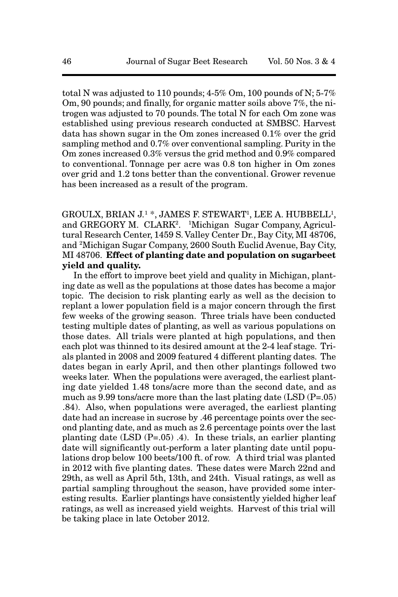total N was adjusted to 110 pounds;  $4-5\%$  Om, 100 pounds of N;  $5-7\%$ Om, 90 pounds; and finally, for organic matter soils above 7%, the nitrogen was adjusted to 70 pounds. The total N for each Om zone was established using previous research conducted at SMBSC. Harvest data has shown sugar in the Om zones increased 0.1% over the grid sampling method and 0.7% over conventional sampling. Purity in the Om zones increased 0.3% versus the grid method and 0.9% compared to conventional. Tonnage per acre was 0.8 ton higher in Om zones over grid and 1.2 tons better than the conventional. Grower revenue has been increased as a result of the program.

GROULX, BRIAN J.<sup>1</sup> \*, JAMES F. STEWART<sup>1</sup>, LEE A. HUBBELL<sup>1</sup>, and GREGORY M. CLARK<sup>2</sup>. <sup>1</sup>Michigan Sugar Company, Agricultural Research Center, 1459 S. Valley Center Dr., Bay City, MI 48706, and 2Michigan Sugar Company, 2600 South Euclid Avenue, Bay City, MI 48706. **Effect of planting date and population on sugarbeet yield and quality.** 

In the effort to improve beet yield and quality in Michigan, planting date as well as the populations at those dates has become a major topic. The decision to risk planting early as well as the decision to replant a lower population field is a major concern through the first few weeks of the growing season. Three trials have been conducted testing multiple dates of planting, as well as various populations on those dates. All trials were planted at high populations, and then each plot was thinned to its desired amount at the 2-4 leaf stage. Trials planted in 2008 and 2009 featured 4 different planting dates. The dates began in early April, and then other plantings followed two weeks later. When the populations were averaged, the earliest planting date yielded 1.48 tons/acre more than the second date, and as much as 9.99 tons/acre more than the last plating date (LSD (P=.05) .84). Also, when populations were averaged, the earliest planting date had an increase in sucrose by .46 percentage points over the second planting date, and as much as 2.6 percentage points over the last planting date (LSD (P=.05) .4). In these trials, an earlier planting date will significantly out-perform a later planting date until populations drop below 100 beets/100 ft. of row. A third trial was planted in 2012 with five planting dates. These dates were March 22nd and 29th, as well as April 5th, 13th, and 24th. Visual ratings, as well as partial sampling throughout the season, have provided some interesting results. Earlier plantings have consistently yielded higher leaf ratings, as well as increased yield weights. Harvest of this trial will be taking place in late October 2012.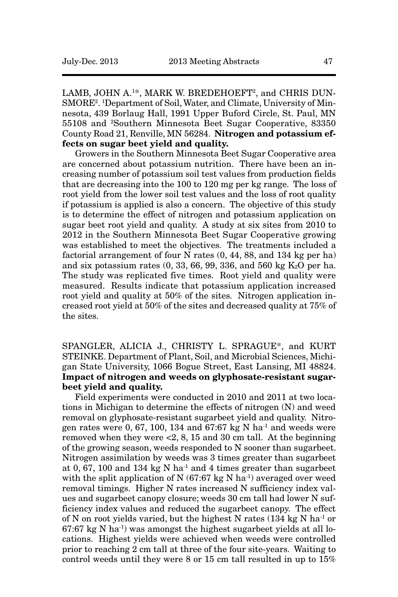LAMB, JOHN A.<sup>1\*</sup>, MARK W. BREDEHOEFT<sup>2</sup>, and CHRIS DUN-SMORE<sup>2</sup>. <sup>1</sup>Department of Soil, Water, and Climate, University of Minnesota, 439 Borlaug Hall, 1991 Upper Buford Circle, St. Paul, MN 55108 and 2Southern Minnesota Beet Sugar Cooperative, 83350 County Road 21, Renville, MN 56284. **Nitrogen and potassium effects on sugar beet yield and quality.**

Growers in the Southern Minnesota Beet Sugar Cooperative area are concerned about potassium nutrition. There have been an increasing number of potassium soil test values from production fields that are decreasing into the 100 to 120 mg per kg range. The loss of root yield from the lower soil test values and the loss of root quality if potassium is applied is also a concern. The objective of this study is to determine the effect of nitrogen and potassium application on sugar beet root yield and quality. A study at six sites from 2010 to 2012 in the Southern Minnesota Beet Sugar Cooperative growing was established to meet the objectives. The treatments included a factorial arrangement of four N rates (0, 44, 88, and 134 kg per ha) and six potassium rates  $(0, 33, 66, 99, 336,$  and 560 kg  $K_2O$  per ha. The study was replicated five times. Root yield and quality were measured. Results indicate that potassium application increased root yield and quality at 50% of the sites. Nitrogen application increased root yield at 50% of the sites and decreased quality at 75% of the sites.

SPANGLER, ALICIA J., CHRISTY L. SPRAGUE\*, and KURT STEINKE. Department of Plant, Soil, and Microbial Sciences, Michigan State University, 1066 Bogue Street, East Lansing, MI 48824. **Impact of nitrogen and weeds on glyphosate-resistant sugarbeet yield and quality.** 

Field experiments were conducted in 2010 and 2011 at two locations in Michigan to determine the effects of nitrogen (N) and weed removal on glyphosate-resistant sugarbeet yield and quality. Nitrogen rates were 0, 67, 100, 134 and 67:67 kg N ha<sup>-1</sup> and weeds were removed when they were <2, 8, 15 and 30 cm tall. At the beginning of the growing season, weeds responded to N sooner than sugarbeet. Nitrogen assimilation by weeds was 3 times greater than sugarbeet at 0, 67, 100 and 134 kg N ha<sup>-1</sup> and 4 times greater than sugarbeet with the split application of N (67:67 kg N ha<sup>-1</sup>) averaged over weed removal timings. Higher N rates increased N sufficiency index values and sugarbeet canopy closure; weeds 30 cm tall had lower N sufficiency index values and reduced the sugarbeet canopy. The effect of N on root yields varied, but the highest N rates  $(134 \text{ kg N} \text{ ha}^{-1})$  or  $67:67$  kg N ha<sup>-1</sup>) was amongst the highest sugarbeet yields at all locations. Highest yields were achieved when weeds were controlled prior to reaching 2 cm tall at three of the four site-years. Waiting to control weeds until they were 8 or 15 cm tall resulted in up to 15%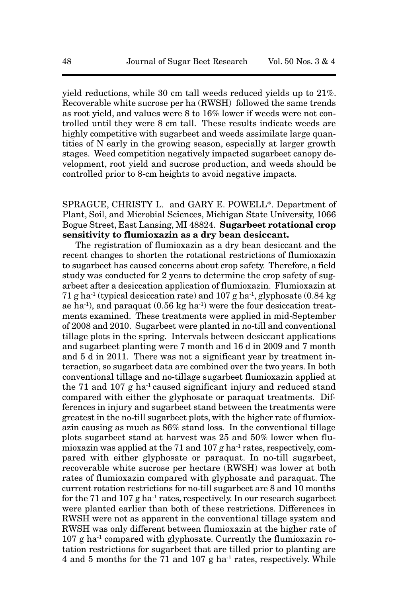yield reductions, while 30 cm tall weeds reduced yields up to 21%. Recoverable white sucrose per ha (RWSH) followed the same trends as root yield, and values were 8 to 16% lower if weeds were not controlled until they were 8 cm tall. These results indicate weeds are highly competitive with sugarbeet and weeds assimilate large quantities of N early in the growing season, especially at larger growth stages. Weed competition negatively impacted sugarbeet canopy development, root yield and sucrose production, and weeds should be controlled prior to 8-cm heights to avoid negative impacts.

# SPRAGUE, CHRISTY L. and GARY E. POWELL\*. Department of Plant, Soil, and Microbial Sciences, Michigan State University, 1066 Bogue Street, East Lansing, MI 48824. **Sugarbeet rotational crop sensitivity to flumioxazin as a dry bean desiccant.**

The registration of flumioxazin as a dry bean desiccant and the recent changes to shorten the rotational restrictions of flumioxazin to sugarbeet has caused concerns about crop safety. Therefore, a field study was conducted for 2 years to determine the crop safety of sugarbeet after a desiccation application of flumioxazin. Flumioxazin at 71 g ha<sup>-1</sup> (typical desiccation rate) and 107 g ha<sup>-1</sup>, glyphosate  $(0.84 \text{ kg})$ ae ha<sup>-1</sup>), and paraquat  $(0.56 \text{ kg ha}^{-1})$  were the four desiccation treatments examined. These treatments were applied in mid-September of 2008 and 2010. Sugarbeet were planted in no-till and conventional tillage plots in the spring. Intervals between desiccant applications and sugarbeet planting were 7 month and 16 d in 2009 and 7 month and 5 d in 2011. There was not a significant year by treatment interaction, so sugarbeet data are combined over the two years. In both conventional tillage and no-tillage sugarbeet flumioxazin applied at the 71 and 107  $g$  ha<sup>-1</sup> caused significant injury and reduced stand compared with either the glyphosate or paraquat treatments. Differences in injury and sugarbeet stand between the treatments were greatest in the no-till sugarbeet plots, with the higher rate of flumioxazin causing as much as 86% stand loss. In the conventional tillage plots sugarbeet stand at harvest was 25 and 50% lower when flumioxazin was applied at the 71 and 107 g ha<sup>-1</sup> rates, respectively, compared with either glyphosate or paraquat. In no-till sugarbeet, recoverable white sucrose per hectare (RWSH) was lower at both rates of flumioxazin compared with glyphosate and paraquat. The current rotation restrictions for no-till sugarbeet are 8 and 10 months for the 71 and 107  $g$  ha<sup>-1</sup> rates, respectively. In our research sugarbeet were planted earlier than both of these restrictions. Differences in RWSH were not as apparent in the conventional tillage system and RWSH was only different between flumioxazin at the higher rate of  $107$  g ha<sup>-1</sup> compared with glyphosate. Currently the flumioxazin rotation restrictions for sugarbeet that are tilled prior to planting are 4 and 5 months for the 71 and 107 g ha<sup>-1</sup> rates, respectively. While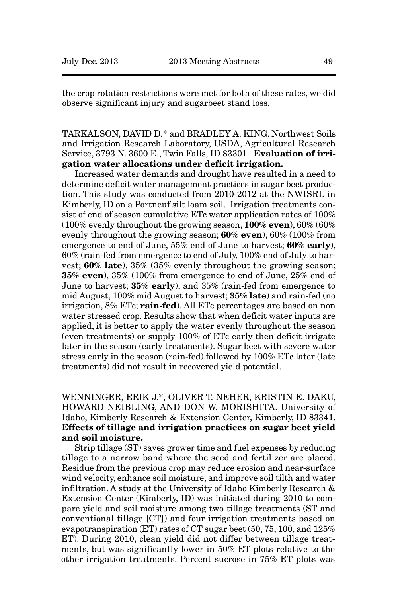the crop rotation restrictions were met for both of these rates, we did observe significant injury and sugarbeet stand loss.

TARKALSON, DAVID D.\* and BRADLEY A. KING. Northwest Soils and Irrigation Research Laboratory, USDA, Agricultural Research Service, 3793 N. 3600 E., Twin Falls, ID 83301. **Evaluation of irrigation water allocations under deficit irrigation.**

Increased water demands and drought have resulted in a need to determine deficit water management practices in sugar beet production. This study was conducted from 2010-2012 at the NWISRL in Kimberly, ID on a Portneuf silt loam soil. Irrigation treatments consist of end of season cumulative ETc water application rates of 100% (100% evenly throughout the growing season, **100% even**), 60% (60% evenly throughout the growing season; **60% even**), 60% (100% from emergence to end of June, 55% end of June to harvest; **60% early**), 60% (rain-fed from emergence to end of July, 100% end of July to harvest; **60% late**), 35% (35% evenly throughout the growing season; **35% even**), 35% (100% from emergence to end of June, 25% end of June to harvest; **35% early**), and 35% (rain-fed from emergence to mid August, 100% mid August to harvest; **35% late**) and rain-fed (no irrigation, 8% ETc; **rain-fed**). All ETc percentages are based on non water stressed crop. Results show that when deficit water inputs are applied, it is better to apply the water evenly throughout the season (even treatments) or supply 100% of ETc early then deficit irrigate later in the season (early treatments). Sugar beet with severe water stress early in the season (rain-fed) followed by 100% ETc later (late treatments) did not result in recovered yield potential.

WENNINGER, ERIK J.\*, OLIVER T. NEHER, KRISTIN E. DAKU, HOWARD NEIBLING, AND DON W. MORISHITA. University of Idaho, Kimberly Research & Extension Center, Kimberly, ID 83341. **Effects of tillage and irrigation practices on sugar beet yield and soil moisture.** 

Strip tillage (ST) saves grower time and fuel expenses by reducing tillage to a narrow band where the seed and fertilizer are placed. Residue from the previous crop may reduce erosion and near-surface wind velocity, enhance soil moisture, and improve soil tilth and water infiltration. A study at the University of Idaho Kimberly Research & Extension Center (Kimberly, ID) was initiated during 2010 to compare yield and soil moisture among two tillage treatments (ST and conventional tillage [CT]) and four irrigation treatments based on evapotranspiration (ET) rates of CT sugar beet (50, 75, 100, and 125% ET). During 2010, clean yield did not differ between tillage treatments, but was significantly lower in 50% ET plots relative to the other irrigation treatments. Percent sucrose in 75% ET plots was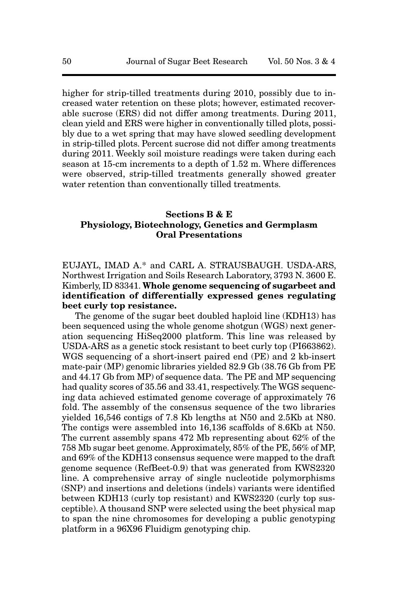higher for strip-tilled treatments during 2010, possibly due to increased water retention on these plots; however, estimated recoverable sucrose (ERS) did not differ among treatments. During 2011, clean yield and ERS were higher in conventionally tilled plots, possibly due to a wet spring that may have slowed seedling development in strip-tilled plots. Percent sucrose did not differ among treatments during 2011. Weekly soil moisture readings were taken during each season at 15-cm increments to a depth of 1.52 m. Where differences were observed, strip-tilled treatments generally showed greater water retention than conventionally tilled treatments.

#### **Sections B & E Physiology, Biotechnology, Genetics and Germplasm Oral Presentations**

EUJAYL, IMAD A.\* and CARL A. STRAUSBAUGH. USDA-ARS, Northwest Irrigation and Soils Research Laboratory, 3793 N. 3600 E. Kimberly, ID 83341. **Whole genome sequencing of sugarbeet and identification of differentially expressed genes regulating beet curly top resistance.**

The genome of the sugar beet doubled haploid line (KDH13) has been sequenced using the whole genome shotgun (WGS) next generation sequencing HiSeq2000 platform. This line was released by USDA-ARS as a genetic stock resistant to beet curly top (PI663862). WGS sequencing of a short-insert paired end (PE) and 2 kb-insert mate-pair (MP) genomic libraries yielded 82.9 Gb (38.76 Gb from PE and 44.17 Gb from MP) of sequence data. The PE and MP sequencing had quality scores of 35.56 and 33.41, respectively. The WGS sequencing data achieved estimated genome coverage of approximately 76 fold. The assembly of the consensus sequence of the two libraries yielded 16,546 contigs of 7.8 Kb lengths at N50 and 2.5Kb at N80. The contigs were assembled into 16,136 scaffolds of 8.6Kb at N50. The current assembly spans 472 Mb representing about 62% of the 758 Mb sugar beet genome. Approximately, 85% of the PE, 56% of MP, and 69% of the KDH13 consensus sequence were mapped to the draft genome sequence (RefBeet-0.9) that was generated from KWS2320 line. A comprehensive array of single nucleotide polymorphisms (SNP) and insertions and deletions (indels) variants were identified between KDH13 (curly top resistant) and KWS2320 (curly top susceptible). A thousand SNP were selected using the beet physical map to span the nine chromosomes for developing a public genotyping platform in a 96X96 Fluidigm genotyping chip.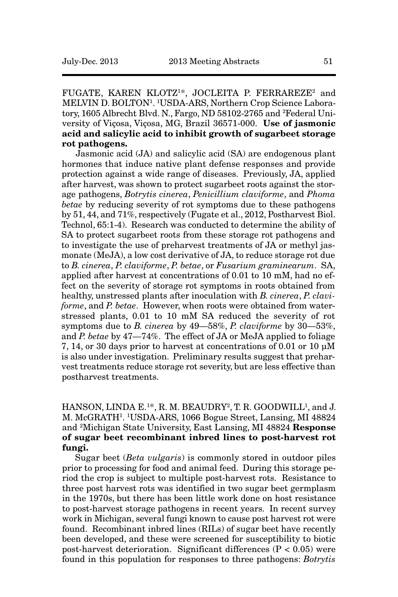# FUGATE, KAREN KLOTZ<sup>1\*</sup>, JOCLEITA P. FERRAREZE<sup>2</sup> and MELVIN D. BOLTON1. 1USDA-ARS, Northern Crop Science Laboratory, 1605 Albrecht Blvd. N., Fargo, ND 58102-2765 and 2 Federal University of Viçosa, Viçosa, MG, Brazil 36571-000. **Use of jasmonic acid and salicylic acid to inhibit growth of sugarbeet storage rot pathogens.**

Jasmonic acid (JA) and salicylic acid (SA) are endogenous plant hormones that induce native plant defense responses and provide protection against a wide range of diseases. Previously, JA, applied after harvest, was shown to protect sugarbeet roots against the storage pathogens, *Botrytis cinerea*, *Penicillium claviforme*, and *Phoma betae* by reducing severity of rot symptoms due to these pathogens by 51, 44, and 71%, respectively (Fugate et al., 2012, Postharvest Biol. Technol, 65:1-4). Research was conducted to determine the ability of SA to protect sugarbeet roots from these storage rot pathogens and to investigate the use of preharvest treatments of JA or methyl jasmonate (MeJA), a low cost derivative of JA, to reduce storage rot due to *B. cinerea*, *P. claviforme*, *P. betae*, or *Fusarium graminearum*. SA, applied after harvest at concentrations of 0.01 to 10 mM, had no effect on the severity of storage rot symptoms in roots obtained from healthy, unstressed plants after inoculation with *B. cinerea*, *P. claviforme*, and *P. betae*. However, when roots were obtained from waterstressed plants, 0.01 to 10 mM SA reduced the severity of rot symptoms due to *B. cinerea* by 49—58%, *P. claviforme* by 30—53%, and *P. betae* by 47—74%. The effect of JA or MeJA applied to foliage 7, 14, or 30 days prior to harvest at concentrations of 0.01 or 10 µM is also under investigation. Preliminary results suggest that preharvest treatments reduce storage rot severity, but are less effective than postharvest treatments.

# HANSON, LINDA E.<sup>1\*</sup>, R. M. BEAUDRY<sup>2</sup>, T. R. GOODWILL<sup>1</sup>, and J. M. McGRATH1. 1USDA-ARS, 1066 Bogue Street, Lansing, MI 48824 and 2Michigan State University, East Lansing, MI 48824 **Response of sugar beet recombinant inbred lines to post-harvest rot fungi.**

Sugar beet (*Beta vulgaris*) is commonly stored in outdoor piles prior to processing for food and animal feed. During this storage period the crop is subject to multiple post-harvest rots. Resistance to three post harvest rots was identified in two sugar beet germplasm in the 1970s, but there has been little work done on host resistance to post-harvest storage pathogens in recent years. In recent survey work in Michigan, several fungi known to cause post harvest rot were found. Recombinant inbred lines (RILs) of sugar beet have recently been developed, and these were screened for susceptibility to biotic post-harvest deterioration. Significant differences (P < 0.05) were found in this population for responses to three pathogens: *Botrytis*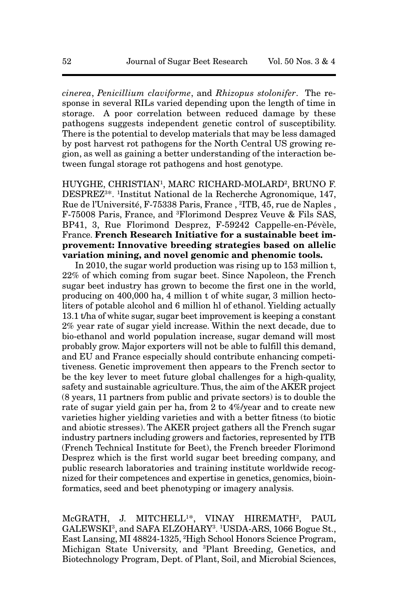*cinerea*, *Penicillium claviforme*, and *Rhizopus stolonifer*. The response in several RILs varied depending upon the length of time in storage. A poor correlation between reduced damage by these pathogens suggests independent genetic control of susceptibility. There is the potential to develop materials that may be less damaged by post harvest rot pathogens for the North Central US growing region, as well as gaining a better understanding of the interaction between fungal storage rot pathogens and host genotype.

HUYGHE, CHRISTIAN1, MARC RICHARD-MOLARD2, BRUNO F. DESPREZ3\*. 1Institut National de la Recherche Agronomique, 147, Rue de l'Université, F-75338 Paris, France , 2ITB, 45, rue de Naples , F-75008 Paris, France, and 3Florimond Desprez Veuve & Fils SAS, BP41, 3, Rue Florimond Desprez, F-59242 Cappelle-en-Pévèle, France. **French Research Initiative for a sustainable beet improvement: Innovative breeding strategies based on allelic variation mining, and novel genomic and phenomic tools.**

In 2010, the sugar world production was rising up to 153 million t, 22% of which coming from sugar beet. Since Napoleon, the French sugar beet industry has grown to become the first one in the world, producing on 400,000 ha, 4 million t of white sugar, 3 million hectoliters of potable alcohol and 6 million hl of ethanol. Yielding actually 13.1 t/ha of white sugar, sugar beet improvement is keeping a constant 2% year rate of sugar yield increase. Within the next decade, due to bio-ethanol and world population increase, sugar demand will most probably grow. Major exporters will not be able to fulfill this demand, and EU and France especially should contribute enhancing competitiveness. Genetic improvement then appears to the French sector to be the key lever to meet future global challenges for a high-quality, safety and sustainable agriculture. Thus, the aim of the AKER project (8 years, 11 partners from public and private sectors) is to double the rate of sugar yield gain per ha, from 2 to 4%/year and to create new varieties higher yielding varieties and with a better fitness (to biotic and abiotic stresses). The AKER project gathers all the French sugar industry partners including growers and factories, represented by ITB (French Technical Institute for Beet), the French breeder Florimond Desprez which is the first world sugar beet breeding company, and public research laboratories and training institute worldwide recognized for their competences and expertise in genetics, genomics, bioinformatics, seed and beet phenotyping or imagery analysis.

McGRATH, J. MITCHELL<sup>1\*</sup>, VINAY HIREMATH<sup>2</sup>, PAUL GALEWSKI<sup>3</sup>, and SAFA ELZOHARY<sup>3</sup>. <sup>1</sup>USDA-ARS, 1066 Bogue St., East Lansing, MI 48824-1325, 2 High School Honors Science Program, Michigan State University, and 3Plant Breeding, Genetics, and Biotechnology Program, Dept. of Plant, Soil, and Microbial Sciences,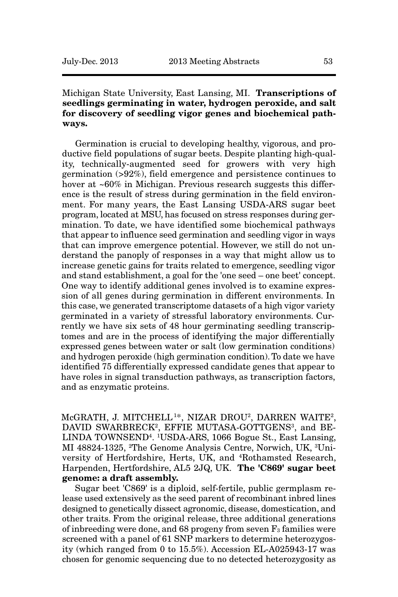# Michigan State University, East Lansing, MI. **Transcriptions of seedlings germinating in water, hydrogen peroxide, and salt for discovery of seedling vigor genes and biochemical pathways.**

Germination is crucial to developing healthy, vigorous, and productive field populations of sugar beets. Despite planting high-quality, technically-augmented seed for growers with very high germination (>92%), field emergence and persistence continues to hover at ~60% in Michigan. Previous research suggests this difference is the result of stress during germination in the field environment. For many years, the East Lansing USDA-ARS sugar beet program, located at MSU, has focused on stress responses during germination. To date, we have identified some biochemical pathways that appear to influence seed germination and seedling vigor in ways that can improve emergence potential. However, we still do not understand the panoply of responses in a way that might allow us to increase genetic gains for traits related to emergence, seedling vigor and stand establishment, a goal for the 'one seed – one beet' concept. One way to identify additional genes involved is to examine expression of all genes during germination in different environments. In this case, we generated transcriptome datasets of a high vigor variety germinated in a variety of stressful laboratory environments. Currently we have six sets of 48 hour germinating seedling transcriptomes and are in the process of identifying the major differentially expressed genes between water or salt (low germination conditions) and hydrogen peroxide (high germination condition). To date we have identified 75 differentially expressed candidate genes that appear to have roles in signal transduction pathways, as transcription factors, and as enzymatic proteins.

McGRATH, J. MITCHELL<sup>1\*</sup>, NIZAR DROU<sup>2</sup>, DARREN WAITE<sup>2</sup>, DAVID SWARBRECK<sup>2</sup>, EFFIE MUTASA-GOTTGENS<sup>3</sup>, and BE-LINDA TOWNSEND4. 1USDA-ARS, 1066 Bogue St., East Lansing, MI 48824-1325, 2The Genome Analysis Centre, Norwich, UK, 3University of Hertfordshire, Herts, UK, and 4Rothamsted Research, Harpenden, Hertfordshire, AL5 2JQ, UK. **The 'C869' sugar beet genome: a draft assembly.**

Sugar beet 'C869' is a diploid, self-fertile, public germplasm release used extensively as the seed parent of recombinant inbred lines designed to genetically dissect agronomic, disease, domestication, and other traits. From the original release, three additional generations of inbreeding were done, and 68 progeny from seven  $F_3$  families were screened with a panel of 61 SNP markers to determine heterozygosity (which ranged from 0 to 15.5%). Accession EL-A025943-17 was chosen for genomic sequencing due to no detected heterozygosity as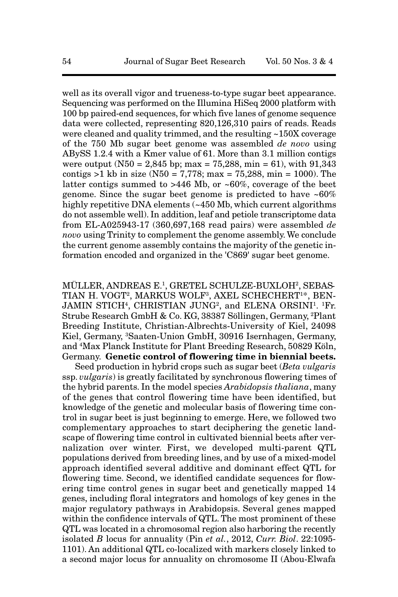well as its overall vigor and trueness-to-type sugar beet appearance. Sequencing was performed on the Illumina HiSeq 2000 platform with 100 bp paired-end sequences, for which five lanes of genome sequence data were collected, representing 820,126,310 pairs of reads. Reads were cleaned and quality trimmed, and the resulting ~150X coverage of the 750 Mb sugar beet genome was assembled *de novo* using ABySS 1.2.4 with a Kmer value of 61. More than 3.1 million contigs were output (N50 = 2,845 bp; max = 75,288, min = 61), with  $91,343$ contigs  $>1$  kb in size (N50 = 7,778; max = 75,288, min = 1000). The latter contigs summed to >446 Mb, or ~60%, coverage of the beet genome. Since the sugar beet genome is predicted to have ~60% highly repetitive DNA elements (~450 Mb, which current algorithms do not assemble well). In addition, leaf and petiole transcriptome data from EL-A025943-17 (360,697,168 read pairs) were assembled *de novo* using Trinity to complement the genome assembly. We conclude the current genome assembly contains the majority of the genetic information encoded and organized in the 'C869' sugar beet genome.

MÜLLER, ANDREAS E.1, GRETEL SCHULZE-BUXLOH2, SEBAS-TIAN H. VOGT<sup>2</sup>, MARKUS WOLF<sup>3</sup>, AXEL SCHECHERT<sup>1\*</sup>, BEN-JAMIN STICH<sup>4</sup>, CHRISTIAN JUNG<sup>2</sup>, and ELENA ORSINI<sup>1</sup>. <sup>1</sup>Fr. Strube Research GmbH & Co. KG, 38387 Söllingen, Germany, 2Plant Breeding Institute, Christian-Albrechts-University of Kiel, 24098 Kiel, Germany, 3Saaten-Union GmbH, 30916 Isernhagen, Germany, and 4Max Planck Institute for Plant Breeding Research, 50829 Köln, Germany. **Genetic control of flowering time in biennial beets.**

Seed production in hybrid crops such as sugar beet (*Beta vulgaris* ssp. *vulgaris*) is greatly facilitated by synchronous flowering times of the hybrid parents. In the model species *Arabidopsis thaliana*, many of the genes that control flowering time have been identified, but knowledge of the genetic and molecular basis of flowering time control in sugar beet is just beginning to emerge. Here, we followed two complementary approaches to start deciphering the genetic landscape of flowering time control in cultivated biennial beets after vernalization over winter. First, we developed multi-parent QTL populations derived from breeding lines, and by use of a mixed-model approach identified several additive and dominant effect QTL for flowering time. Second, we identified candidate sequences for flowering time control genes in sugar beet and genetically mapped 14 genes, including floral integrators and homologs of key genes in the major regulatory pathways in Arabidopsis. Several genes mapped within the confidence intervals of QTL. The most prominent of these QTL was located in a chromosomal region also harboring the recently isolated *B* locus for annuality (Pin *et al.*, 2012, *Curr. Biol*. 22:1095- 1101). An additional QTL co-localized with markers closely linked to a second major locus for annuality on chromosome II (Abou-Elwafa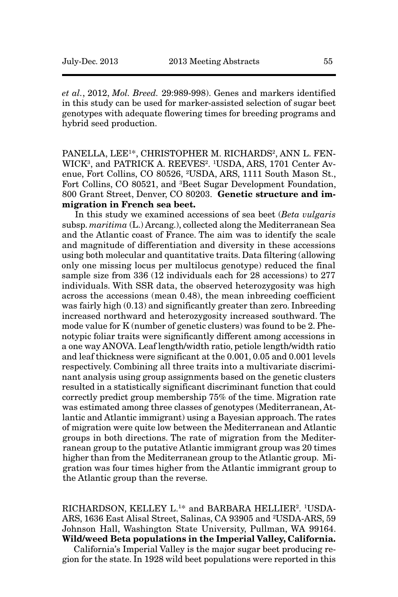*et al.*, 2012, *Mol. Breed.* 29:989-998). Genes and markers identified in this study can be used for marker-assisted selection of sugar beet genotypes with adequate flowering times for breeding programs and hybrid seed production.

PANELLA, LEE<sup>1\*</sup>, CHRISTOPHER M. RICHARDS<sup>2</sup>, ANN L. FEN-WICK<sup>3</sup>, and PATRICK A. REEVES<sup>2</sup>. <sup>1</sup>USDA, ARS, 1701 Center Avenue, Fort Collins, CO 80526, 2USDA, ARS, 1111 South Mason St., Fort Collins, CO 80521, and <sup>3</sup>Beet Sugar Development Foundation, 800 Grant Street, Denver, CO 80203. **Genetic structure and immigration in French sea beet.** 

In this study we examined accessions of sea beet (*Beta vulgaris* subsp. *maritima* (L.) Arcang.), collected along the Mediterranean Sea and the Atlantic coast of France. The aim was to identify the scale and magnitude of differentiation and diversity in these accessions using both molecular and quantitative traits. Data filtering (allowing only one missing locus per multilocus genotype) reduced the final sample size from 336 (12 individuals each for 28 accessions) to 277 individuals. With SSR data, the observed heterozygosity was high across the accessions (mean 0.48), the mean inbreeding coefficient was fairly high (0.13) and significantly greater than zero. Inbreeding increased northward and heterozygosity increased southward. The mode value for K (number of genetic clusters) was found to be 2. Phenotypic foliar traits were significantly different among accessions in a one way ANOVA. Leaf length/width ratio, petiole length/width ratio and leaf thickness were significant at the 0.001, 0.05 and 0.001 levels respectively. Combining all three traits into a multivariate discriminant analysis using group assignments based on the genetic clusters resulted in a statistically significant discriminant function that could correctly predict group membership 75% of the time. Migration rate was estimated among three classes of genotypes (Mediterranean, Atlantic and Atlantic immigrant) using a Bayesian approach. The rates of migration were quite low between the Mediterranean and Atlantic groups in both directions. The rate of migration from the Mediterranean group to the putative Atlantic immigrant group was 20 times higher than from the Mediterranean group to the Atlantic group. Migration was four times higher from the Atlantic immigrant group to the Atlantic group than the reverse.

RICHARDSON, KELLEY L.<sup>1\*</sup> and BARBARA HELLIER<sup>2</sup>. <sup>1</sup>USDA-ARS, 1636 East Alisal Street, Salinas, CA 93905 and 2USDA-ARS, 59 Johnson Hall, Washington State University, Pullman, WA 99164. **Wild/weed Beta populations in the Imperial Valley, California.**

California's Imperial Valley is the major sugar beet producing region for the state. In 1928 wild beet populations were reported in this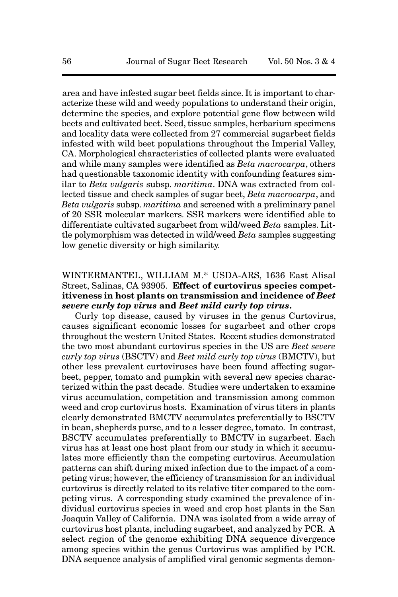area and have infested sugar beet fields since. It is important to characterize these wild and weedy populations to understand their origin, determine the species, and explore potential gene flow between wild beets and cultivated beet. Seed, tissue samples, herbarium specimens and locality data were collected from 27 commercial sugarbeet fields infested with wild beet populations throughout the Imperial Valley, CA. Morphological characteristics of collected plants were evaluated and while many samples were identified as *Beta macrocarpa*, others had questionable taxonomic identity with confounding features similar to *Beta vulgaris* subsp. *maritima*. DNA was extracted from collected tissue and check samples of sugar beet, *Beta macrocarpa*, and *Beta vulgaris* subsp. *maritima* and screened with a preliminary panel of 20 SSR molecular markers. SSR markers were identified able to differentiate cultivated sugarbeet from wild/weed *Beta* samples. Little polymorphism was detected in wild/weed *Beta* samples suggesting low genetic diversity or high similarity.

# WINTERMANTEL, WILLIAM M.\* USDA-ARS, 1636 East Alisal Street, Salinas, CA 93905. **Effect of curtovirus species competitiveness in host plants on transmission and incidence of** *Beet severe curly top virus* **and** *Beet mild curly top virus***.**

Curly top disease, caused by viruses in the genus Curtovirus, causes significant economic losses for sugarbeet and other crops throughout the western United States. Recent studies demonstrated the two most abundant curtovirus species in the US are *Beet severe curly top virus* (BSCTV) and *Beet mild curly top virus* (BMCTV), but other less prevalent curtoviruses have been found affecting sugarbeet, pepper, tomato and pumpkin with several new species characterized within the past decade. Studies were undertaken to examine virus accumulation, competition and transmission among common weed and crop curtovirus hosts. Examination of virus titers in plants clearly demonstrated BMCTV accumulates preferentially to BSCTV in bean, shepherds purse, and to a lesser degree, tomato. In contrast, BSCTV accumulates preferentially to BMCTV in sugarbeet. Each virus has at least one host plant from our study in which it accumulates more efficiently than the competing curtovirus. Accumulation patterns can shift during mixed infection due to the impact of a competing virus; however, the efficiency of transmission for an individual curtovirus is directly related to its relative titer compared to the competing virus. A corresponding study examined the prevalence of individual curtovirus species in weed and crop host plants in the San Joaquin Valley of California. DNA was isolated from a wide array of curtovirus host plants, including sugarbeet, and analyzed by PCR. A select region of the genome exhibiting DNA sequence divergence among species within the genus Curtovirus was amplified by PCR. DNA sequence analysis of amplified viral genomic segments demon-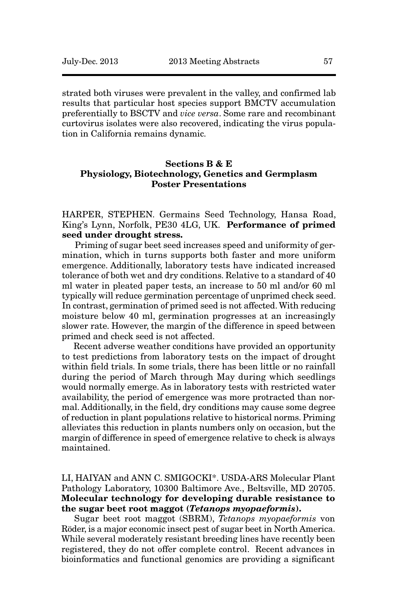strated both viruses were prevalent in the valley, and confirmed lab results that particular host species support BMCTV accumulation preferentially to BSCTV and *vice versa*. Some rare and recombinant curtovirus isolates were also recovered, indicating the virus population in California remains dynamic.

# **Sections B & E Physiology, Biotechnology, Genetics and Germplasm Poster Presentations**

HARPER, STEPHEN. Germains Seed Technology, Hansa Road, King's Lynn, Norfolk, PE30 4LG, UK. **Performance of primed seed under drought stress.** 

Priming of sugar beet seed increases speed and uniformity of germination, which in turns supports both faster and more uniform emergence. Additionally, laboratory tests have indicated increased tolerance of both wet and dry conditions. Relative to a standard of 40 ml water in pleated paper tests, an increase to 50 ml and/or 60 ml typically will reduce germination percentage of unprimed check seed. In contrast, germination of primed seed is not affected. With reducing moisture below 40 ml, germination progresses at an increasingly slower rate. However, the margin of the difference in speed between primed and check seed is not affected.

Recent adverse weather conditions have provided an opportunity to test predictions from laboratory tests on the impact of drought within field trials. In some trials, there has been little or no rainfall during the period of March through May during which seedlings would normally emerge. As in laboratory tests with restricted water availability, the period of emergence was more protracted than normal. Additionally, in the field, dry conditions may cause some degree of reduction in plant populations relative to historical norms. Priming alleviates this reduction in plants numbers only on occasion, but the margin of difference in speed of emergence relative to check is always maintained.

LI, HAIYAN and ANN C. SMIGOCKI\*. USDA-ARS Molecular Plant Pathology Laboratory, 10300 Baltimore Ave., Beltsville, MD 20705. **Molecular technology for developing durable resistance to the sugar beet root maggot (***Tetanops myopaeformis***).** 

Sugar beet root maggot (SBRM), *Tetanops myopaeformis* von Röder, is a major economic insect pest of sugar beet in North America. While several moderately resistant breeding lines have recently been registered, they do not offer complete control. Recent advances in bioinformatics and functional genomics are providing a significant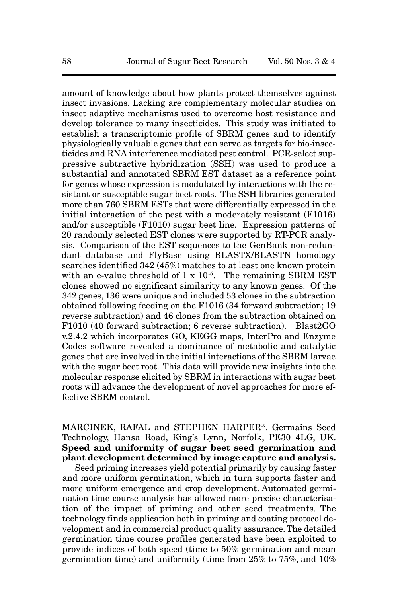amount of knowledge about how plants protect themselves against insect invasions. Lacking are complementary molecular studies on insect adaptive mechanisms used to overcome host resistance and develop tolerance to many insecticides. This study was initiated to establish a transcriptomic profile of SBRM genes and to identify physiologically valuable genes that can serve as targets for bio-insecticides and RNA interference mediated pest control. PCR-select suppressive subtractive hybridization (SSH) was used to produce a substantial and annotated SBRM EST dataset as a reference point for genes whose expression is modulated by interactions with the resistant or susceptible sugar beet roots. The SSH libraries generated more than 760 SBRM ESTs that were differentially expressed in the initial interaction of the pest with a moderately resistant (F1016) and/or susceptible (F1010) sugar beet line. Expression patterns of 20 randomly selected EST clones were supported by RT-PCR analysis. Comparison of the EST sequences to the GenBank non-redundant database and FlyBase using BLASTX/BLASTN homology searches identified 342 (45%) matches to at least one known protein with an e-value threshold of  $1 \times 10^{-5}$ . The remaining SBRM EST clones showed no significant similarity to any known genes. Of the 342 genes, 136 were unique and included 53 clones in the subtraction obtained following feeding on the F1016 (34 forward subtraction; 19 reverse subtraction) and 46 clones from the subtraction obtained on F1010 (40 forward subtraction; 6 reverse subtraction). Blast2GO v.2.4.2 which incorporates GO, KEGG maps, InterPro and Enzyme Codes software revealed a dominance of metabolic and catalytic genes that are involved in the initial interactions of the SBRM larvae with the sugar beet root. This data will provide new insights into the molecular response elicited by SBRM in interactions with sugar beet roots will advance the development of novel approaches for more effective SBRM control.

# MARCINEK, RAFAL and STEPHEN HARPER\*. Germains Seed Technology, Hansa Road, King's Lynn, Norfolk, PE30 4LG, UK. **Speed and uniformity of sugar beet seed germination and plant development determined by image capture and analysis.**

Seed priming increases yield potential primarily by causing faster and more uniform germination, which in turn supports faster and more uniform emergence and crop development. Automated germination time course analysis has allowed more precise characterisation of the impact of priming and other seed treatments. The technology finds application both in priming and coating protocol development and in commercial product quality assurance. The detailed germination time course profiles generated have been exploited to provide indices of both speed (time to 50% germination and mean germination time) and uniformity (time from 25% to 75%, and 10%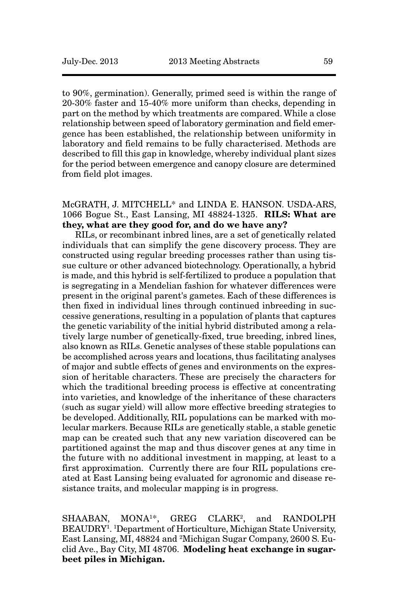to 90%, germination). Generally, primed seed is within the range of 20-30% faster and 15-40% more uniform than checks, depending in part on the method by which treatments are compared. While a close relationship between speed of laboratory germination and field emergence has been established, the relationship between uniformity in laboratory and field remains to be fully characterised. Methods are described to fill this gap in knowledge, whereby individual plant sizes for the period between emergence and canopy closure are determined from field plot images.

McGRATH, J. MITCHELL\* and LINDA E. HANSON. USDA-ARS, 1066 Bogue St., East Lansing, MI 48824-1325. **RILS: What are they, what are they good for, and do we have any?**

RILs, or recombinant inbred lines, are a set of genetically related individuals that can simplify the gene discovery process. They are constructed using regular breeding processes rather than using tissue culture or other advanced biotechnology. Operationally, a hybrid is made, and this hybrid is self-fertilized to produce a population that is segregating in a Mendelian fashion for whatever differences were present in the original parent's gametes. Each of these differences is then fixed in individual lines through continued inbreeding in successive generations, resulting in a population of plants that captures the genetic variability of the initial hybrid distributed among a relatively large number of genetically-fixed, true breeding, inbred lines, also known as RILs. Genetic analyses of these stable populations can be accomplished across years and locations, thus facilitating analyses of major and subtle effects of genes and environments on the expression of heritable characters. These are precisely the characters for which the traditional breeding process is effective at concentrating into varieties, and knowledge of the inheritance of these characters (such as sugar yield) will allow more effective breeding strategies to be developed. Additionally, RIL populations can be marked with molecular markers. Because RILs are genetically stable, a stable genetic map can be created such that any new variation discovered can be partitioned against the map and thus discover genes at any time in the future with no additional investment in mapping, at least to a first approximation. Currently there are four RIL populations created at East Lansing being evaluated for agronomic and disease resistance traits, and molecular mapping is in progress.

SHAABAN, MONA<sup>1\*</sup>, GREG CLARK<sup>2</sup>, and RANDOLPH BEAUDRY1 . 1 Department of Horticulture, Michigan State University, East Lansing, MI, 48824 and 2Michigan Sugar Company, 2600 S. Euclid Ave., Bay City, MI 48706. **Modeling heat exchange in sugarbeet piles in Michigan.**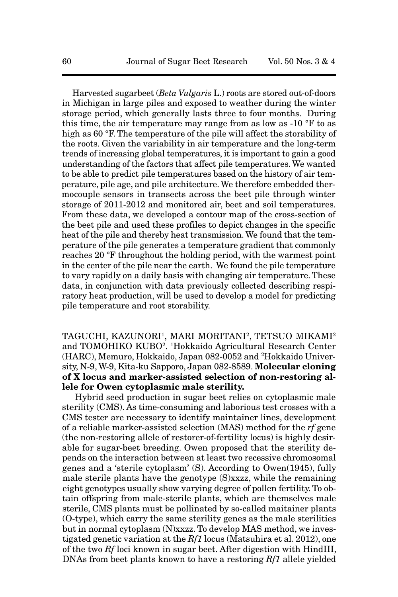Harvested sugarbeet (*Beta Vulgaris* L.) roots are stored out-of-doors in Michigan in large piles and exposed to weather during the winter storage period, which generally lasts three to four months. During this time, the air temperature may range from as low as -10 °F to as high as 60 °F. The temperature of the pile will affect the storability of the roots. Given the variability in air temperature and the long-term trends of increasing global temperatures, it is important to gain a good understanding of the factors that affect pile temperatures. We wanted to be able to predict pile temperatures based on the history of air temperature, pile age, and pile architecture. We therefore embedded thermocouple sensors in transects across the beet pile through winter storage of 2011-2012 and monitored air, beet and soil temperatures. From these data, we developed a contour map of the cross-section of the beet pile and used these profiles to depict changes in the specific heat of the pile and thereby heat transmission. We found that the temperature of the pile generates a temperature gradient that commonly reaches 20 °F throughout the holding period, with the warmest point in the center of the pile near the earth. We found the pile temperature to vary rapidly on a daily basis with changing air temperature. These data, in conjunction with data previously collected describing respiratory heat production, will be used to develop a model for predicting pile temperature and root storability.

TAGUCHI, KAZUNORI<sup>1</sup>, MARI MORITANI<sup>2</sup>, TETSUO MIKAMI<sup>2</sup> and TOMOHIKO KUBO<sup>2</sup>. <sup>1</sup>Hokkaido Agricultural Research Center (HARC), Memuro, Hokkaido, Japan 082-0052 and 2 Hokkaido University, N-9, W-9, Kita-ku Sapporo, Japan 082-8589. **Molecular cloning of X locus and marker-assisted selection of non-restoring allele for Owen cytoplasmic male sterility.**

Hybrid seed production in sugar beet relies on cytoplasmic male sterility (CMS). As time-consuming and laborious test crosses with a CMS tester are necessary to identify maintainer lines, development of a reliable marker-assisted selection (MAS) method for the *rf* gene (the non-restoring allele of restorer-of-fertility locus) is highly desirable for sugar-beet breeding. Owen proposed that the sterility depends on the interaction between at least two recessive chromosomal genes and a 'sterile cytoplasm' (S). According to Owen(1945), fully male sterile plants have the genotype (S)xxzz, while the remaining eight genotypes usually show varying degree of pollen fertility. To obtain offspring from male-sterile plants, which are themselves male sterile, CMS plants must be pollinated by so-called maitainer plants (O-type), which carry the same sterility genes as the male sterilities but in normal cytoplasm (N)xxzz. To develop MAS method, we investigated genetic variation at the *Rf1* locus (Matsuhira et al. 2012), one of the two *Rf* loci known in sugar beet. After digestion with HindIII, DNAs from beet plants known to have a restoring *Rf1* allele yielded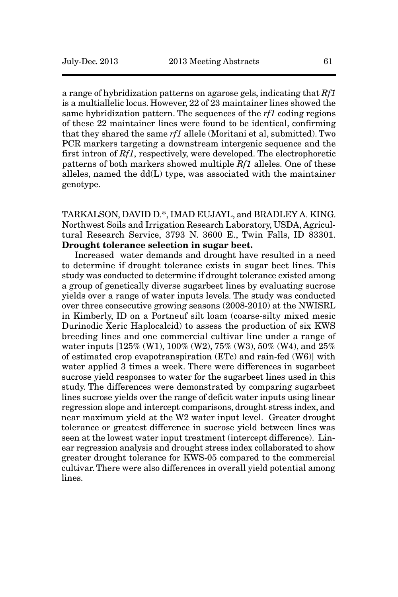a range of hybridization patterns on agarose gels, indicating that *Rf1* is a multiallelic locus. However, 22 of 23 maintainer lines showed the same hybridization pattern. The sequences of the *rf1* coding regions of these 22 maintainer lines were found to be identical, confirming that they shared the same *rf1* allele (Moritani et al, submitted). Two PCR markers targeting a downstream intergenic sequence and the first intron of *Rf1*, respectively, were developed. The electrophoretic patterns of both markers showed multiple *Rf1* alleles. One of these alleles, named the dd(L) type, was associated with the maintainer genotype.

TARKALSON, DAVID D.\*, IMAD EUJAYL, and BRADLEY A. KING. Northwest Soils and Irrigation Research Laboratory, USDA, Agricultural Research Service, 3793 N. 3600 E., Twin Falls, ID 83301. **Drought tolerance selection in sugar beet.**

Increased water demands and drought have resulted in a need to determine if drought tolerance exists in sugar beet lines. This study was conducted to determine if drought tolerance existed among a group of genetically diverse sugarbeet lines by evaluating sucrose yields over a range of water inputs levels. The study was conducted over three consecutive growing seasons (2008-2010) at the NWISRL in Kimberly, ID on a Portneuf silt loam (coarse-silty mixed mesic Durinodic Xeric Haplocalcid) to assess the production of six KWS breeding lines and one commercial cultivar line under a range of water inputs [125% (W1), 100% (W2), 75% (W3), 50% (W4), and 25% of estimated crop evapotranspiration (ETc) and rain-fed (W6)] with water applied 3 times a week. There were differences in sugarbeet sucrose yield responses to water for the sugarbeet lines used in this study. The differences were demonstrated by comparing sugarbeet lines sucrose yields over the range of deficit water inputs using linear regression slope and intercept comparisons, drought stress index, and near maximum yield at the W2 water input level. Greater drought tolerance or greatest difference in sucrose yield between lines was seen at the lowest water input treatment (intercept difference). Linear regression analysis and drought stress index collaborated to show greater drought tolerance for KWS-05 compared to the commercial cultivar. There were also differences in overall yield potential among lines.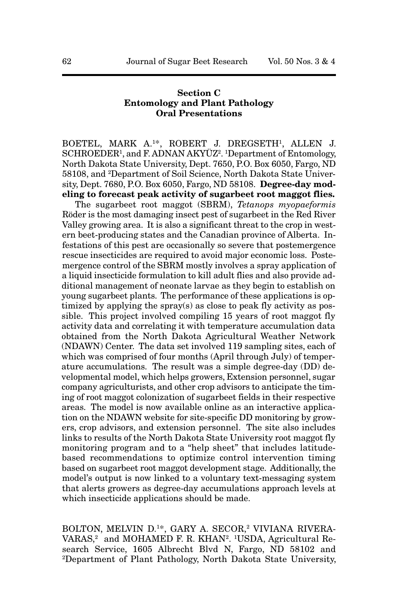# **Section C Entomology and Plant Pathology Oral Presentations**

BOETEL, MARK A.1\*, ROBERT J. DREGSETH1, ALLEN J. SCHROEDER<sup>1</sup>, and F. ADNAN AKYÜZ<sup>2</sup>. <sup>1</sup>Department of Entomology, North Dakota State University, Dept. 7650, P.O. Box 6050, Fargo, ND 58108, and 2Department of Soil Science, North Dakota State University, Dept. 7680, P.O. Box 6050, Fargo, ND 58108. **Degree-day modeling to forecast peak activity of sugarbeet root maggot flies.**

The sugarbeet root maggot (SBRM), *Tetanops myopaeformis* Röder is the most damaging insect pest of sugarbeet in the Red River Valley growing area. It is also a significant threat to the crop in western beet-producing states and the Canadian province of Alberta. Infestations of this pest are occasionally so severe that postemergence rescue insecticides are required to avoid major economic loss. Postemergence control of the SBRM mostly involves a spray application of a liquid insecticide formulation to kill adult flies and also provide additional management of neonate larvae as they begin to establish on young sugarbeet plants. The performance of these applications is optimized by applying the spray(s) as close to peak fly activity as possible. This project involved compiling 15 years of root maggot fly activity data and correlating it with temperature accumulation data obtained from the North Dakota Agricultural Weather Network (NDAWN) Center. The data set involved 119 sampling sites, each of which was comprised of four months (April through July) of temperature accumulations. The result was a simple degree-day (DD) developmental model, which helps growers, Extension personnel, sugar company agriculturists, and other crop advisors to anticipate the timing of root maggot colonization of sugarbeet fields in their respective areas. The model is now available online as an interactive application on the NDAWN website for site-specific DD monitoring by growers, crop advisors, and extension personnel. The site also includes links to results of the North Dakota State University root maggot fly monitoring program and to a "help sheet" that includes latitudebased recommendations to optimize control intervention timing based on sugarbeet root maggot development stage. Additionally, the model's output is now linked to a voluntary text-messaging system that alerts growers as degree-day accumulations approach levels at which insecticide applications should be made.

BOLTON, MELVIN D.<sup>1\*</sup>, GARY A. SECOR,<sup>2</sup> VIVIANA RIVERA-VARAS,<sup>2</sup> and MOHAMED F. R. KHAN<sup>2</sup>. <sup>1</sup>USDA, Agricultural Research Service, 1605 Albrecht Blvd N, Fargo, ND 58102 and 2Department of Plant Pathology, North Dakota State University,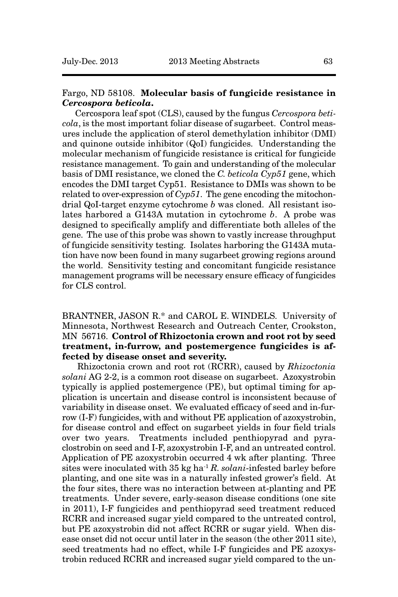# Fargo, ND 58108. **Molecular basis of fungicide resistance in** *Cercospora beticola***.**

Cercospora leaf spot (CLS), caused by the fungus *Cercospora beticola*, is the most important foliar disease of sugarbeet. Control measures include the application of sterol demethylation inhibitor (DMI) and quinone outside inhibitor (QoI) fungicides. Understanding the molecular mechanism of fungicide resistance is critical for fungicide resistance management. To gain and understanding of the molecular basis of DMI resistance, we cloned the *C. beticola Cyp51* gene, which encodes the DMI target Cyp51. Resistance to DMIs was shown to be related to over-expression of *Cyp51*. The gene encoding the mitochondrial QoI-target enzyme cytochrome *b* was cloned. All resistant isolates harbored a G143A mutation in cytochrome *b*. A probe was designed to specifically amplify and differentiate both alleles of the gene. The use of this probe was shown to vastly increase throughput of fungicide sensitivity testing. Isolates harboring the G143A mutation have now been found in many sugarbeet growing regions around the world. Sensitivity testing and concomitant fungicide resistance management programs will be necessary ensure efficacy of fungicides for CLS control.

# BRANTNER, JASON R.\* and CAROL E. WINDELS. University of Minnesota, Northwest Research and Outreach Center, Crookston, MN 56716. **Control of Rhizoctonia crown and root rot by seed treatment, in-furrow, and postemergence fungicides is affected by disease onset and severity.**

Rhizoctonia crown and root rot (RCRR), caused by *Rhizoctonia solani* AG 2-2, is a common root disease on sugarbeet. Azoxystrobin typically is applied postemergence (PE), but optimal timing for application is uncertain and disease control is inconsistent because of variability in disease onset. We evaluated efficacy of seed and in-furrow (I-F) fungicides, with and without PE application of azoxystrobin, for disease control and effect on sugarbeet yields in four field trials over two years. Treatments included penthiopyrad and pyraclostrobin on seed and I-F, azoxystrobin I-F, and an untreated control. Application of PE azoxystrobin occurred 4 wk after planting. Three sites were inoculated with 35 kg ha-1 *R. solani*-infested barley before planting, and one site was in a naturally infested grower's field. At the four sites, there was no interaction between at-planting and PE treatments. Under severe, early-season disease conditions (one site in 2011), I-F fungicides and penthiopyrad seed treatment reduced RCRR and increased sugar yield compared to the untreated control, but PE azoxystrobin did not affect RCRR or sugar yield. When disease onset did not occur until later in the season (the other 2011 site), seed treatments had no effect, while I-F fungicides and PE azoxystrobin reduced RCRR and increased sugar yield compared to the un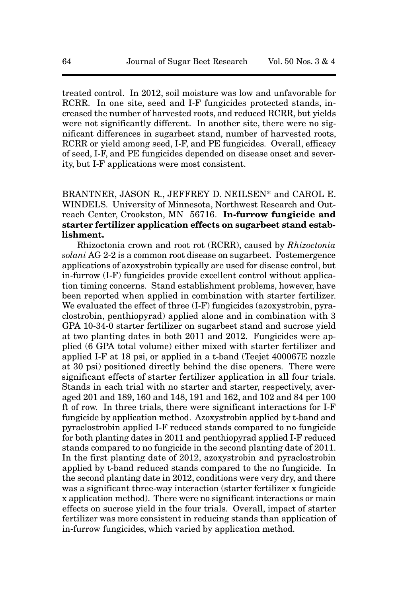treated control. In 2012, soil moisture was low and unfavorable for RCRR. In one site, seed and I-F fungicides protected stands, increased the number of harvested roots, and reduced RCRR, but yields were not significantly different. In another site, there were no significant differences in sugarbeet stand, number of harvested roots, RCRR or yield among seed, I-F, and PE fungicides. Overall, efficacy of seed, I-F, and PE fungicides depended on disease onset and severity, but I-F applications were most consistent.

BRANTNER, JASON R., JEFFREY D. NEILSEN\* and CAROL E. WINDELS. University of Minnesota, Northwest Research and Outreach Center, Crookston, MN 56716. **In-furrow fungicide and starter fertilizer application effects on sugarbeet stand establishment.**

Rhizoctonia crown and root rot (RCRR), caused by *Rhizoctonia solani* AG 2-2 is a common root disease on sugarbeet. Postemergence applications of azoxystrobin typically are used for disease control, but in-furrow (I-F) fungicides provide excellent control without application timing concerns. Stand establishment problems, however, have been reported when applied in combination with starter fertilizer. We evaluated the effect of three (I-F) fungicides (azoxystrobin, pyraclostrobin, penthiopyrad) applied alone and in combination with 3 GPA 10-34-0 starter fertilizer on sugarbeet stand and sucrose yield at two planting dates in both 2011 and 2012. Fungicides were applied (6 GPA total volume) either mixed with starter fertilizer and applied I-F at 18 psi, or applied in a t-band (Teejet 400067E nozzle at 30 psi) positioned directly behind the disc openers. There were significant effects of starter fertilizer application in all four trials. Stands in each trial with no starter and starter, respectively, averaged 201 and 189, 160 and 148, 191 and 162, and 102 and 84 per 100 ft of row. In three trials, there were significant interactions for I-F fungicide by application method. Azoxystrobin applied by t-band and pyraclostrobin applied I-F reduced stands compared to no fungicide for both planting dates in 2011 and penthiopyrad applied I-F reduced stands compared to no fungicide in the second planting date of 2011. In the first planting date of 2012, azoxystrobin and pyraclostrobin applied by t-band reduced stands compared to the no fungicide. In the second planting date in 2012, conditions were very dry, and there was a significant three-way interaction (starter fertilizer x fungicide x application method). There were no significant interactions or main effects on sucrose yield in the four trials. Overall, impact of starter fertilizer was more consistent in reducing stands than application of in-furrow fungicides, which varied by application method.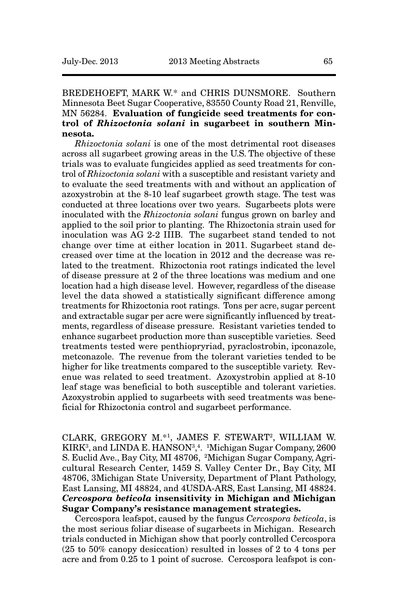# BREDEHOEFT, MARK W.\* and CHRIS DUNSMORE. Southern Minnesota Beet Sugar Cooperative, 83550 County Road 21, Renville, MN 56284. **Evaluation of fungicide seed treatments for control of** *Rhizoctonia solani* **in sugarbeet in southern Minnesota.**

*Rhizoctonia solani* is one of the most detrimental root diseases across all sugarbeet growing areas in the U.S. The objective of these trials was to evaluate fungicides applied as seed treatments for control of *Rhizoctonia solani* with a susceptible and resistant variety and to evaluate the seed treatments with and without an application of azoxystrobin at the 8-10 leaf sugarbeet growth stage. The test was conducted at three locations over two years. Sugarbeets plots were inoculated with the *Rhizoctonia solani* fungus grown on barley and applied to the soil prior to planting. The Rhizoctonia strain used for inoculation was AG 2-2 IIIB. The sugarbeet stand tended to not change over time at either location in 2011. Sugarbeet stand decreased over time at the location in 2012 and the decrease was related to the treatment. Rhizoctonia root ratings indicated the level of disease pressure at 2 of the three locations was medium and one location had a high disease level. However, regardless of the disease level the data showed a statistically significant difference among treatments for Rhizoctonia root ratings. Tons per acre, sugar percent and extractable sugar per acre were significantly influenced by treatments, regardless of disease pressure. Resistant varieties tended to enhance sugarbeet production more than susceptible varieties. Seed treatments tested were penthiopryriad, pyraclostrobin, ipconazole, metconazole. The revenue from the tolerant varieties tended to be higher for like treatments compared to the susceptible variety. Revenue was related to seed treatment. Azoxystrobin applied at 8-10 leaf stage was beneficial to both susceptible and tolerant varieties. Azoxystrobin applied to sugarbeets with seed treatments was beneficial for Rhizoctonia control and sugarbeet performance.

CLARK, GREGORY M.\*1, JAMES F. STEWART2, WILLIAM W. KIRK<sup>3</sup>, and LINDA E. HANSON<sup>3</sup>,<sup>4</sup>. <sup>1</sup>Michigan Sugar Company, 2600 S. Euclid Ave., Bay City, MI 48706, <sup>2</sup>Michigan Sugar Company, Agricultural Research Center, 1459 S. Valley Center Dr., Bay City, MI 48706, 3Michigan State University, Department of Plant Pathology, East Lansing, MI 48824, and 4USDA-ARS, East Lansing, MI 48824. *Cercospora beticola* **insensitivity in Michigan and Michigan Sugar Company's resistance management strategies.** 

Cercospora leafspot, caused by the fungus *Cercospora beticola*, is the most serious foliar disease of sugarbeets in Michigan. Research trials conducted in Michigan show that poorly controlled Cercospora (25 to 50% canopy desiccation) resulted in losses of 2 to 4 tons per acre and from 0.25 to 1 point of sucrose. Cercospora leafspot is con-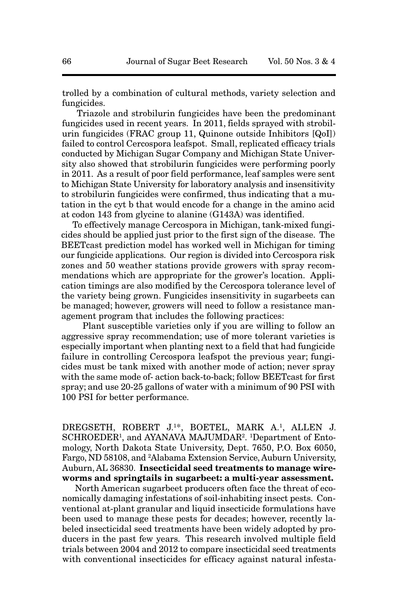trolled by a combination of cultural methods, variety selection and fungicides.

Triazole and strobilurin fungicides have been the predominant fungicides used in recent years. In 2011, fields sprayed with strobilurin fungicides (FRAC group 11, Quinone outside Inhibitors [QoI]) failed to control Cercospora leafspot. Small, replicated efficacy trials conducted by Michigan Sugar Company and Michigan State University also showed that strobilurin fungicides were performing poorly in 2011. As a result of poor field performance, leaf samples were sent to Michigan State University for laboratory analysis and insensitivity to strobilurin fungicides were confirmed, thus indicating that a mutation in the cyt b that would encode for a change in the amino acid at codon 143 from glycine to alanine (G143A) was identified.

To effectively manage Cercospora in Michigan, tank-mixed fungicides should be applied just prior to the first sign of the disease. The BEETcast prediction model has worked well in Michigan for timing our fungicide applications. Our region is divided into Cercospora risk zones and 50 weather stations provide growers with spray recommendations which are appropriate for the grower's location. Application timings are also modified by the Cercospora tolerance level of the variety being grown. Fungicides insensitivity in sugarbeets can be managed; however, growers will need to follow a resistance management program that includes the following practices:

 Plant susceptible varieties only if you are willing to follow an aggressive spray recommendation; use of more tolerant varieties is especially important when planting next to a field that had fungicide failure in controlling Cercospora leafspot the previous year; fungicides must be tank mixed with another mode of action; never spray with the same mode of- action back-to-back; follow BEETcast for first spray; and use 20-25 gallons of water with a minimum of 90 PSI with 100 PSI for better performance.

DREGSETH, ROBERT J.1\*, BOETEL, MARK A.1, ALLEN J. SCHROEDER<sup>1</sup>, and AYANAVA MAJUMDAR<sup>2</sup>. <sup>1</sup>Department of Entomology, North Dakota State University, Dept. 7650, P.O. Box 6050, Fargo, ND 58108, and <sup>2</sup>Alabama Extension Service, Auburn University, Auburn, AL 36830. **Insecticidal seed treatments to manage wireworms and springtails in sugarbeet: a multi-year assessment.**

North American sugarbeet producers often face the threat of economically damaging infestations of soil-inhabiting insect pests. Conventional at-plant granular and liquid insecticide formulations have been used to manage these pests for decades; however, recently labeled insecticidal seed treatments have been widely adopted by producers in the past few years. This research involved multiple field trials between 2004 and 2012 to compare insecticidal seed treatments with conventional insecticides for efficacy against natural infesta-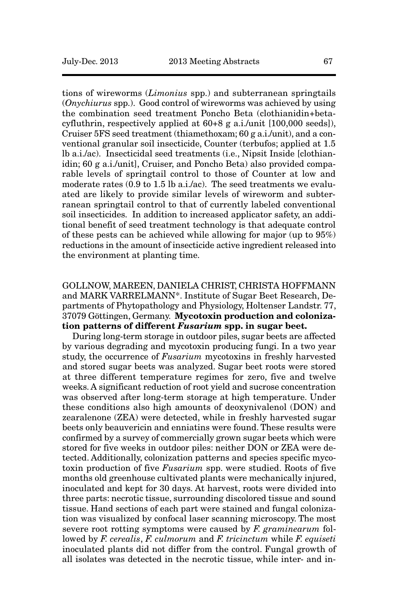tions of wireworms (*Limonius* spp.) and subterranean springtails (*Onychiurus* spp.). Good control of wireworms was achieved by using the combination seed treatment Poncho Beta (clothianidin+betacyfluthrin, respectively applied at 60+8 g a.i./unit [100,000 seeds]), Cruiser 5FS seed treatment (thiamethoxam; 60 g a.i./unit), and a conventional granular soil insecticide, Counter (terbufos; applied at 1.5 lb a.i./ac). Insecticidal seed treatments (i.e., Nipsit Inside [clothianidin; 60 g a.i./unit], Cruiser, and Poncho Beta) also provided comparable levels of springtail control to those of Counter at low and moderate rates (0.9 to 1.5 lb a.i./ac). The seed treatments we evaluated are likely to provide similar levels of wireworm and subterranean springtail control to that of currently labeled conventional soil insecticides. In addition to increased applicator safety, an additional benefit of seed treatment technology is that adequate control of these pests can be achieved while allowing for major (up to 95%) reductions in the amount of insecticide active ingredient released into the environment at planting time.

# GOLLNOW, MAREEN, DANIELA CHRIST, CHRISTA HOFFMANN and MARK VARRELMANN\*. Institute of Sugar Beet Research, Departments of Phytopathology and Physiology, Holtenser Landstr. 77, 37079 Göttingen, Germany. **Mycotoxin production and colonization patterns of different** *Fusarium* **spp. in sugar beet.**

During long-term storage in outdoor piles, sugar beets are affected by various degrading and mycotoxin producing fungi. In a two year study, the occurrence of *Fusarium* mycotoxins in freshly harvested and stored sugar beets was analyzed. Sugar beet roots were stored at three different temperature regimes for zero, five and twelve weeks. A significant reduction of root yield and sucrose concentration was observed after long-term storage at high temperature. Under these conditions also high amounts of deoxynivalenol (DON) and zearalenone (ZEA) were detected, while in freshly harvested sugar beets only beauvericin and enniatins were found. These results were confirmed by a survey of commercially grown sugar beets which were stored for five weeks in outdoor piles: neither DON or ZEA were detected. Additionally, colonization patterns and species specific mycotoxin production of five *Fusarium* spp. were studied. Roots of five months old greenhouse cultivated plants were mechanically injured, inoculated and kept for 30 days. At harvest, roots were divided into three parts: necrotic tissue, surrounding discolored tissue and sound tissue. Hand sections of each part were stained and fungal colonization was visualized by confocal laser scanning microscopy. The most severe root rotting symptoms were caused by *F. graminearum* followed by *F. cerealis*, *F. culmorum* and *F. tricinctum* while *F. equiseti* inoculated plants did not differ from the control. Fungal growth of all isolates was detected in the necrotic tissue, while inter- and in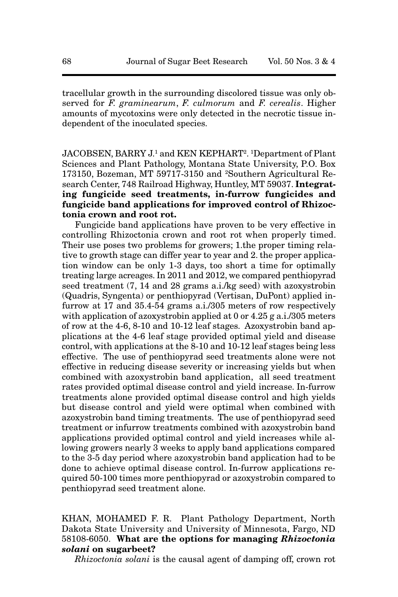tracellular growth in the surrounding discolored tissue was only observed for *F. graminearum*, *F. culmorum* and *F. cerealis*. Higher amounts of mycotoxins were only detected in the necrotic tissue independent of the inoculated species.

JACOBSEN, BARRY J.1 and KEN KEPHART2 . 1 Department of Plant Sciences and Plant Pathology, Montana State University, P.O. Box 173150, Bozeman, MT 59717-3150 and 2Southern Agricultural Research Center, 748 Railroad Highway, Huntley, MT 59037. **Integrating fungicide seed treatments, in-furrow fungicides and fungicide band applications for improved control of Rhizoctonia crown and root rot.**

Fungicide band applications have proven to be very effective in controlling Rhizoctonia crown and root rot when properly timed. Their use poses two problems for growers; 1.the proper timing relative to growth stage can differ year to year and 2. the proper application window can be only 1-3 days, too short a time for optimally treating large acreages. In 2011 and 2012, we compared penthiopyrad seed treatment (7, 14 and 28 grams a.i./kg seed) with azoxystrobin (Quadris, Syngenta) or penthiopyrad (Vertisan, DuPont) applied infurrow at 17 and 35.4-54 grams a.i./305 meters of row respectively with application of azoxystrobin applied at 0 or 4.25 g a.i./305 meters of row at the 4-6, 8-10 and 10-12 leaf stages. Azoxystrobin band applications at the 4-6 leaf stage provided optimal yield and disease control, with applications at the 8-10 and 10-12 leaf stages being less effective. The use of penthiopyrad seed treatments alone were not effective in reducing disease severity or increasing yields but when combined with azoxystrobin band application, all seed treatment rates provided optimal disease control and yield increase. In-furrow treatments alone provided optimal disease control and high yields but disease control and yield were optimal when combined with azoxystrobin band timing treatments. The use of penthiopyrad seed treatment or infurrow treatments combined with azoxystrobin band applications provided optimal control and yield increases while allowing growers nearly 3 weeks to apply band applications compared to the 3-5 day period where azoxystrobin band application had to be done to achieve optimal disease control. In-furrow applications required 50-100 times more penthiopyrad or azoxystrobin compared to penthiopyrad seed treatment alone.

KHAN, MOHAMED F. R. Plant Pathology Department, North Dakota State University and University of Minnesota, Fargo, ND 58108-6050. **What are the options for managing** *Rhizoctonia solani* **on sugarbeet?**

*Rhizoctonia solani* is the causal agent of damping off, crown rot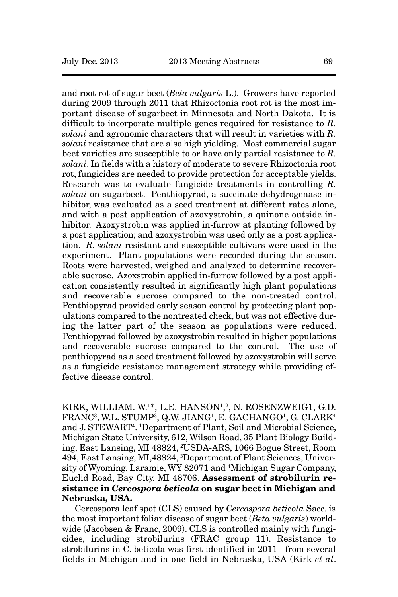and root rot of sugar beet (*Beta vulgaris* L.). Growers have reported during 2009 through 2011 that Rhizoctonia root rot is the most important disease of sugarbeet in Minnesota and North Dakota. It is difficult to incorporate multiple genes required for resistance to *R. solani* and agronomic characters that will result in varieties with *R. solani* resistance that are also high yielding. Most commercial sugar beet varieties are susceptible to or have only partial resistance to *R. solani*. In fields with a history of moderate to severe Rhizoctonia root rot, fungicides are needed to provide protection for acceptable yields. Research was to evaluate fungicide treatments in controlling *R. solani* on sugarbeet. Penthiopyrad, a succinate dehydrogenase inhibitor, was evaluated as a seed treatment at different rates alone, and with a post application of azoxystrobin, a quinone outside inhibitor. Azoxystrobin was applied in-furrow at planting followed by a post application; and azoxystrobin was used only as a post application. *R. solani* resistant and susceptible cultivars were used in the experiment. Plant populations were recorded during the season. Roots were harvested, weighed and analyzed to determine recoverable sucrose. Azoxstrobin applied in-furrow followed by a post application consistently resulted in significantly high plant populations and recoverable sucrose compared to the non-treated control. Penthiopyrad provided early season control by protecting plant populations compared to the nontreated check, but was not effective during the latter part of the season as populations were reduced. Penthiopyrad followed by azoxystrobin resulted in higher populations and recoverable sucrose compared to the control. The use of penthiopyrad as a seed treatment followed by azoxystrobin will serve as a fungicide resistance management strategy while providing effective disease control.

KIRK, WILLIAM. W.1\*, L.E. HANSON1, 2, N. ROSENZWEIG1, G.D. FRANC<sup>3</sup>, W.L. STUMP<sup>3</sup>, Q.W. JIANG<sup>1</sup>, E. GACHANGO<sup>1</sup>, G. CLARK<sup>4</sup> and J. STEWART4. 1Department of Plant, Soil and Microbial Science, Michigan State University, 612, Wilson Road, 35 Plant Biology Building, East Lansing, MI 48824, 2USDA-ARS, 1066 Bogue Street, Room 494, East Lansing, MI,48824, 3 Department of Plant Sciences, University of Wyoming, Laramie, WY 82071 and 4Michigan Sugar Company, Euclid Road, Bay City, MI 48706. **Assessment of strobilurin resistance in** *Cercospora beticola* **on sugar beet in Michigan and Nebraska, USA.**

Cercospora leaf spot (CLS) caused by *Cercospora beticola* Sacc. is the most important foliar disease of sugar beet (*Beta vulgaris*) worldwide (Jacobsen & Franc, 2009). CLS is controlled mainly with fungicides, including strobilurins (FRAC group 11). Resistance to strobilurins in C. beticola was first identified in 2011 from several fields in Michigan and in one field in Nebraska, USA (Kirk *et al*.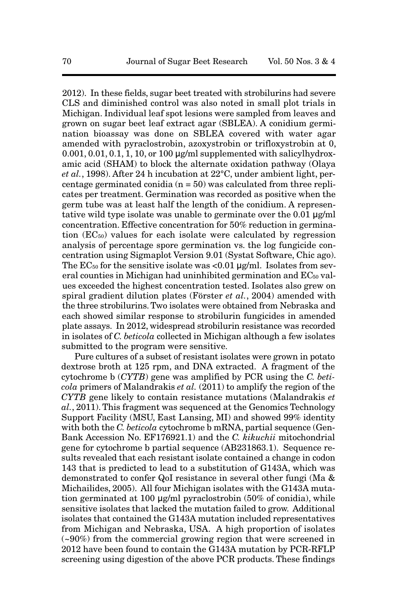2012). In these fields, sugar beet treated with strobilurins had severe CLS and diminished control was also noted in small plot trials in Michigan. Individual leaf spot lesions were sampled from leaves and grown on sugar beet leaf extract agar (SBLEA). A conidium germination bioassay was done on SBLEA covered with water agar amended with pyraclostrobin, azoxystrobin or trifloxystrobin at 0,  $0.001, 0.01, 0.1, 1, 10$ , or 100  $\mu$ g/ml supplemented with salicylhydroxamic acid (SHAM) to block the alternate oxidation pathway (Olaya *et al.*, 1998). After 24 h incubation at 22°C, under ambient light, percentage germinated conidia  $(n = 50)$  was calculated from three replicates per treatment. Germination was recorded as positive when the germ tube was at least half the length of the conidium. A representative wild type isolate was unable to germinate over the 0.01 μg/ml concentration. Effective concentration for 50% reduction in germination  $(EC_{50})$  values for each isolate were calculated by regression analysis of percentage spore germination vs. the log fungicide concentration using Sigmaplot Version 9.01 (Systat Software, Chic ago). The  $EC_{50}$  for the sensitive isolate was <0.01  $\mu$ g/ml. Isolates from several counties in Michigan had uninhibited germination and  $EC_{50}$  values exceeded the highest concentration tested. Isolates also grew on spiral gradient dilution plates (Förster *et al.*, 2004) amended with the three strobilurins. Two isolates were obtained from Nebraska and each showed similar response to strobilurin fungicides in amended plate assays. In 2012, widespread strobilurin resistance was recorded in isolates of *C. beticola* collected in Michigan although a few isolates submitted to the program were sensitive.

Pure cultures of a subset of resistant isolates were grown in potato dextrose broth at 125 rpm, and DNA extracted. A fragment of the cytochrome b (*CYTB*) gene was amplified by PCR using the *C. beticola* primers of Malandrakis *et al.* (2011) to amplify the region of the *CYTB* gene likely to contain resistance mutations (Malandrakis *et al.*, 2011). This fragment was sequenced at the Genomics Technology Support Facility (MSU, East Lansing, MI) and showed 99% identity with both the *C. beticola* cytochrome b mRNA, partial sequence (Gen-Bank Accession No. EF176921.1) and the *C. kikuchii* mitochondrial gene for cytochrome b partial sequence (AB231863.1). Sequence results revealed that each resistant isolate contained a change in codon 143 that is predicted to lead to a substitution of G143A, which was demonstrated to confer QoI resistance in several other fungi (Ma & Michailides, 2005). All four Michigan isolates with the G143A mutation germinated at 100 μg/ml pyraclostrobin (50% of conidia), while sensitive isolates that lacked the mutation failed to grow. Additional isolates that contained the G143A mutation included representatives from Michigan and Nebraska, USA. A high proportion of isolates (~90%) from the commercial growing region that were screened in 2012 have been found to contain the G143A mutation by PCR-RFLP screening using digestion of the above PCR products. These findings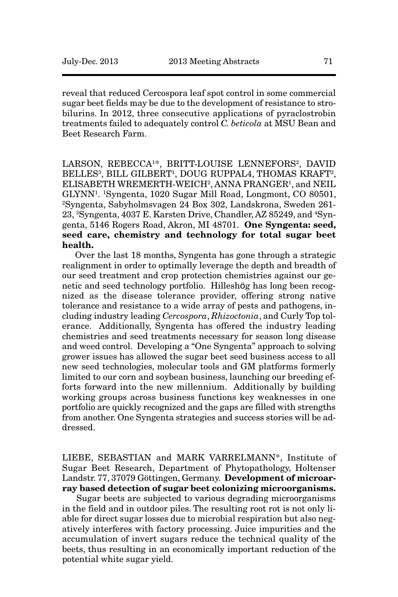reveal that reduced Cercospora leaf spot control in some commercial sugar beet fields may be due to the development of resistance to strobilurins. In 2012, three consecutive applications of pyraclostrobin treatments failed to adequately control *C. beticola* at MSU Bean and Beet Research Farm.

LARSON, REBECCA<sup>1\*</sup>, BRITT-LOUISE LENNEFORS<sup>2</sup>, DAVID BELLES<sup>3</sup>, BILL GILBERT<sup>1</sup>, DOUG RUPPAL4, THOMAS KRAFT<sup>2</sup>, ELISABETH WREMERTH-WEICH2, ANNA PRANGER1, and NEIL GLYNN1. 1Syngenta, 1020 Sugar Mill Road, Longmont, CO 80501, 2Syngenta, Sabyholmsvagen 24 Box 302, Landskrona, Sweden 261- 23, 3Syngenta, 4037 E. Karsten Drive, Chandler, AZ 85249, and 4Syngenta, 5146 Rogers Road, Akron, MI 48701. **One Syngenta: seed, seed care, chemistry and technology for total sugar beet health.**

Over the last 18 months, Syngenta has gone through a strategic realignment in order to optimally leverage the depth and breadth of our seed treatment and crop protection chemistries against our genetic and seed technology portfolio. Hilleshög has long been recognized as the disease tolerance provider, offering strong native tolerance and resistance to a wide array of pests and pathogens, including industry leading *Cercospora*, *Rhizoctonia*, and Curly Top tolerance. Additionally, Syngenta has offered the industry leading chemistries and seed treatments necessary for season long disease and weed control. Developing a "One Syngenta" approach to solving grower issues has allowed the sugar beet seed business access to all new seed technologies, molecular tools and GM platforms formerly limited to our corn and soybean business, launching our breeding efforts forward into the new millennium. Additionally by building working groups across business functions key weaknesses in one portfolio are quickly recognized and the gaps are filled with strengths from another. One Syngenta strategies and success stories will be addressed.

LIEBE, SEBASTIAN and MARK VARRELMANN\*, Institute of Sugar Beet Research, Department of Phytopathology, Holtenser Landstr. 77, 37079 Göttingen, Germany. **Development of microarray based detection of sugar beet colonizing microorganisms.**

Sugar beets are subjected to various degrading microorganisms in the field and in outdoor piles. The resulting root rot is not only liable for direct sugar losses due to microbial respiration but also negatively interferes with factory processing. Juice impurities and the accumulation of invert sugars reduce the technical quality of the beets, thus resulting in an economically important reduction of the potential white sugar yield.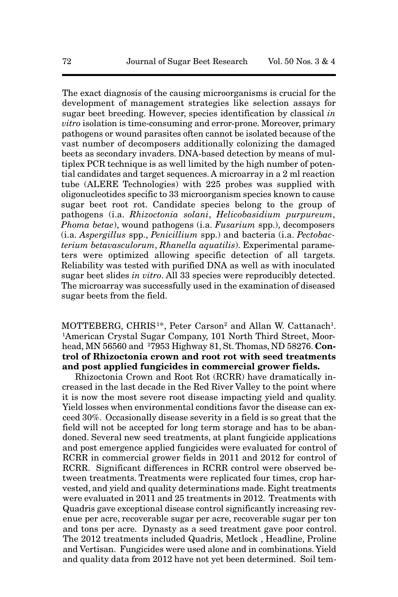The exact diagnosis of the causing microorganisms is crucial for the development of management strategies like selection assays for sugar beet breeding. However, species identification by classical *in vitro* isolation is time-consuming and error-prone. Moreover, primary pathogens or wound parasites often cannot be isolated because of the vast number of decomposers additionally colonizing the damaged beets as secondary invaders. DNA-based detection by means of multiplex PCR technique is as well limited by the high number of potential candidates and target sequences. A microarray in a 2 ml reaction tube (ALERE Technologies) with 225 probes was supplied with oligonucleotides specific to 33 microorganism species known to cause sugar beet root rot. Candidate species belong to the group of pathogens (i.a. *Rhizoctonia solani*, *Helicobasidium purpureum*, *Phoma betae*), wound pathogens (i.a. *Fusarium* spp.), decomposers (i.a. *Aspergillus* spp., *Penicillium* spp.) and bacteria (i.a. *Pectobacterium betavasculorum*, *Rhanella aquatilis*). Experimental parameters were optimized allowing specific detection of all targets. Reliability was tested with purified DNA as well as with inoculated sugar beet slides *in vitro*. All 33 species were reproducibly detected. The microarray was successfully used in the examination of diseased sugar beets from the field.

MOTTEBERG, CHRIS<sup>1\*</sup>, Peter Carson<sup>2</sup> and Allan W. Cattanach<sup>1</sup>. 1American Crystal Sugar Company, 101 North Third Street, Moorhead, MN 56560 and 7953 Highway 81, St. Thomas, ND 58276. **Con-**2**trol of Rhizoctonia crown and root rot with seed treatments and post applied fungicides in commercial grower fields.**

Rhizoctonia Crown and Root Rot (RCRR) have dramatically increased in the last decade in the Red River Valley to the point where it is now the most severe root disease impacting yield and quality. Yield losses when environmental conditions favor the disease can exceed 30%. Occasionally disease severity in a field is so great that the field will not be accepted for long term storage and has to be abandoned. Several new seed treatments, at plant fungicide applications and post emergence applied fungicides were evaluated for control of RCRR in commercial grower fields in 2011 and 2012 for control of RCRR. Significant differences in RCRR control were observed between treatments. Treatments were replicated four times, crop harvested, and yield and quality determinations made. Eight treatments were evaluated in 2011 and 25 treatments in 2012. Treatments with Quadris gave exceptional disease control significantly increasing revenue per acre, recoverable sugar per acre, recoverable sugar per ton and tons per acre. Dynasty as a seed treatment gave poor control. The 2012 treatments included Quadris, Metlock , Headline, Proline and Vertisan. Fungicides were used alone and in combinations. Yield and quality data from 2012 have not yet been determined. Soil tem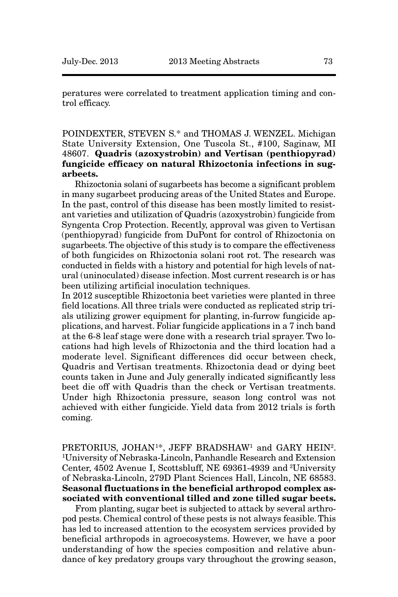peratures were correlated to treatment application timing and control efficacy.

POINDEXTER, STEVEN S.\* and THOMAS J. WENZEL. Michigan State University Extension, One Tuscola St., #100, Saginaw, MI 48607. **Quadris (azoxystrobin) and Vertisan (penthiopyrad) fungicide efficacy on natural Rhizoctonia infections in sugarbeets.**

Rhizoctonia solani of sugarbeets has become a significant problem in many sugarbeet producing areas of the United States and Europe. In the past, control of this disease has been mostly limited to resistant varieties and utilization of Quadris (azoxystrobin) fungicide from Syngenta Crop Protection. Recently, approval was given to Vertisan (penthiopyrad) fungicide from DuPont for control of Rhizoctonia on sugarbeets. The objective of this study is to compare the effectiveness of both fungicides on Rhizoctonia solani root rot. The research was conducted in fields with a history and potential for high levels of natural (uninoculated) disease infection. Most current research is or has been utilizing artificial inoculation techniques.

In 2012 susceptible Rhizoctonia beet varieties were planted in three field locations. All three trials were conducted as replicated strip trials utilizing grower equipment for planting, in-furrow fungicide applications, and harvest. Foliar fungicide applications in a 7 inch band at the 6-8 leaf stage were done with a research trial sprayer. Two locations had high levels of Rhizoctonia and the third location had a moderate level. Significant differences did occur between check, Quadris and Vertisan treatments. Rhizoctonia dead or dying beet counts taken in June and July generally indicated significantly less beet die off with Quadris than the check or Vertisan treatments. Under high Rhizoctonia pressure, season long control was not achieved with either fungicide. Yield data from 2012 trials is forth coming.

PRETORIUS, JOHAN<sup>1\*</sup>, JEFF BRADSHAW<sup>1</sup> and GARY HEIN<sup>2</sup>. 1 University of Nebraska-Lincoln, Panhandle Research and Extension Center, 4502 Avenue I, Scottsbluff, NE 69361-4939 and 2University of Nebraska-Lincoln, 279D Plant Sciences Hall, Lincoln, NE 68583. **Seasonal fluctuations in the beneficial arthropod complex associated with conventional tilled and zone tilled sugar beets.**

From planting, sugar beet is subjected to attack by several arthropod pests. Chemical control of these pests is not always feasible. This has led to increased attention to the ecosystem services provided by beneficial arthropods in agroecosystems. However, we have a poor understanding of how the species composition and relative abundance of key predatory groups vary throughout the growing season,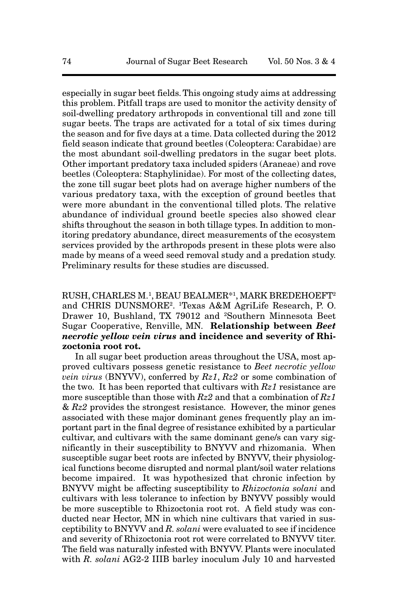especially in sugar beet fields. This ongoing study aims at addressing this problem. Pitfall traps are used to monitor the activity density of soil-dwelling predatory arthropods in conventional till and zone till sugar beets. The traps are activated for a total of six times during the season and for five days at a time. Data collected during the 2012 field season indicate that ground beetles (Coleoptera: Carabidae) are the most abundant soil-dwelling predators in the sugar beet plots. Other important predatory taxa included spiders (Araneae) and rove beetles (Coleoptera: Staphylinidae). For most of the collecting dates, the zone till sugar beet plots had on average higher numbers of the various predatory taxa, with the exception of ground beetles that were more abundant in the conventional tilled plots. The relative abundance of individual ground beetle species also showed clear shifts throughout the season in both tillage types. In addition to monitoring predatory abundance, direct measurements of the ecosystem services provided by the arthropods present in these plots were also made by means of a weed seed removal study and a predation study. Preliminary results for these studies are discussed.

RUSH, CHARLES M.1 , BEAU BEALMER\*1 , MARK BREDEHOEFT2 and CHRIS DUNSMORE2. 1Texas A&M AgriLife Research, P. O. Drawer 10, Bushland, TX 79012 and <sup>2</sup>Southern Minnesota Beet Sugar Cooperative, Renville, MN. **Relationship between** *Beet necrotic yellow vein virus* **and incidence and severity of Rhizoctonia root rot.**

In all sugar beet production areas throughout the USA, most approved cultivars possess genetic resistance to *Beet necrotic yellow vein virus* (BNYVV), conferred by *Rz1*, *Rz2* or some combination of the two. It has been reported that cultivars with *Rz1* resistance are more susceptible than those with *Rz2* and that a combination of *Rz1* & *Rz2* provides the strongest resistance. However, the minor genes associated with these major dominant genes frequently play an important part in the final degree of resistance exhibited by a particular cultivar, and cultivars with the same dominant gene/s can vary significantly in their susceptibility to BNYVV and rhizomania. When susceptible sugar beet roots are infected by BNYVV, their physiological functions become disrupted and normal plant/soil water relations become impaired. It was hypothesized that chronic infection by BNYVV might be affecting susceptibility to *Rhizoctonia solani* and cultivars with less tolerance to infection by BNYVV possibly would be more susceptible to Rhizoctonia root rot. A field study was conducted near Hector, MN in which nine cultivars that varied in susceptibility to BNYVV and *R. solani* were evaluated to see if incidence and severity of Rhizoctonia root rot were correlated to BNYVV titer. The field was naturally infested with BNYVV. Plants were inoculated with *R. solani* AG2-2 IIIB barley inoculum July 10 and harvested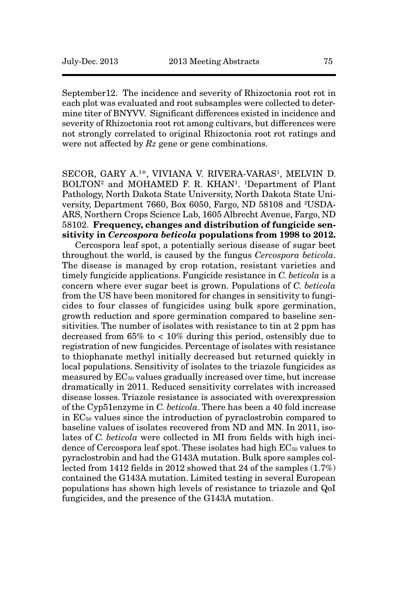September12. The incidence and severity of Rhizoctonia root rot in each plot was evaluated and root subsamples were collected to determine titer of BNYVV. Significant differences existed in incidence and severity of Rhizoctonia root rot among cultivars, but differences were not strongly correlated to original Rhizoctonia root rot ratings and were not affected by *Rz* gene or gene combinations.

SECOR, GARY A.1\*, VIVIANA V. RIVERA-VARAS1, MELVIN D. BOLTON<sup>2</sup> and MOHAMED F. R. KHAN<sup>1</sup>. <sup>1</sup>Department of Plant Pathology, North Dakota State University, North Dakota State University, Department 7660, Box 6050, Fargo, ND 58108 and 2USDA-ARS, Northern Crops Science Lab, 1605 Albrecht Avenue, Fargo, ND 58102. **Frequency, changes and distribution of fungicide sensitivity in** *Cercospora beticola* **populations from 1998 to 2012.**

Cercospora leaf spot, a potentially serious disease of sugar beet throughout the world, is caused by the fungus *Cercospora beticola*. The disease is managed by crop rotation, resistant varieties and timely fungicide applications. Fungicide resistance in *C. beticola* is a concern where ever sugar beet is grown. Populations of *C. beticola* from the US have been monitored for changes in sensitivity to fungicides to four classes of fungicides using bulk spore germination, growth reduction and spore germination compared to baseline sensitivities. The number of isolates with resistance to tin at 2 ppm has decreased from 65% to < 10% during this period, ostensibly due to registration of new fungicides. Percentage of isolates with resistance to thiophanate methyl initially decreased but returned quickly in local populations. Sensitivity of isolates to the triazole fungicides as measured by EC50 values gradually increased over time, but increase dramatically in 2011. Reduced sensitivity correlates with increased disease losses. Triazole resistance is associated with overexpression of the Cyp51enzyme in *C. beticola*. There has been a 40 fold increase in EC50 values since the introduction of pyraclostrobin compared to baseline values of isolates recovered from ND and MN. In 2011, isolates of *C. beticola* were collected in MI from fields with high incidence of Cercospora leaf spot. These isolates had high  $EC_{50}$  values to pyraclostrobin and had the G143A mutation. Bulk spore samples collected from 1412 fields in 2012 showed that 24 of the samples (1.7%) contained the G143A mutation. Limited testing in several European populations has shown high levels of resistance to triazole and QoI fungicides, and the presence of the G143A mutation.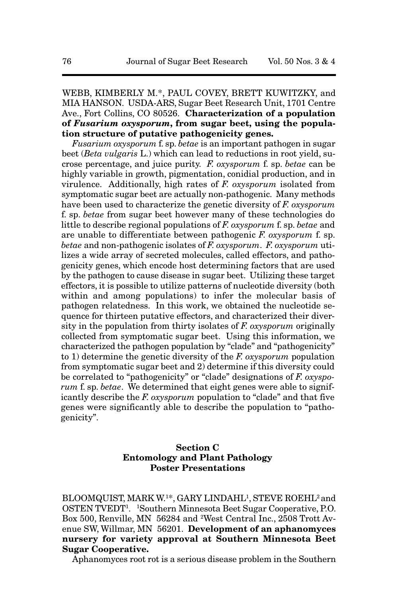# WEBB, KIMBERLY M.\*, PAUL COVEY, BRETT KUWITZKY, and MIA HANSON. USDA-ARS, Sugar Beet Research Unit, 1701 Centre Ave., Fort Collins, CO 80526. **Characterization of a population of** *Fusarium oxysporum***, from sugar beet, using the population structure of putative pathogenicity genes.**

*Fusarium oxysporum* f. sp. *betae* is an important pathogen in sugar beet (*Beta vulgaris* L.) which can lead to reductions in root yield, sucrose percentage, and juice purity. *F. oxysporum* f. sp. *betae* can be highly variable in growth, pigmentation, conidial production, and in virulence. Additionally, high rates of *F. oxysporum* isolated from symptomatic sugar beet are actually non-pathogenic. Many methods have been used to characterize the genetic diversity of *F. oxysporum* f. sp. *betae* from sugar beet however many of these technologies do little to describe regional populations of *F. oxysporum* f. sp. *betae* and are unable to differentiate between pathogenic *F. oxysporum* f. sp. *betae* and non-pathogenic isolates of *F. oxysporum*. *F. oxysporum* utilizes a wide array of secreted molecules, called effectors, and pathogenicity genes, which encode host determining factors that are used by the pathogen to cause disease in sugar beet. Utilizing these target effectors, it is possible to utilize patterns of nucleotide diversity (both within and among populations) to infer the molecular basis of pathogen relatedness. In this work, we obtained the nucleotide sequence for thirteen putative effectors, and characterized their diversity in the population from thirty isolates of *F. oxysporum* originally collected from symptomatic sugar beet. Using this information, we characterized the pathogen population by "clade" and "pathogenicity" to 1) determine the genetic diversity of the *F. oxysporum* population from symptomatic sugar beet and 2) determine if this diversity could be correlated to "pathogenicity" or "clade" designations of *F. oxysporum* f. sp. *betae*. We determined that eight genes were able to significantly describe the *F. oxysporum* population to "clade" and that five genes were significantly able to describe the population to "pathogenicity".

# **Section C Entomology and Plant Pathology Poster Presentations**

BLOOMQUIST, MARK W.1\*, GARY LINDAHL<sup>1</sup>, STEVE ROEHL<sup>2</sup> and OSTEN TVEDT1 . 1 Southern Minnesota Beet Sugar Cooperative, P.O. Box 500, Renville, MN 56284 and 2West Central Inc., 2508 Trott Avenue SW, Willmar, MN 56201. **Development of an aphanomyces nursery for variety approval at Southern Minnesota Beet Sugar Cooperative.** 

Aphanomyces root rot is a serious disease problem in the Southern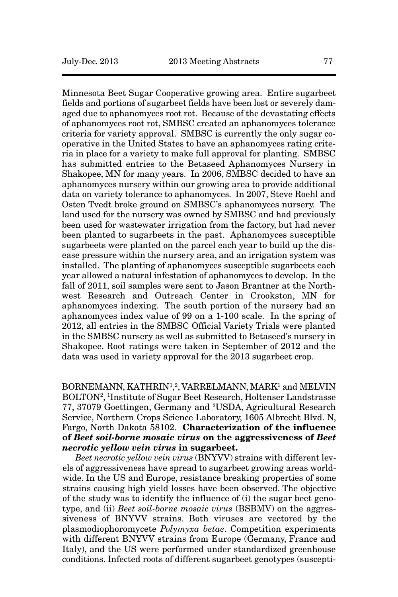Minnesota Beet Sugar Cooperative growing area. Entire sugarbeet fields and portions of sugarbeet fields have been lost or severely damaged due to aphanomyces root rot. Because of the devastating effects of aphanomyces root rot, SMBSC created an aphanomyces tolerance criteria for variety approval. SMBSC is currently the only sugar cooperative in the United States to have an aphanomyces rating criteria in place for a variety to make full approval for planting. SMBSC has submitted entries to the Betaseed Aphanomyces Nursery in Shakopee, MN for many years. In 2006, SMBSC decided to have an aphanomyces nursery within our growing area to provide additional data on variety tolerance to aphanomyces. In 2007, Steve Roehl and Osten Tvedt broke ground on SMBSC's aphanomyces nursery. The land used for the nursery was owned by SMBSC and had previously been used for wastewater irrigation from the factory, but had never been planted to sugarbeets in the past. Aphanomyces susceptible sugarbeets were planted on the parcel each year to build up the disease pressure within the nursery area, and an irrigation system was installed. The planting of aphanomyces susceptible sugarbeets each year allowed a natural infestation of aphanomyces to develop. In the fall of 2011, soil samples were sent to Jason Brantner at the Northwest Research and Outreach Center in Crookston, MN for aphanomyces indexing. The south portion of the nursery had an aphanomyces index value of 99 on a 1-100 scale. In the spring of 2012, all entries in the SMBSC Official Variety Trials were planted in the SMBSC nursery as well as submitted to Betaseed's nursery in Shakopee. Root ratings were taken in September of 2012 and the data was used in variety approval for the 2013 sugarbeet crop.

# $\rm BORNEMANN, KATHRIN^{1,2}, VARRELMANN, MARK^{1}$  and  $MELVIN$ BOLTON2, 1Institute of Sugar Beet Research, Holtenser Landstrasse 77, 37079 Goettingen, Germany and 2USDA, Agricultural Research Service, Northern Crops Science Laboratory, 1605 Albrecht Blvd. N, Fargo, North Dakota 58102. **Characterization of the influence of** *Beet soil-borne mosaic virus* **on the aggressiveness of** *Beet necrotic yellow vein virus* **in sugarbeet.**

*Beet necrotic yellow vein virus* (BNYVV) strains with different levels of aggressiveness have spread to sugarbeet growing areas worldwide. In the US and Europe, resistance breaking properties of some strains causing high yield losses have been observed. The objective of the study was to identify the influence of (i) the sugar beet genotype, and (ii) *Beet soil-borne mosaic virus* (BSBMV) on the aggressiveness of BNYVV strains. Both viruses are vectored by the plasmodiophoromycete *Polymyxa betae*. Competition experiments with different BNYVV strains from Europe (Germany, France and Italy), and the US were performed under standardized greenhouse conditions. Infected roots of different sugarbeet genotypes (suscepti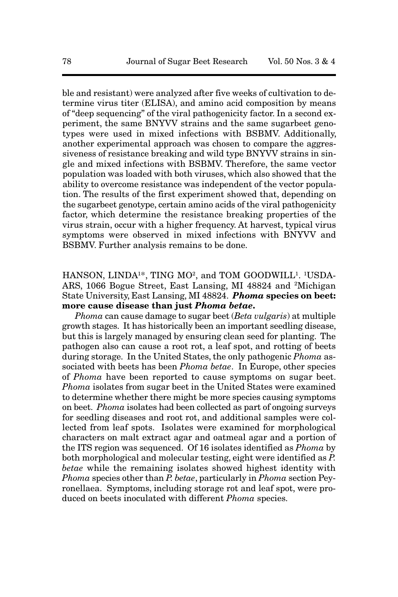ble and resistant) were analyzed after five weeks of cultivation to determine virus titer (ELISA), and amino acid composition by means of "deep sequencing" of the viral pathogenicity factor. In a second experiment, the same BNYVV strains and the same sugarbeet genotypes were used in mixed infections with BSBMV. Additionally, another experimental approach was chosen to compare the aggressiveness of resistance breaking and wild type BNYVV strains in single and mixed infections with BSBMV. Therefore, the same vector population was loaded with both viruses, which also showed that the ability to overcome resistance was independent of the vector population. The results of the first experiment showed that, depending on the sugarbeet genotype, certain amino acids of the viral pathogenicity factor, which determine the resistance breaking properties of the virus strain, occur with a higher frequency. At harvest, typical virus symptoms were observed in mixed infections with BNYVV and BSBMV. Further analysis remains to be done.

# HANSON, LINDA<sup>1\*</sup>, TING MO<sup>2</sup>, and TOM GOODWILL<sup>1</sup>. <sup>1</sup>USDA-ARS, 1066 Bogue Street, East Lansing, MI 48824 and 2Michigan State University, East Lansing, MI 48824. *Phoma* **species on beet: more cause disease than just** *Phoma betae***.**

*Phoma* can cause damage to sugar beet (*Beta vulgaris*) at multiple growth stages. It has historically been an important seedling disease, but this is largely managed by ensuring clean seed for planting. The pathogen also can cause a root rot, a leaf spot, and rotting of beets during storage. In the United States, the only pathogenic *Phoma* associated with beets has been *Phoma betae*. In Europe, other species of *Phoma* have been reported to cause symptoms on sugar beet. *Phoma* isolates from sugar beet in the United States were examined to determine whether there might be more species causing symptoms on beet. *Phoma* isolates had been collected as part of ongoing surveys for seedling diseases and root rot, and additional samples were collected from leaf spots. Isolates were examined for morphological characters on malt extract agar and oatmeal agar and a portion of the ITS region was sequenced. Of 16 isolates identified as *Phoma* by both morphological and molecular testing, eight were identified as *P. betae* while the remaining isolates showed highest identity with *Phoma* species other than *P. betae*, particularly in *Phoma* section Peyronellaea. Symptoms, including storage rot and leaf spot, were produced on beets inoculated with different *Phoma* species.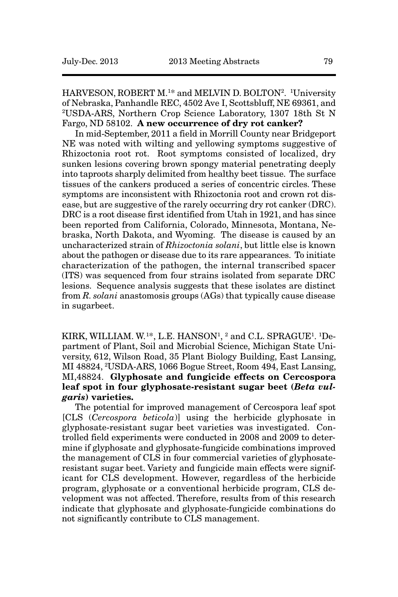HARVESON, ROBERT M.<sup>1\*</sup> and MELVIN D. BOLTON<sup>2</sup>. <sup>1</sup>University of Nebraska, Panhandle REC, 4502 Ave I, Scottsbluff, NE 69361, and 2USDA-ARS, Northern Crop Science Laboratory, 1307 18th St N Fargo, ND 58102. **A new occurrence of dry rot canker?**

In mid-September, 2011 a field in Morrill County near Bridgeport NE was noted with wilting and yellowing symptoms suggestive of Rhizoctonia root rot. Root symptoms consisted of localized, dry sunken lesions covering brown spongy material penetrating deeply into taproots sharply delimited from healthy beet tissue. The surface tissues of the cankers produced a series of concentric circles. These symptoms are inconsistent with Rhizoctonia root and crown rot disease, but are suggestive of the rarely occurring dry rot canker (DRC). DRC is a root disease first identified from Utah in 1921, and has since been reported from California, Colorado, Minnesota, Montana, Nebraska, North Dakota, and Wyoming. The disease is caused by an uncharacterized strain of *Rhizoctonia solani*, but little else is known about the pathogen or disease due to its rare appearances. To initiate characterization of the pathogen, the internal transcribed spacer (ITS) was sequenced from four strains isolated from separate DRC lesions. Sequence analysis suggests that these isolates are distinct from *R. solani* anastomosis groups (AGs) that typically cause disease in sugarbeet.

KIRK, WILLIAM. W.<sup>1\*</sup>, L.E. HANSON<sup>1</sup>, <sup>2</sup> and C.L. SPRAGUE<sup>1</sup>. <sup>1</sup>Department of Plant, Soil and Microbial Science, Michigan State University, 612, Wilson Road, 35 Plant Biology Building, East Lansing, MI 48824, 2USDA-ARS, 1066 Bogue Street, Room 494, East Lansing, MI,48824. **Glyphosate and fungicide effects on Cercospora leaf spot in four glyphosate-resistant sugar beet (***Beta vulgaris***) varieties.** 

The potential for improved management of Cercospora leaf spot [CLS (*Cercospora beticola*)] using the herbicide glyphosate in glyphosate-resistant sugar beet varieties was investigated. Controlled field experiments were conducted in 2008 and 2009 to determine if glyphosate and glyphosate-fungicide combinations improved the management of CLS in four commercial varieties of glyphosateresistant sugar beet. Variety and fungicide main effects were significant for CLS development. However, regardless of the herbicide program, glyphosate or a conventional herbicide program, CLS development was not affected. Therefore, results from of this research indicate that glyphosate and glyphosate-fungicide combinations do not significantly contribute to CLS management.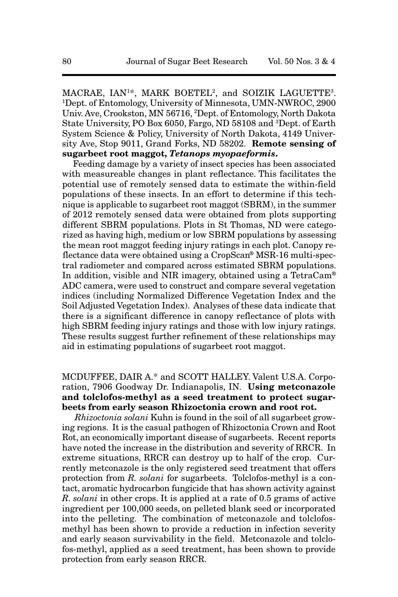MACRAE, IAN1\*, MARK BOETEL2, and SOIZIK LAGUETTE3. 1Dept. of Entomology, University of Minnesota, UMN-NWROC, 2900 Univ. Ave, Crookston, MN 56716, 2 Dept. of Entomology, North Dakota State University, PO Box 6050, Fargo, ND 58108 and 3Dept. of Earth System Science & Policy, University of North Dakota, 4149 University Ave, Stop 9011, Grand Forks, ND 58202. **Remote sensing of sugarbeet root maggot,** *Tetanops myopaeformis***.** 

Feeding damage by a variety of insect species has been associated with measureable changes in plant reflectance. This facilitates the potential use of remotely sensed data to estimate the within-field populations of these insects. In an effort to determine if this technique is applicable to sugarbeet root maggot (SBRM), in the summer of 2012 remotely sensed data were obtained from plots supporting different SBRM populations. Plots in St Thomas, ND were categorized as having high, medium or low SBRM populations by assessing the mean root maggot feeding injury ratings in each plot. Canopy reflectance data were obtained using a CropScan® MSR-16 multi-spectral radiometer and compared across estimated SBRM populations. In addition, visible and NIR imagery, obtained using a TetraCam® ADC camera, were used to construct and compare several vegetation indices (including Normalized Difference Vegetation Index and the Soil Adjusted Vegetation Index). Analyses of these data indicate that there is a significant difference in canopy reflectance of plots with high SBRM feeding injury ratings and those with low injury ratings. These results suggest further refinement of these relationships may aid in estimating populations of sugarbeet root maggot.

#### MCDUFFEE, DAIR A.\* and SCOTT HALLEY. Valent U.S.A. Corporation, 7906 Goodway Dr. Indianapolis, IN. **Using metconazole and tolclofos-methyl as a seed treatment to protect sugarbeets from early season Rhizoctonia crown and root rot.**

*Rhizoctonia solani* Kuhn is found in the soil of all sugarbeet growing regions. It is the casual pathogen of Rhizoctonia Crown and Root Rot, an economically important disease of sugarbeets. Recent reports have noted the increase in the distribution and severity of RRCR. In extreme situations, RRCR can destroy up to half of the crop. Currently metconazole is the only registered seed treatment that offers protection from *R. solani* for sugarbeets. Tolclofos-methyl is a contact, aromatic hydrocarbon fungicide that has shown activity against *R. solani* in other crops. It is applied at a rate of 0.5 grams of active ingredient per 100,000 seeds, on pelleted blank seed or incorporated into the pelleting. The combination of metconazole and tolclofosmethyl has been shown to provide a reduction in infection severity and early season survivability in the field. Metconazole and tolclofos-methyl, applied as a seed treatment, has been shown to provide protection from early season RRCR.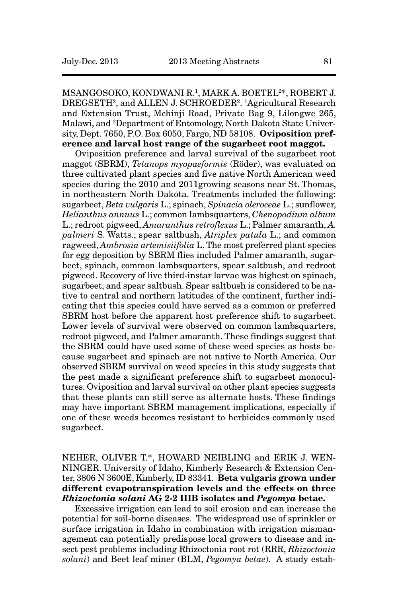MSANGOSOKO, KONDWANI R.1, MARK A. BOETEL2\*, ROBERT J. DREGSETH2, and ALLEN J. SCHROEDER2. 1Agricultural Research and Extension Trust, Mchinji Road, Private Bag 9, Lilongwe 265, Malawi, and 2 Department of Entomology, North Dakota State University, Dept. 7650, P.O. Box 6050, Fargo, ND 58108. **Oviposition preference and larval host range of the sugarbeet root maggot.**

Oviposition preference and larval survival of the sugarbeet root maggot (SBRM), *Tetanops myopaeformis* (Röder), was evaluated on three cultivated plant species and five native North American weed species during the 2010 and 2011growing seasons near St. Thomas, in northeastern North Dakota. Treatments included the following: sugarbeet, *Beta vulgaris* L.; spinach, *Spinacia oleroceae* L.; sunflower, *Helianthus annuus* L.; common lambsquarters, *Chenopodium album* L.; redroot pigweed, *Amaranthus retroflexus* L.; Palmer amaranth, *A. palmeri* S. Watts.; spear saltbush, *Atriplex patula* L.; and common ragweed, *Ambrosia artemisiifolia* L. The most preferred plant species for egg deposition by SBRM flies included Palmer amaranth, sugarbeet, spinach, common lambsquarters, spear saltbush, and redroot pigweed. Recovery of live third-instar larvae was highest on spinach, sugarbeet, and spear saltbush. Spear saltbush is considered to be native to central and northern latitudes of the continent, further indicating that this species could have served as a common or preferred SBRM host before the apparent host preference shift to sugarbeet. Lower levels of survival were observed on common lambsquarters, redroot pigweed, and Palmer amaranth. These findings suggest that the SBRM could have used some of these weed species as hosts because sugarbeet and spinach are not native to North America. Our observed SBRM survival on weed species in this study suggests that the pest made a significant preference shift to sugarbeet monocultures. Oviposition and larval survival on other plant species suggests that these plants can still serve as alternate hosts. These findings may have important SBRM management implications, especially if one of these weeds becomes resistant to herbicides commonly used sugarbeet.

# NEHER, OLIVER T.\*, HOWARD NEIBLING and ERIK J. WEN-NINGER. University of Idaho, Kimberly Research & Extension Center, 3806 N 3600E, Kimberly, ID 83341. **Beta vulgaris grown under different evapotranspiration levels and the effects on three** *Rhizoctonia solani* **AG 2-2 IIIB isolates and** *Pegomya* **betae.**

Excessive irrigation can lead to soil erosion and can increase the potential for soil-borne diseases. The widespread use of sprinkler or surface irrigation in Idaho in combination with irrigation mismanagement can potentially predispose local growers to disease and insect pest problems including Rhizoctonia root rot (RRR, *Rhizoctonia solani*) and Beet leaf miner (BLM, *Pegomya betae*). A study estab-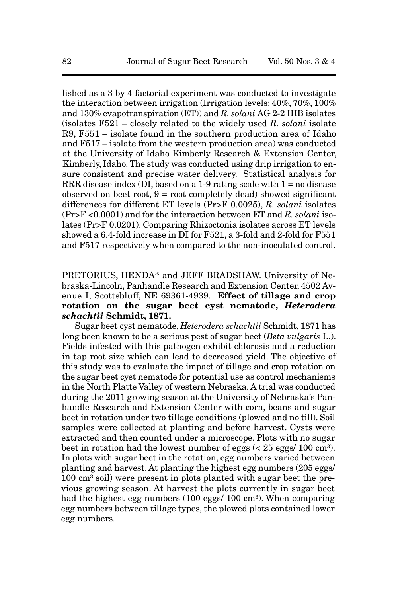lished as a 3 by 4 factorial experiment was conducted to investigate the interaction between irrigation (Irrigation levels: 40%, 70%, 100% and 130% evapotranspiration (ET)) and *R. solani* AG 2-2 IIIB isolates (isolates F521 – closely related to the widely used *R. solani* isolate R9, F551 – isolate found in the southern production area of Idaho and F517 – isolate from the western production area) was conducted at the University of Idaho Kimberly Research & Extension Center, Kimberly, Idaho. The study was conducted using drip irrigation to ensure consistent and precise water delivery. Statistical analysis for RRR disease index  $(DI, based on a 1-9 rating scale with 1 = no disease$ observed on beet root,  $9 = root$  completely dead) showed significant differences for different ET levels (Pr>F 0.0025), *R. solani* isolates (Pr>F <0.0001) and for the interaction between ET and *R. solani* isolates (Pr>F 0.0201). Comparing Rhizoctonia isolates across ET levels showed a 6.4-fold increase in DI for F521, a 3-fold and 2-fold for F551 and F517 respectively when compared to the non-inoculated control.

# PRETORIUS, HENDA\* and JEFF BRADSHAW. University of Nebraska-Lincoln, Panhandle Research and Extension Center, 4502 Avenue I, Scottsbluff, NE 69361-4939. **Effect of tillage and crop rotation on the sugar beet cyst nematode,** *Heterodera schachtii* **Schmidt, 1871.**

Sugar beet cyst nematode, *Heterodera schachtii* Schmidt, 1871 has long been known to be a serious pest of sugar beet (*Beta vulgaris* L.). Fields infested with this pathogen exhibit chlorosis and a reduction in tap root size which can lead to decreased yield. The objective of this study was to evaluate the impact of tillage and crop rotation on the sugar beet cyst nematode for potential use as control mechanisms in the North Platte Valley of western Nebraska. A trial was conducted during the 2011 growing season at the University of Nebraska's Panhandle Research and Extension Center with corn, beans and sugar beet in rotation under two tillage conditions (plowed and no till). Soil samples were collected at planting and before harvest. Cysts were extracted and then counted under a microscope. Plots with no sugar beet in rotation had the lowest number of eggs  $\langle \langle 25 \rangle$  eggs  $/ 100 \text{ cm}^3$ . In plots with sugar beet in the rotation, egg numbers varied between planting and harvest. At planting the highest egg numbers (205 eggs/  $100 \text{ cm}^3$  soil) were present in plots planted with sugar beet the previous growing season. At harvest the plots currently in sugar beet had the highest egg numbers (100 eggs/ 100 cm<sup>3</sup>). When comparing egg numbers between tillage types, the plowed plots contained lower egg numbers.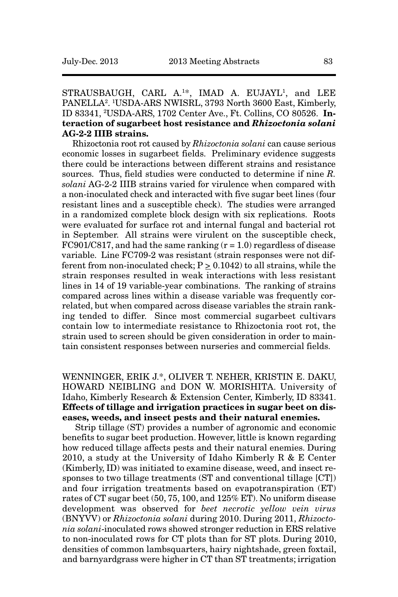STRAUSBAUGH, CARL A.<sup>1\*</sup>, IMAD A. EUJAYL<sup>1</sup>, and LEE PANELLA2. 1USDA-ARS NWISRL, 3793 North 3600 East, Kimberly, ID 83341, 2USDA-ARS, 1702 Center Ave., Ft. Collins, CO 80526. **Interaction of sugarbeet host resistance and** *Rhizoctonia solani* **AG-2-2 IIIB strains.**

Rhizoctonia root rot caused by *Rhizoctonia solani* can cause serious economic losses in sugarbeet fields. Preliminary evidence suggests there could be interactions between different strains and resistance sources. Thus, field studies were conducted to determine if nine *R. solani* AG-2-2 IIIB strains varied for virulence when compared with a non-inoculated check and interacted with five sugar beet lines (four resistant lines and a susceptible check). The studies were arranged in a randomized complete block design with six replications. Roots were evaluated for surface rot and internal fungal and bacterial rot in September. All strains were virulent on the susceptible check, FC901/C817, and had the same ranking  $(r = 1.0)$  regardless of disease variable. Line FC709-2 was resistant (strain responses were not different from non-inoculated check;  $P > 0.1042$ ) to all strains, while the strain responses resulted in weak interactions with less resistant lines in 14 of 19 variable-year combinations. The ranking of strains compared across lines within a disease variable was frequently correlated, but when compared across disease variables the strain ranking tended to differ. Since most commercial sugarbeet cultivars contain low to intermediate resistance to Rhizoctonia root rot, the strain used to screen should be given consideration in order to maintain consistent responses between nurseries and commercial fields.

WENNINGER, ERIK J.\*, OLIVER T. NEHER, KRISTIN E. DAKU, HOWARD NEIBLING and DON W. MORISHITA. University of Idaho, Kimberly Research & Extension Center, Kimberly, ID 83341. **Effects of tillage and irrigation practices in sugar beet on diseases, weeds, and insect pests and their natural enemies.** 

Strip tillage (ST) provides a number of agronomic and economic benefits to sugar beet production. However, little is known regarding how reduced tillage affects pests and their natural enemies. During 2010, a study at the University of Idaho Kimberly R  $& E$  Center (Kimberly, ID) was initiated to examine disease, weed, and insect responses to two tillage treatments (ST and conventional tillage [CT]) and four irrigation treatments based on evapotranspiration (ET) rates of CT sugar beet (50, 75, 100, and 125% ET). No uniform disease development was observed for *beet necrotic yellow vein virus* (BNYVV) or *Rhizoctonia solani* during 2010. During 2011, *Rhizoctonia solani*-inoculated rows showed stronger reduction in ERS relative to non-inoculated rows for CT plots than for ST plots. During 2010, densities of common lambsquarters, hairy nightshade, green foxtail, and barnyardgrass were higher in CT than ST treatments; irrigation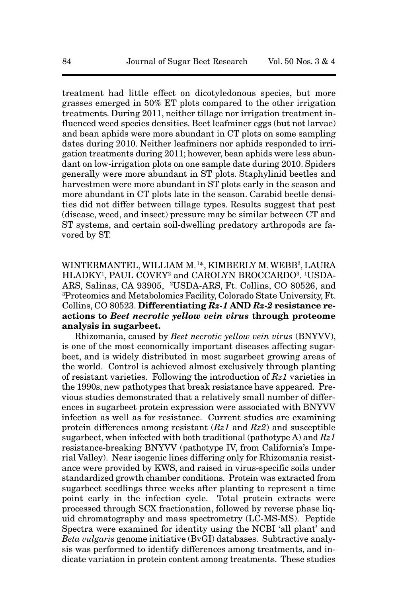treatment had little effect on dicotyledonous species, but more grasses emerged in 50% ET plots compared to the other irrigation treatments. During 2011, neither tillage nor irrigation treatment influenced weed species densities. Beet leafminer eggs (but not larvae) and bean aphids were more abundant in CT plots on some sampling dates during 2010. Neither leafminers nor aphids responded to irrigation treatments during 2011; however, bean aphids were less abundant on low-irrigation plots on one sample date during 2010. Spiders generally were more abundant in ST plots. Staphylinid beetles and harvestmen were more abundant in ST plots early in the season and more abundant in CT plots late in the season. Carabid beetle densities did not differ between tillage types. Results suggest that pest (disease, weed, and insect) pressure may be similar between CT and ST systems, and certain soil-dwelling predatory arthropods are favored by ST.

WINTERMANTEL, WILLIAM M.1\*, KIMBERLY M. WEBB<sup>2</sup>, LAURA HLADKY1, PAUL COVEY2 and CAROLYN BROCCARDO3. 1USDA-ARS, Salinas, CA 93905, 2USDA-ARS, Ft. Collins, CO 80526, and 3 Proteomics and Metabolomics Facility, Colorado State University, Ft. Collins, CO 80523. **Differentiating** *Rz-1* **AND** *Rz-2* **resistance reactions to** *Beet necrotic yellow vein virus* **through proteome analysis in sugarbeet.** 

Rhizomania, caused by *Beet necrotic yellow vein virus* (BNYVV), is one of the most economically important diseases affecting sugarbeet, and is widely distributed in most sugarbeet growing areas of the world. Control is achieved almost exclusively through planting of resistant varieties. Following the introduction of *Rz1* varieties in the 1990s, new pathotypes that break resistance have appeared. Previous studies demonstrated that a relatively small number of differences in sugarbeet protein expression were associated with BNYVV infection as well as for resistance. Current studies are examining protein differences among resistant (*Rz1* and *Rz2*) and susceptible sugarbeet, when infected with both traditional (pathotype A) and *Rz1* resistance-breaking BNYVV (pathotype IV, from California's Imperial Valley). Near isogenic lines differing only for Rhizomania resistance were provided by KWS, and raised in virus-specific soils under standardized growth chamber conditions. Protein was extracted from sugarbeet seedlings three weeks after planting to represent a time point early in the infection cycle. Total protein extracts were processed through SCX fractionation, followed by reverse phase liquid chromatography and mass spectrometry (LC-MS-MS). Peptide Spectra were examined for identity using the NCBI 'all plant' and *Beta vulgaris* genome initiative (BvGI) databases. Subtractive analysis was performed to identify differences among treatments, and indicate variation in protein content among treatments. These studies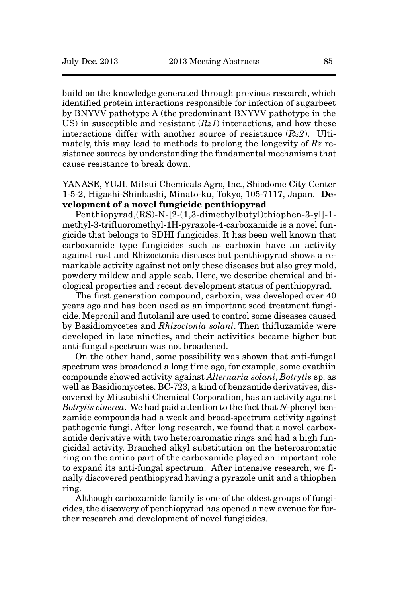build on the knowledge generated through previous research, which identified protein interactions responsible for infection of sugarbeet by BNYVV pathotype A (the predominant BNYVV pathotype in the US) in susceptible and resistant (*Rz1*) interactions, and how these interactions differ with another source of resistance (*Rz2*). Ultimately, this may lead to methods to prolong the longevity of *Rz* resistance sources by understanding the fundamental mechanisms that cause resistance to break down.

YANASE, YUJI. Mitsui Chemicals Agro, Inc., Shiodome City Center 1-5-2, Higashi-Shinbashi, Minato-ku, Tokyo, 105-7117, Japan. **Development of a novel fungicide penthiopyrad**

Penthiopyrad,(RS)-N-[2-(1,3-dimethylbutyl)thiophen-3-yl]-1 methyl-3-trifluoromethyl-1H-pyrazole-4-carboxamide is a novel fungicide that belongs to SDHI fungicides. It has been well known that carboxamide type fungicides such as carboxin have an activity against rust and Rhizoctonia diseases but penthiopyrad shows a remarkable activity against not only these diseases but also grey mold, powdery mildew and apple scab. Here, we describe chemical and biological properties and recent development status of penthiopyrad.

The first generation compound, carboxin, was developed over 40 years ago and has been used as an important seed treatment fungicide. Mepronil and flutolanil are used to control some diseases caused by Basidiomycetes and *Rhizoctonia solani*. Then thifluzamide were developed in late nineties, and their activities became higher but anti-fungal spectrum was not broadened.

On the other hand, some possibility was shown that anti-fungal spectrum was broadened a long time ago, for example, some oxathiin compounds showed activity against *Alternaria solani*, *Botrytis* sp. as well as Basidiomycetes. BC-723, a kind of benzamide derivatives, discovered by Mitsubishi Chemical Corporation, has an activity against *Botrytis cinerea*. We had paid attention to the fact that *N*-phenyl benzamide compounds had a weak and broad-spectrum activity against pathogenic fungi. After long research, we found that a novel carboxamide derivative with two heteroaromatic rings and had a high fungicidal activity. Branched alkyl substitution on the heteroaromatic ring on the amino part of the carboxamide played an important role to expand its anti-fungal spectrum. After intensive research, we finally discovered penthiopyrad having a pyrazole unit and a thiophen ring.

Although carboxamide family is one of the oldest groups of fungicides, the discovery of penthiopyrad has opened a new avenue for further research and development of novel fungicides.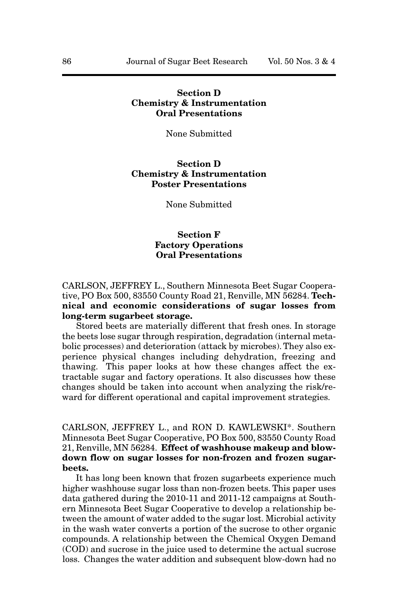# **Section D Chemistry & Instrumentation Oral Presentations**

None Submitted

#### **Section D Chemistry & Instrumentation Poster Presentations**

None Submitted

# **Section F Factory Operations Oral Presentations**

CARLSON, JEFFREY L., Southern Minnesota Beet Sugar Cooperative, PO Box 500, 83550 County Road 21, Renville, MN 56284. **Technical and economic considerations of sugar losses from long-term sugarbeet storage.**

Stored beets are materially different that fresh ones. In storage the beets lose sugar through respiration, degradation (internal metabolic processes) and deterioration (attack by microbes). They also experience physical changes including dehydration, freezing and thawing. This paper looks at how these changes affect the extractable sugar and factory operations. It also discusses how these changes should be taken into account when analyzing the risk/reward for different operational and capital improvement strategies.

CARLSON, JEFFREY L., and RON D. KAWLEWSKI\*. Southern Minnesota Beet Sugar Cooperative, PO Box 500, 83550 County Road 21, Renville, MN 56284. **Effect of washhouse makeup and blowdown flow on sugar losses for non-frozen and frozen sugarbeets.**

It has long been known that frozen sugarbeets experience much higher washhouse sugar loss than non-frozen beets. This paper uses data gathered during the 2010-11 and 2011-12 campaigns at Southern Minnesota Beet Sugar Cooperative to develop a relationship between the amount of water added to the sugar lost. Microbial activity in the wash water converts a portion of the sucrose to other organic compounds. A relationship between the Chemical Oxygen Demand (COD) and sucrose in the juice used to determine the actual sucrose loss. Changes the water addition and subsequent blow-down had no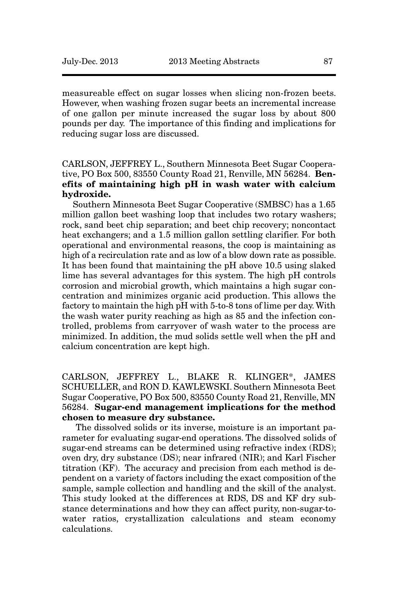measureable effect on sugar losses when slicing non-frozen beets. However, when washing frozen sugar beets an incremental increase of one gallon per minute increased the sugar loss by about 800 pounds per day. The importance of this finding and implications for reducing sugar loss are discussed.

# CARLSON, JEFFREY L., Southern Minnesota Beet Sugar Cooperative, PO Box 500, 83550 County Road 21, Renville, MN 56284. **Benefits of maintaining high pH in wash water with calcium hydroxide.**

Southern Minnesota Beet Sugar Cooperative (SMBSC) has a 1.65 million gallon beet washing loop that includes two rotary washers; rock, sand beet chip separation; and beet chip recovery; noncontact heat exchangers; and a 1.5 million gallon settling clarifier. For both operational and environmental reasons, the coop is maintaining as high of a recirculation rate and as low of a blow down rate as possible. It has been found that maintaining the pH above 10.5 using slaked lime has several advantages for this system. The high pH controls corrosion and microbial growth, which maintains a high sugar concentration and minimizes organic acid production. This allows the factory to maintain the high pH with 5-to-8 tons of lime per day. With the wash water purity reaching as high as 85 and the infection controlled, problems from carryover of wash water to the process are minimized. In addition, the mud solids settle well when the pH and calcium concentration are kept high.

CARLSON, JEFFREY L., BLAKE R. KLINGER\*, JAMES SCHUELLER, and RON D. KAWLEWSKI. Southern Minnesota Beet Sugar Cooperative, PO Box 500, 83550 County Road 21, Renville, MN 56284. **Sugar-end management implications for the method chosen to measure dry substance.** 

The dissolved solids or its inverse, moisture is an important parameter for evaluating sugar-end operations. The dissolved solids of sugar-end streams can be determined using refractive index (RDS); oven dry, dry substance (DS); near infrared (NIR); and Karl Fischer titration (KF). The accuracy and precision from each method is dependent on a variety of factors including the exact composition of the sample, sample collection and handling and the skill of the analyst. This study looked at the differences at RDS, DS and KF dry substance determinations and how they can affect purity, non-sugar-towater ratios, crystallization calculations and steam economy calculations.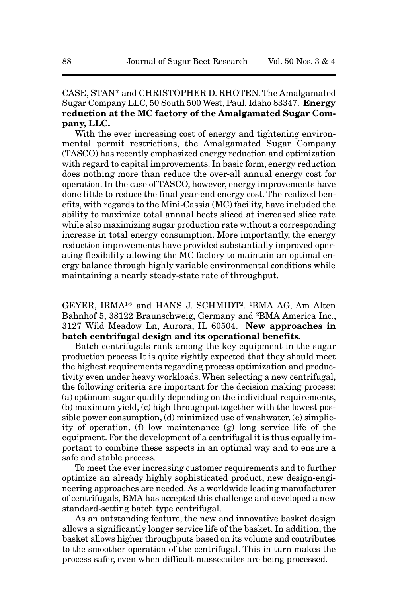# CASE, STAN\* and CHRISTOPHER D. RHOTEN. The Amalgamated Sugar Company LLC, 50 South 500 West, Paul, Idaho 83347. **Energy reduction at the MC factory of the Amalgamated Sugar Company, LLC.**

With the ever increasing cost of energy and tightening environmental permit restrictions, the Amalgamated Sugar Company (TASCO) has recently emphasized energy reduction and optimization with regard to capital improvements. In basic form, energy reduction does nothing more than reduce the over-all annual energy cost for operation. In the case of TASCO, however, energy improvements have done little to reduce the final year-end energy cost. The realized benefits, with regards to the Mini-Cassia (MC) facility, have included the ability to maximize total annual beets sliced at increased slice rate while also maximizing sugar production rate without a corresponding increase in total energy consumption. More importantly, the energy reduction improvements have provided substantially improved operating flexibility allowing the MC factory to maintain an optimal energy balance through highly variable environmental conditions while maintaining a nearly steady-state rate of throughput.

GEYER, IRMA1\* and HANS J. SCHMIDT2. 1BMA AG, Am Alten Bahnhof 5, 38122 Braunschweig, Germany and <sup>2</sup>BMA America Inc., 3127 Wild Meadow Ln, Aurora, IL 60504. **New approaches in batch centrifugal design and its operational benefits.**

Batch centrifugals rank among the key equipment in the sugar production process It is quite rightly expected that they should meet the highest requirements regarding process optimization and productivity even under heavy workloads. When selecting a new centrifugal, the following criteria are important for the decision making process: (a) optimum sugar quality depending on the individual requirements, (b) maximum yield, (c) high throughput together with the lowest possible power consumption, (d) minimized use of washwater, (e) simplicity of operation, (f) low maintenance (g) long service life of the equipment. For the development of a centrifugal it is thus equally important to combine these aspects in an optimal way and to ensure a safe and stable process.

To meet the ever increasing customer requirements and to further optimize an already highly sophisticated product, new design-engineering approaches are needed. As a worldwide leading manufacturer of centrifugals, BMA has accepted this challenge and developed a new standard-setting batch type centrifugal.

As an outstanding feature, the new and innovative basket design allows a significantly longer service life of the basket. In addition, the basket allows higher throughputs based on its volume and contributes to the smoother operation of the centrifugal. This in turn makes the process safer, even when difficult massecuites are being processed.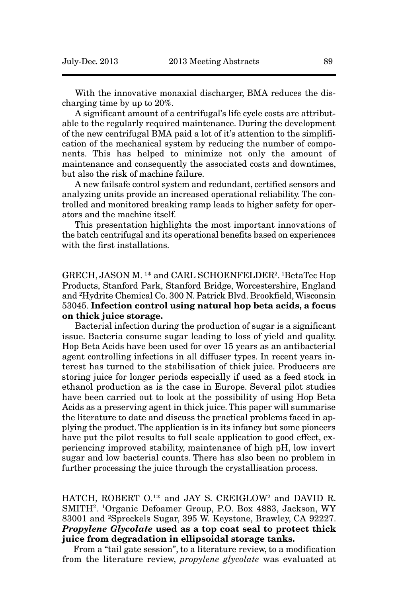With the innovative monaxial discharger, BMA reduces the discharging time by up to 20%.

A significant amount of a centrifugal's life cycle costs are attributable to the regularly required maintenance. During the development of the new centrifugal BMA paid a lot of it's attention to the simplification of the mechanical system by reducing the number of components. This has helped to minimize not only the amount of maintenance and consequently the associated costs and downtimes, but also the risk of machine failure.

A new failsafe control system and redundant, certified sensors and analyzing units provide an increased operational reliability. The controlled and monitored breaking ramp leads to higher safety for operators and the machine itself.

This presentation highlights the most important innovations of the batch centrifugal and its operational benefits based on experiences with the first installations.

GRECH, JASON M. 1\* and CARL SCHOENFELDER2. 1BetaTec Hop Products, Stanford Park, Stanford Bridge, Worcestershire, England and 2 Hydrite Chemical Co. 300 N. Patrick Blvd. Brookfield, Wisconsin 53045. **Infection control using natural hop beta acids, a focus on thick juice storage.**

Bacterial infection during the production of sugar is a significant issue. Bacteria consume sugar leading to loss of yield and quality. Hop Beta Acids have been used for over 15 years as an antibacterial agent controlling infections in all diffuser types. In recent years interest has turned to the stabilisation of thick juice. Producers are storing juice for longer periods especially if used as a feed stock in ethanol production as is the case in Europe. Several pilot studies have been carried out to look at the possibility of using Hop Beta Acids as a preserving agent in thick juice. This paper will summarise the literature to date and discuss the practical problems faced in applying the product. The application is in its infancy but some pioneers have put the pilot results to full scale application to good effect, experiencing improved stability, maintenance of high pH, low invert sugar and low bacterial counts. There has also been no problem in further processing the juice through the crystallisation process.

HATCH, ROBERT O.<sup>1\*</sup> and JAY S. CREIGLOW<sup>2</sup> and DAVID R. SMITH2. 1Organic Defoamer Group, P.O. Box 4883, Jackson, WY 83001 and 2Spreckels Sugar, 395 W. Keystone, Brawley, CA 92227. *Propylene Glycolate* **used as a top coat seal to protect thick juice from degradation in ellipsoidal storage tanks.**

From a "tail gate session", to a literature review, to a modification from the literature review, *propylene glycolate* was evaluated at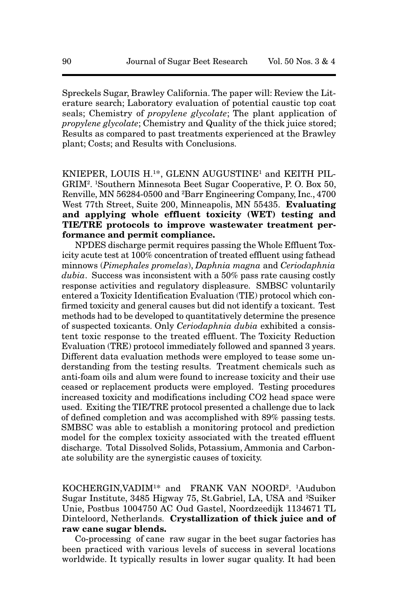Spreckels Sugar, Brawley California. The paper will: Review the Literature search; Laboratory evaluation of potential caustic top coat seals; Chemistry of *propylene glycolate*; The plant application of *propylene glycolate*; Chemistry and Quality of the thick juice stored; Results as compared to past treatments experienced at the Brawley plant; Costs; and Results with Conclusions.

KNIEPER, LOUIS H.1\*, GLENN AUGUSTINE1 and KEITH PIL-GRIM2. 1Southern Minnesota Beet Sugar Cooperative, P. O. Box 50, Renville, MN 56284-0500 and 2 Barr Engineering Company, Inc., 4700 West 77th Street, Suite 200, Minneapolis, MN 55435. **Evaluating and applying whole effluent toxicity (WET) testing and TIE/TRE protocols to improve wastewater treatment performance and permit compliance.**

NPDES discharge permit requires passing the Whole Effluent Toxicity acute test at 100% concentration of treated effluent using fathead minnows (*Pimephales promelas*), *Daphnia magna* and *Ceriodaphnia dubia*. Success was inconsistent with a 50% pass rate causing costly response activities and regulatory displeasure. SMBSC voluntarily entered a Toxicity Identification Evaluation (TIE) protocol which confirmed toxicity and general causes but did not identify a toxicant. Test methods had to be developed to quantitatively determine the presence of suspected toxicants. Only *Ceriodaphnia dubia* exhibited a consistent toxic response to the treated effluent. The Toxicity Reduction Evaluation (TRE) protocol immediately followed and spanned 3 years. Different data evaluation methods were employed to tease some understanding from the testing results. Treatment chemicals such as anti-foam oils and alum were found to increase toxicity and their use ceased or replacement products were employed. Testing procedures increased toxicity and modifications including CO2 head space were used. Exiting the TIE/TRE protocol presented a challenge due to lack of defined completion and was accomplished with 89% passing tests. SMBSC was able to establish a monitoring protocol and prediction model for the complex toxicity associated with the treated effluent discharge. Total Dissolved Solids, Potassium, Ammonia and Carbonate solubility are the synergistic causes of toxicity.

KOCHERGIN,VADIM1\* and FRANK VAN NOORD2. 1Audubon Sugar Institute, 3485 Higway 75, St.Gabriel, LA, USA and 2Suiker Unie, Postbus 1004750 AC Oud Gastel, Noordzeedijk 1134671 TL Dinteloord, Netherlands. **Crystallization of thick juice and of raw cane sugar blends.**

Co-processing of cane raw sugar in the beet sugar factories has been practiced with various levels of success in several locations worldwide. It typically results in lower sugar quality. It had been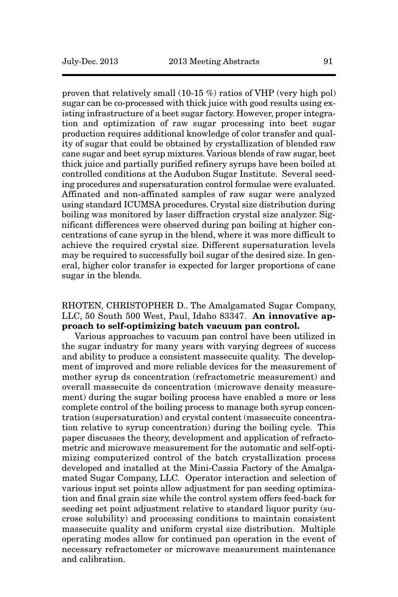proven that relatively small (10-15 %) ratios of VHP (very high pol) sugar can be co-processed with thick juice with good results using existing infrastructure of a beet sugar factory. However, proper integration and optimization of raw sugar processing into beet sugar production requires additional knowledge of color transfer and quality of sugar that could be obtained by crystallization of blended raw cane sugar and beet syrup mixtures. Various blends of raw sugar, beet thick juice and partially purified refinery syrups have been boiled at controlled conditions at the Audubon Sugar Institute. Several seeding procedures and supersaturation control formulae were evaluated. Affinated and non-affinated samples of raw sugar were analyzed using standard ICUMSA procedures. Crystal size distribution during boiling was monitored by laser diffraction crystal size analyzer. Significant differences were observed during pan boiling at higher concentrations of cane syrup in the blend, where it was more difficult to achieve the required crystal size. Different supersaturation levels may be required to successfully boil sugar of the desired size. In general, higher color transfer is expected for larger proportions of cane sugar in the blends.

#### RHOTEN, CHRISTOPHER D.. The Amalgamated Sugar Company, LLC, 50 South 500 West, Paul, Idaho 83347. **An innovative approach to self-optimizing batch vacuum pan control.**

Various approaches to vacuum pan control have been utilized in the sugar industry for many years with varying degrees of success and ability to produce a consistent massecuite quality. The development of improved and more reliable devices for the measurement of mother syrup ds concentration (refractometric measurement) and overall massecuite ds concentration (microwave density measurement) during the sugar boiling process have enabled a more or less complete control of the boiling process to manage both syrup concentration (supersaturation) and crystal content (massecuite concentration relative to syrup concentration) during the boiling cycle. This paper discusses the theory, development and application of refractometric and microwave measurement for the automatic and self-optimizing computerized control of the batch crystallization process developed and installed at the Mini-Cassia Factory of the Amalgamated Sugar Company, LLC. Operator interaction and selection of various input set points allow adjustment for pan seeding optimization and final grain size while the control system offers feed-back for seeding set point adjustment relative to standard liquor purity (sucrose solubility) and processing conditions to maintain consistent massecuite quality and uniform crystal size distribution. Multiple operating modes allow for continued pan operation in the event of necessary refractometer or microwave measurement maintenance and calibration.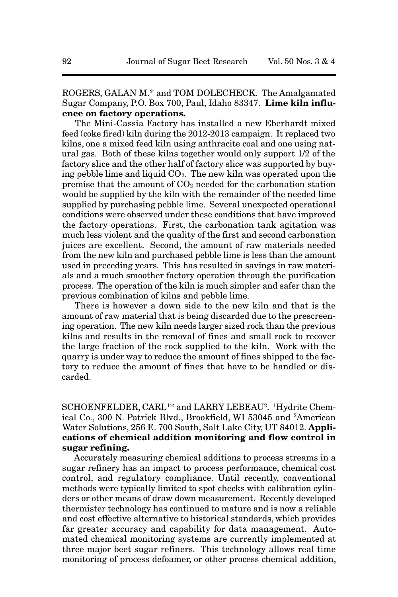ROGERS, GALAN M.\* and TOM DOLECHECK. The Amalgamated Sugar Company, P.O. Box 700, Paul, Idaho 83347. **Lime kiln influence on factory operations.**

The Mini-Cassia Factory has installed a new Eberhardt mixed feed (coke fired) kiln during the 2012-2013 campaign. It replaced two kilns, one a mixed feed kiln using anthracite coal and one using natural gas. Both of these kilns together would only support 1/2 of the factory slice and the other half of factory slice was supported by buying pebble lime and liquid  $CO<sub>2</sub>$ . The new kiln was operated upon the premise that the amount of  $CO<sub>2</sub>$  needed for the carbonation station would be supplied by the kiln with the remainder of the needed lime supplied by purchasing pebble lime. Several unexpected operational conditions were observed under these conditions that have improved the factory operations. First, the carbonation tank agitation was much less violent and the quality of the first and second carbonation juices are excellent. Second, the amount of raw materials needed from the new kiln and purchased pebble lime is less than the amount used in preceding years. This has resulted in savings in raw materials and a much smoother factory operation through the purification process. The operation of the kiln is much simpler and safer than the previous combination of kilns and pebble lime.

There is however a down side to the new kiln and that is the amount of raw material that is being discarded due to the prescreening operation. The new kiln needs larger sized rock than the previous kilns and results in the removal of fines and small rock to recover the large fraction of the rock supplied to the kiln. Work with the quarry is under way to reduce the amount of fines shipped to the factory to reduce the amount of fines that have to be handled or discarded.

SCHOENFELDER, CARL<sup>1\*</sup> and LARRY LEBEAU<sup>2</sup>. <sup>1</sup>Hydrite Chemical Co., 300 N. Patrick Blvd., Brookfield, WI 53045 and 2American Water Solutions, 256 E. 700 South, Salt Lake City, UT 84012. **Applications of chemical addition monitoring and flow control in sugar refining.**

Accurately measuring chemical additions to process streams in a sugar refinery has an impact to process performance, chemical cost control, and regulatory compliance. Until recently, conventional methods were typically limited to spot checks with calibration cylinders or other means of draw down measurement. Recently developed thermister technology has continued to mature and is now a reliable and cost effective alternative to historical standards, which provides far greater accuracy and capability for data management. Automated chemical monitoring systems are currently implemented at three major beet sugar refiners. This technology allows real time monitoring of process defoamer, or other process chemical addition,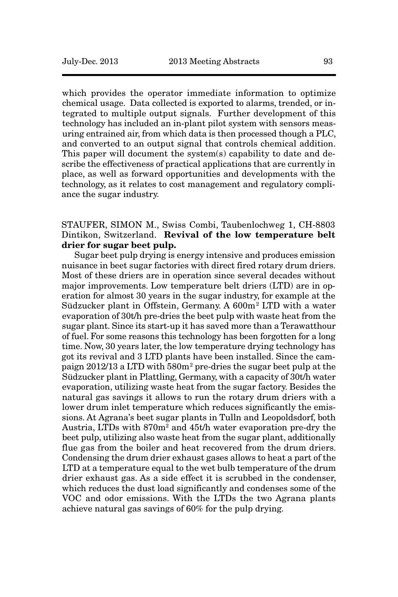which provides the operator immediate information to optimize chemical usage. Data collected is exported to alarms, trended, or integrated to multiple output signals. Further development of this technology has included an in-plant pilot system with sensors measuring entrained air, from which data is then processed though a PLC, and converted to an output signal that controls chemical addition. This paper will document the system(s) capability to date and describe the effectiveness of practical applications that are currently in place, as well as forward opportunities and developments with the technology, as it relates to cost management and regulatory compliance the sugar industry.

# STAUFER, SIMON M., Swiss Combi, Taubenlochweg 1, CH-8803 Dintikon, Switzerland. **Revival of the low temperature belt drier for sugar beet pulp.**

Sugar beet pulp drying is energy intensive and produces emission nuisance in beet sugar factories with direct fired rotary drum driers. Most of these driers are in operation since several decades without major improvements. Low temperature belt driers (LTD) are in operation for almost 30 years in the sugar industry, for example at the Südzucker plant in Offstein, Germany. A 600m2 LTD with a water evaporation of 30t/h pre-dries the beet pulp with waste heat from the sugar plant. Since its start-up it has saved more than a Terawatthour of fuel. For some reasons this technology has been forgotten for a long time. Now, 30 years later, the low temperature drying technology has got its revival and 3 LTD plants have been installed. Since the campaign 2012/13 a LTD with 580m2 pre-dries the sugar beet pulp at the Südzucker plant in Plattling, Germany, with a capacity of 30t/h water evaporation, utilizing waste heat from the sugar factory. Besides the natural gas savings it allows to run the rotary drum driers with a lower drum inlet temperature which reduces significantly the emissions. At Agrana's beet sugar plants in Tulln and Leopoldsdorf, both Austria, LTDs with 870m2 and 45t/h water evaporation pre-dry the beet pulp, utilizing also waste heat from the sugar plant, additionally flue gas from the boiler and heat recovered from the drum driers. Condensing the drum drier exhaust gases allows to heat a part of the LTD at a temperature equal to the wet bulb temperature of the drum drier exhaust gas. As a side effect it is scrubbed in the condenser, which reduces the dust load significantly and condenses some of the VOC and odor emissions. With the LTDs the two Agrana plants achieve natural gas savings of 60% for the pulp drying.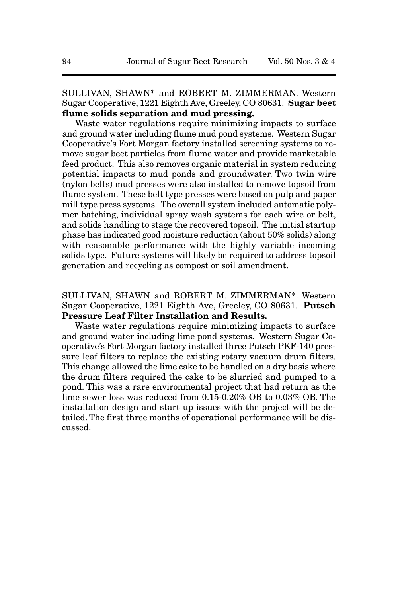SULLIVAN, SHAWN\* and ROBERT M. ZIMMERMAN. Western Sugar Cooperative, 1221 Eighth Ave, Greeley, CO 80631. **Sugar beet flume solids separation and mud pressing.**

Waste water regulations require minimizing impacts to surface and ground water including flume mud pond systems. Western Sugar Cooperative's Fort Morgan factory installed screening systems to remove sugar beet particles from flume water and provide marketable feed product. This also removes organic material in system reducing potential impacts to mud ponds and groundwater. Two twin wire (nylon belts) mud presses were also installed to remove topsoil from flume system. These belt type presses were based on pulp and paper mill type press systems. The overall system included automatic polymer batching, individual spray wash systems for each wire or belt, and solids handling to stage the recovered topsoil. The initial startup phase has indicated good moisture reduction (about 50% solids) along with reasonable performance with the highly variable incoming solids type. Future systems will likely be required to address topsoil generation and recycling as compost or soil amendment.

SULLIVAN, SHAWN and ROBERT M. ZIMMERMAN\*. Western Sugar Cooperative, 1221 Eighth Ave, Greeley, CO 80631. **Putsch Pressure Leaf Filter Installation and Results.**

Waste water regulations require minimizing impacts to surface and ground water including lime pond systems. Western Sugar Cooperative's Fort Morgan factory installed three Putsch PKF-140 pressure leaf filters to replace the existing rotary vacuum drum filters. This change allowed the lime cake to be handled on a dry basis where the drum filters required the cake to be slurried and pumped to a pond. This was a rare environmental project that had return as the lime sewer loss was reduced from 0.15-0.20% OB to 0.03% OB. The installation design and start up issues with the project will be detailed. The first three months of operational performance will be discussed.